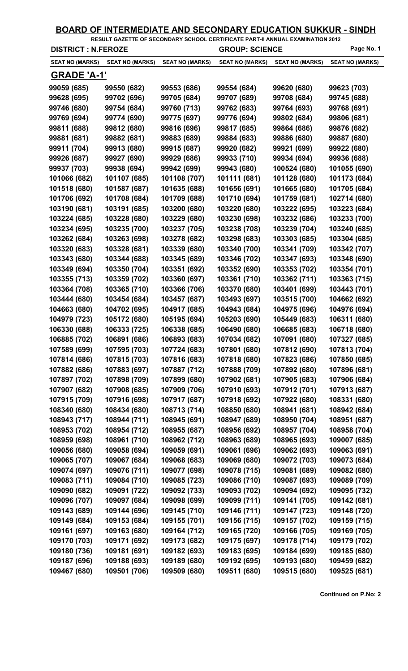|                              |                              |                              | RESULT GAZETTE OF SECONDARY SCHOOL CERTIFICATE PART-II ANNUAL EXAMINATION 2012 |                              |                              |
|------------------------------|------------------------------|------------------------------|--------------------------------------------------------------------------------|------------------------------|------------------------------|
| <b>DISTRICT : N.FEROZE</b>   |                              |                              | <b>GROUP: SCIENCE</b>                                                          |                              | Page No. 1                   |
| <b>SEAT NO (MARKS)</b>       | <b>SEAT NO (MARKS)</b>       | <b>SEAT NO (MARKS)</b>       | <b>SEAT NO (MARKS)</b>                                                         | <b>SEAT NO (MARKS)</b>       | <b>SEAT NO (MARKS)</b>       |
| <b>GRADE 'A-1'</b>           |                              |                              |                                                                                |                              |                              |
| 99059 (685)                  | 99550 (682)                  | 99553 (686)                  | 99554 (684)                                                                    | 99620 (680)                  | 99623 (703)                  |
| 99628 (695)                  | 99702 (696)                  | 99705 (684)                  | 99707 (689)                                                                    | 99708 (684)                  | 99745 (688)                  |
| 99746 (680)                  | 99754 (684)                  | 99760 (713)                  | 99762 (683)                                                                    | 99764 (693)                  | 99768 (691)                  |
| 99769 (694)                  | 99774 (690)                  | 99775 (697)                  | 99776 (694)                                                                    | 99802 (684)                  | 99806 (681)                  |
| 99811 (688)                  | 99812 (680)                  | 99816 (696)                  | 99817 (685)                                                                    | 99864 (686)                  | 99876 (682)                  |
| 99881 (681)                  | 99882 (681)                  | 99883 (689)                  | 99884 (683)                                                                    | 99886 (680)                  | 99887 (680)                  |
| 99911 (704)                  | 99913 (680)                  | 99915 (687)                  | 99920 (682)                                                                    | 99921 (699)                  | 99922 (680)                  |
| 99926 (687)                  | 99927 (690)                  | 99929 (686)                  | 99933 (710)                                                                    | 99934 (694)                  | 99936 (688)                  |
| 99937 (703)                  | 99938 (694)                  | 99942 (699)                  | 99943 (680)                                                                    | 100524 (680)                 | 101055 (690)                 |
| 101066 (682)                 | 101107 (685)                 | 101108 (707)                 | 101111 (681)                                                                   | 101128 (680)                 | 101173 (684)                 |
| 101518 (680)                 | 101587 (687)                 | 101635 (688)                 | 101656 (691)                                                                   | 101665 (680)                 | 101705 (684)                 |
| 101706 (692)                 | 101708 (684)                 | 101709 (688)                 | 101710 (694)                                                                   | 101759 (681)                 | 102714 (680)                 |
| 103190 (681)                 | 103191 (685)                 | 103200 (680)                 | 103220 (680)                                                                   | 103222 (695)                 | 103223 (684)                 |
| 103224 (685)                 | 103228 (680)                 | 103229 (680)                 | 103230 (698)                                                                   | 103232 (686)                 | 103233 (700)                 |
| 103234 (695)                 | 103235 (700)                 | 103237 (705)                 | 103238 (708)                                                                   | 103239 (704)                 | 103240 (685)                 |
| 103262 (684)                 | 103263 (698)                 | 103278 (682)                 | 103298 (683)                                                                   | 103303 (685)                 | 103304 (685)                 |
| 103320 (683)                 | 103328 (681)                 | 103339 (680)                 | 103340 (700)                                                                   | 103341 (709)                 | 103342 (707)                 |
| 103343 (680)                 | 103344 (688)                 | 103345 (689)                 | 103346 (702)                                                                   | 103347 (693)                 | 103348 (690)                 |
| 103349 (694)                 | 103350 (704)                 | 103351 (692)                 | 103352 (690)                                                                   | 103353 (702)                 | 103354 (701)                 |
| 103355 (713)                 | 103359 (702)                 | 103360 (697)                 | 103361 (710)                                                                   | 103362 (711)                 | 103363 (715)                 |
| 103364 (708)                 | 103365 (710)                 | 103366 (706)                 | 103370 (680)                                                                   | 103401 (699)                 | 103443 (701)                 |
| 103444 (680)                 | 103454 (684)                 | 103457 (687)                 | 103493 (697)                                                                   | 103515 (700)                 | 104662 (692)                 |
| 104663 (680)                 | 104702 (695)                 | 104917 (685)                 | 104943 (684)                                                                   | 104975 (696)                 | 104976 (694)                 |
| 104979 (723)                 | 105172 (680)                 | 105195 (694)                 | 105203 (690)                                                                   | 105449 (683)                 | 106311 (680)                 |
| 106330 (688)<br>106885 (702) | 106333 (725)<br>106891 (686) | 106338 (685)<br>106893 (683) | 106490 (680)<br>107034 (682)                                                   | 106685 (683)<br>107091 (680) | 106718 (680)<br>107327 (685) |
| 107589 (699)                 | 107595 (703)                 | 107724 (683)                 | 107801 (680)                                                                   | 107812 (690)                 | 107813 (704)                 |
| 107814 (686)                 | 107815 (703)                 | 107816 (683)                 | 107818 (680)                                                                   | 107823 (686)                 | 107850 (685)                 |
| 107882 (686)                 | 107883 (697)                 | 107887 (712)                 | 107888 (709)                                                                   | 107892 (680)                 | 107896 (681)                 |
| 107897 (702)                 | 107898 (709)                 | 107899 (680)                 | 107902 (681)                                                                   | 107905 (683)                 | 107906 (684)                 |
| 107907 (682)                 | 107908 (685)                 | 107909 (706)                 | 107910 (693)                                                                   | 107912 (701)                 | 107913 (687)                 |
| 107915 (709)                 | 107916 (698)                 | 107917 (687)                 | 107918 (692)                                                                   | 107922 (680)                 | 108331 (680)                 |
| 108340 (680)                 | 108434 (680)                 | 108713 (714)                 | 108850 (680)                                                                   | 108941 (681)                 | 108942 (684)                 |
| 108943 (717)                 | 108944 (711)                 | 108945 (691)                 | 108947 (689)                                                                   | 108950 (704)                 | 108951 (687)                 |
| 108953 (702)                 | 108954 (712)                 | 108955 (687)                 | 108956 (692)                                                                   | 108957 (704)                 | 108958 (704)                 |
| 108959 (698)                 | 108961 (710)                 | 108962 (712)                 | 108963 (689)                                                                   | 108965 (693)                 | 109007 (685)                 |
| 109056 (680)                 | 109058 (694)                 | 109059 (691)                 | 109061 (696)                                                                   | 109062 (693)                 | 109063 (691)                 |
| 109065 (707)                 | 109067 (684)                 | 109068 (683)                 | 109069 (680)                                                                   | 109072 (703)                 | 109073 (684)                 |
| 109074 (697)                 | 109076 (711)                 | 109077 (698)                 | 109078 (715)                                                                   | 109081 (689)                 | 109082 (680)                 |
| 109083 (711)                 | 109084 (710)                 | 109085 (723)                 | 109086 (710)                                                                   | 109087 (693)                 | 109089 (709)                 |
| 109090 (682)                 | 109091 (722)                 | 109092 (733)                 | 109093 (702)                                                                   | 109094 (692)                 | 109095 (732)                 |
| 109096 (707)                 | 109097 (684)                 | 109098 (699)                 | 109099 (711)                                                                   | 109141 (705)                 | 109142 (681)                 |
| 109143 (689)                 | 109144 (696)                 | 109145 (710)                 | 109146 (711)                                                                   | 109147 (723)                 | 109148 (720)                 |
| 109149 (684)                 | 109153 (684)                 | 109155 (701)                 | 109156 (715)                                                                   | 109157 (702)                 | 109159 (715)                 |
| 109161 (697)                 | 109163 (680)                 | 109164 (712)                 | 109165 (720)                                                                   | 109166 (705)                 | 109169 (705)                 |
| 109170 (703)                 | 109171 (692)                 | 109173 (682)                 | 109175 (697)                                                                   | 109178 (714)                 | 109179 (702)                 |
| 109180 (736)                 | 109181 (691)                 | 109182 (693)                 | 109183 (695)                                                                   | 109184 (699)                 | 109185 (680)                 |
| 109187 (696)                 | 109188 (693)                 | 109189 (680)                 | 109192 (695)                                                                   | 109193 (680)                 | 109459 (682)                 |
| 109467 (680)                 | 109501 (706)                 | 109509 (680)                 | 109511 (680)                                                                   | 109515 (680)                 | 109525 (681)                 |
|                              |                              |                              |                                                                                |                              |                              |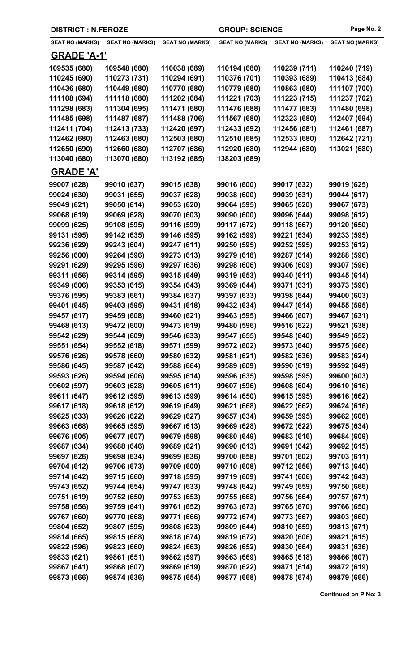| <b>DISTRICT : N.FEROZE</b> |                        |                        | <b>GROUP: SCIENCE</b>  |                        | Page No. 2             |
|----------------------------|------------------------|------------------------|------------------------|------------------------|------------------------|
| <b>SEAT NO (MARKS)</b>     | <b>SEAT NO (MARKS)</b> | <b>SEAT NO (MARKS)</b> | <b>SEAT NO (MARKS)</b> | <b>SEAT NO (MARKS)</b> | <b>SEAT NO (MARKS)</b> |
| <b>GRADE 'A-1'</b>         |                        |                        |                        |                        |                        |
| 109535 (680)               | 109548 (680)           | 110038 (689)           | 110194 (680)           | 110239 (711)           | 110240 (719)           |
| 110245 (690)               | 110273 (731)           | 110294 (691)           | 110376 (701)           | 110393 (689)           | 110413 (684)           |
| 110436 (680)               | 110449 (680)           | 110770 (680)           | 110779 (680)           | 110863 (680)           | 111107 (700)           |
| 111108 (694)               | 111118 (680)           | 111202 (684)           | 111221 (703)           | 111223 (715)           | 111237 (702)           |
| 111298 (683)               | 111304 (695)           | 111471 (680)           | 111476 (688)           | 111477 (683)           | 111480 (698)           |
| 111485 (698)               | 111487 (687)           | 111488 (706)           | 111567 (680)           | 112323 (680)           | 112407 (694)           |
| 112411 (704)               | 112413 (733)           | 112420 (697)           | 112433 (692)           | 112456 (681)           | 112461 (687)           |
| 112462 (680)               | 112463 (680)           | 112503 (680)           | 112510 (685)           | 112533 (680)           | 112642 (721)           |
| 112650 (690)               | 112660 (680)           | 112707 (686)           | 112920 (680)           | 112944 (680)           | 113021 (680)           |
| 113040 (680)               | 113070 (680)           | 113192 (685)           | 138203 (689)           |                        |                        |
| <b>GRADE 'A'</b>           |                        |                        |                        |                        |                        |
| 99007 (628)                | 99010 (637)            | 99015 (638)            | 99016 (600)            | 99017 (632)            | 99019 (625)            |
| 99024 (630)                | 99031 (655)            | 99037 (628)            | 99038 (600)            | 99039 (631)            | 99044 (617)            |
| 99049 (621)                | 99050 (614)            | 99053 (620)            | 99064 (595)            | 99065 (620)            | 99067 (673)            |
| 99068 (619)                | 99069 (628)            | 99070 (603)            | 99090 (600)            | 99096 (644)            | 99098 (612)            |
| 99099 (625)                | 99108 (595)            | 99116 (599)            | 99117 (672)            | 99118 (667)            | 99120 (650)            |
| 99131 (595)                | 99142 (635)            | 99146 (595)            | 99162 (599)            | 99221 (634)            | 99233 (595)            |
| 99236 (629)                | 99243 (604)            | 99247 (611)            | 99250 (595)            | 99252 (595)            | 99253 (612)            |
| 99256 (600)                | 99264 (596)            | 99273 (613)            | 99279 (618)            | 99287 (614)            | 99288 (596)            |
| 99291 (629)                | 99295 (596)            | 99297 (636)            | 99298 (606)            | 99306 (609)            | 99307 (596)            |
| 99311 (656)                | 99314 (595)            | 99315 (649)            | 99319 (653)            | 99340 (611)            | 99345 (614)            |
| 99349 (606)                | 99353 (615)            | 99354 (643)            | 99369 (644)            | 99371 (631)            | 99373 (596)            |
| 99376 (595)                | 99383 (661)            | 99384 (637)            | 99397 (633)            | 99398 (644)            | 99400 (603)            |
| 99401 (645)                | 99403 (595)            | 99431 (618)            | 99432 (634)            | 99447 (614)            | 99455 (595)            |
| 99457 (617)                | 99459 (608)            | 99460 (621)            | 99463 (595)            | 99466 (607)            | 99467 (631)            |
| 99468 (613)                | 99472 (600)            | 99473 (619)            | 99480 (596)            | 99516 (622)            | 99521 (638)            |
| 99542 (629)                | 99544 (609)            | 99546 (633)            | 99547 (655)            | 99548 (640)            | 99549 (652)            |
| 99551 (654)                | 99552 (618)            | 99571 (599)            | 99572 (602)            | 99573 (640)            | 99575 (666)            |
| 99576 (626)                | 99578 (660)            | 99580 (632)            | 99581 (621)            | 99582 (636)            | 99583 (624)            |
| 99586 (645)                | 99587 (642)            | 99588 (664)            | 99589 (609)            | 99590 (619)            | 99592 (649)            |
| 99593 (626)                | 99594 (606)            | 99595 (614)            | 99596 (635)            | 99598 (595)            | 99600 (603)            |
| 99602 (597)                | 99603 (628)            | 99605 (611)            | 99607 (596)            | 99608 (604)            | 99610 (616)            |
| 99611 (647)                | 99612 (595)            | 99613 (599)            | 99614 (650)            | 99615 (595)            | 99616 (662)            |
| 99617 (618)                | 99618 (612)            | 99619 (649)            | 99621 (668)            | 99622 (662)            | 99624 (616)            |
| 99625 (633)                | 99626 (622)            | 99629 (627)            | 99657 (634)            | 99659 (595)            | 99662 (608)            |
| 99663 (668)                | 99665 (595)            | 99667 (613)            | 99669 (628)            | 99672 (622)            | 99675 (634)            |
| 99676 (605)                | 99677 (607)            | 99679 (598)            | 99680 (649)            | 99683 (616)            | 99684 (609)            |
| 99687 (634)                | 99688 (646)            | 99689 (621)            | 99690 (613)            | 99691 (642)            | 99692 (615)            |
| 99697 (626)                | 99698 (634)            | 99699 (636)            | 99700 (658)            | 99701 (602)            | 99703 (611)            |
| 99704 (612)                | 99706 (673)            | 99709 (600)            | 99710 (608)            | 99712 (656)            | 99713 (640)            |
| 99714 (642)                | 99715 (660)            | 99718 (595)            | 99719 (609)            | 99741 (606)            | 99742 (643)            |
| 99743 (652)                | 99744 (654)            | 99747 (633)            | 99748 (642)            | 99749 (659)            | 99750 (666)            |
| 99751 (619)                | 99752 (650)            | 99753 (653)            | 99755 (668)            | 99756 (664)            | 99757 (671)            |
| 99758 (656)                | 99759 (641)            | 99761 (652)            | 99763 (673)            | 99765 (670)            | 99766 (650)            |
| 99767 (660)                | 99770 (668)            | 99771 (666)            | 99772 (674)            | 99773 (667)            | 99803 (660)            |
| 99804 (652)                | 99807 (595)            | 99808 (623)            | 99809 (644)            | 99810 (659)            | 99813 (671)            |
| 99814 (665)                | 99815 (668)            | 99818 (674)            | 99819 (672)            | 99820 (606)            | 99821 (615)            |
| 99822 (596)                | 99823 (660)            | 99824 (663)            | 99826 (652)            | 99830 (664)            | 99831 (636)            |
| 99833 (621)                | 99861 (651)            | 99862 (597)            | 99863 (669)            | 99865 (618)            | 99866 (607)            |
| 99867 (641)                | 99868 (607)            | 99869 (619)            | 99870 (622)            | 99871 (614)            | 99872 (619)            |
| 99873 (666)                | 99874 (636)            | 99875 (654)            | 99877 (668)            | 99878 (674)            | 99879 (666)            |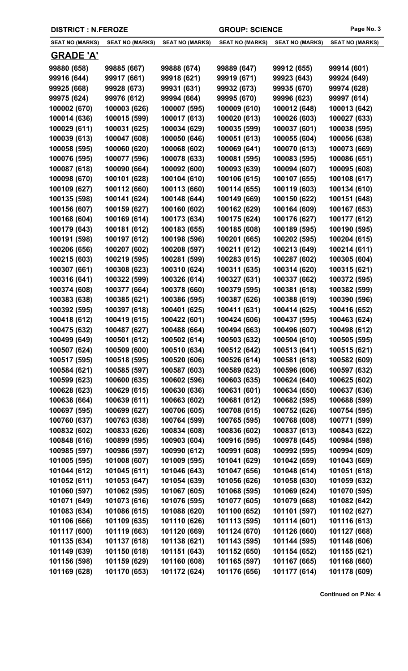| <b>SEAT NO (MARKS)</b> | <b>SEAT NO (MARKS)</b> | <b>SEAT NO (MARKS)</b> | <b>SEAT NO (MARKS)</b> | <b>SEAT NO (MARKS)</b> | <b>SEAT NO (MARKS)</b> |
|------------------------|------------------------|------------------------|------------------------|------------------------|------------------------|
| <b>GRADE 'A'</b>       |                        |                        |                        |                        |                        |
| 99880 (658)            | 99885 (667)            | 99888 (674)            | 99889 (647)            | 99912 (655)            | 99914 (601)            |
| 99916 (644)            | 99917 (661)            | 99918 (621)            | 99919 (671)            | 99923 (643)            | 99924 (649)            |
| 99925 (668)            | 99928 (673)            | 99931 (631)            | 99932 (673)            | 99935 (670)            | 99974 (628)            |
| 99975 (624)            | 99976 (612)            | 99994 (664)            | 99995 (670)            | 99996 (623)            | 99997 (614)            |
| 100002 (670)           | 100003 (626)           | 100007 (595)           | 100009 (610)           | 100012 (648)           | 100013 (642)           |
| 100014 (636)           | 100015 (599)           | 100017 (613)           | 100020 (613)           | 100026 (603)           | 100027 (633)           |
| 100029 (611)           | 100031 (625)           | 100034 (629)           | 100035 (599)           | 100037 (601)           | 100038 (595)           |
| 100039 (613)           | 100047 (608)           | 100050 (646)           | 100051 (613)           | 100055 (604)           | 100056 (638)           |
| 100058 (595)           | 100060 (620)           | 100068 (602)           | 100069 (641)           | 100070 (613)           | 100073 (669)           |
| 100076 (595)           | 100077 (596)           | 100078 (633)           | 100081 (595)           | 100083 (595)           | 100086 (651)           |
| 100087 (618)           | 100090 (664)           | 100092 (600)           | 100093 (639)           | 100094 (607)           | 100095 (608)           |
| 100098 (670)           | 100101 (628)           | 100104 (610)           | 100106 (615)           | 100107 (655)           | 100108 (617)           |
| 100109 (627)           | 100112 (660)           | 100113 (660)           | 100114 (655)           | 100119 (603)           | 100134 (610)           |
| 100135 (598)           | 100141 (624)           | 100148 (644)           | 100149 (669)           | 100150 (622)           | 100151 (648)           |
| 100156 (607)           | 100159 (627)           | 100160 (602)           | 100162 (629)           | 100164 (609)           | 100167 (653)           |
| 100168 (604)           | 100169 (614)           | 100173 (634)           | 100175 (624)           | 100176 (627)           | 100177 (612)           |
| 100179 (643)           | 100181 (612)           | 100183 (655)           | 100185 (608)           | 100189 (595)           | 100190 (595)           |
| 100191 (598)           | 100197 (612)           | 100198 (596)           | 100201 (665)           | 100202 (595)           | 100204 (615)           |
| 100206 (656)           | 100207 (602)           | 100208 (597)           | 100211 (612)           | 100213 (649)           | 100214 (611)           |
| 100215 (603)           | 100219 (595)           | 100281 (599)           | 100283 (615)           | 100287 (602)           | 100305 (604)           |
| 100307 (661)           | 100308 (623)           | 100310 (624)           | 100311 (635)           | 100314 (620)           | 100315 (621)           |
| 100316 (641)           | 100322 (599)           | 100326 (614)           | 100327 (631)           | 100337 (662)           | 100372 (595)           |
| 100374 (608)           | 100377 (664)           | 100378 (660)           | 100379 (595)           | 100381 (618)           | 100382 (599)           |
| 100383 (638)           | 100385 (621)           | 100386 (595)           | 100387 (626)           | 100388 (619)           | 100390 (596)           |
| 100392 (595)           | 100397 (618)           | 100401 (625)           | 100411 (631)           | 100414 (625)           | 100416 (652)           |
| 100418 (612)           | 100419 (615)           | 100422 (601)           | 100424 (606)           | 100437 (595)           | 100463 (624)           |
| 100475 (632)           | 100487 (627)           | 100488 (664)           | 100494 (663)           | 100496 (607)           | 100498 (612)           |
| 100499 (649)           | 100501 (612)           | 100502 (614)           | 100503 (632)           | 100504 (610)           | 100505 (595)           |
| 100507 (624)           | 100509 (600)           | 100510 (634)           | 100512 (642)           | 100513 (641)           | 100515 (621)           |
| 100517 (595)           | 100518 (595)           | 100520 (606)           | 100526 (614)           | 100581 (618)           | 100582 (609)           |
| 100584 (621)           | 100585 (597)           | 100587 (603)           | 100589 (623)           | 100596 (606)           | 100597 (632)           |
| 100599 (623)           | 100600 (635)           | 100602 (596)           | 100603 (635)           | 100624 (640)           | 100625 (602)           |
| 100628 (623)           | 100629 (615)           | 100630 (636)           | 100631 (601)           | 100634 (650)           | 100637 (636)           |
| 100638 (664)           | 100639 (611)           | 100663 (602)           | 100681 (612)           | 100682 (595)           | 100688 (599)           |
| 100697 (595)           | 100699 (627)           | 100706 (605)           | 100708 (615)           | 100752 (626)           | 100754 (595)           |
| 100760 (637)           | 100763 (638)           | 100764 (599)           | 100765 (595)           | 100768 (608)           | 100771 (599)           |
| 100832 (602)           | 100833 (626)           | 100834 (608)           | 100836 (602)           | 100837 (613)           | 100843 (622)           |
| 100848 (616)           | 100899 (595)           | 100903 (604)           | 100916 (595)           | 100978 (645)           | 100984 (598)           |
| 100985 (597)           | 100986 (597)           | 100990 (612)           | 100991 (608)           | 100992 (595)           | 100994 (609)           |
| 101005 (595)           | 101008 (607)           | 101009 (595)           | 101041 (629)           | 101042 (659)           | 101043 (669)           |
| 101044 (612)           | 101045 (611)           | 101046 (643)           | 101047 (656)           | 101048 (614)           | 101051 (618)           |
| 101052 (611)           | 101053 (647)           | 101054 (639)           | 101056 (626)           | 101058 (630)           | 101059 (632)           |
| 101060 (597)           | 101062 (595)           | 101067 (605)           | 101068 (595)           | 101069 (624)           | 101070 (595)           |
| 101071 (649)           | 101073 (616)           | 101076 (595)           | 101077 (605)           | 101079 (668)           | 101082 (642)           |
| 101083 (634)           | 101086 (615)           | 101088 (620)           | 101100 (652)           | 101101 (597)           | 101102 (627)           |
| 101106 (666)           | 101109 (635)           | 101110 (626)           | 101113 (595)           | 101114 (601)           | 101116 (613)           |
| 101117 (600)           | 101119 (663)           | 101120 (669)           | 101124 (670)           | 101126 (660)           | 101127 (668)           |
| 101135 (634)           | 101137 (618)           | 101138 (621)           | 101143 (595)           | 101144 (595)           | 101148 (606)           |
| 101149 (639)           | 101150 (618)           | 101151 (643)           | 101152 (650)           | 101154 (652)           | 101155 (621)           |
| 101156 (598)           | 101159 (629)           | 101160 (608)           | 101165 (597)           | 101167 (665)           | 101168 (660)           |
| 101169 (628)           | 101170 (653)           | 101172 (624)           | 101176 (656)           | 101177 (614)           | 101178 (609)           |

**DISTRICT : N.FEROZE GROUP: SCIENCE Page No. 3**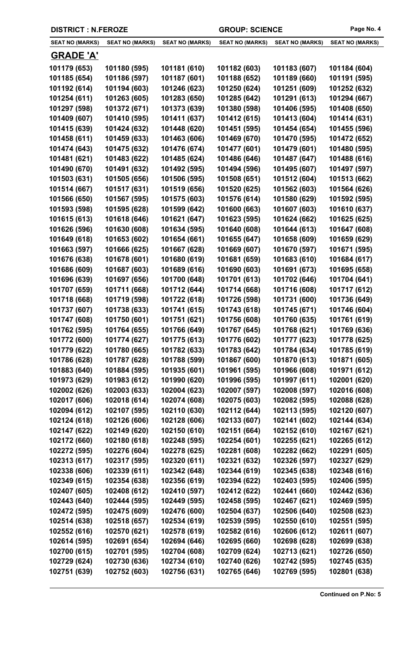| <b>SEAT NO (MARKS)</b> | <b>SEAT NO (MARKS)</b> | <b>SEAT NO (MARKS)</b> | <b>SEAT NO (MARKS)</b> | <b>SEAT NO (MARKS)</b> | <b>SEAT NO (MARKS)</b> |
|------------------------|------------------------|------------------------|------------------------|------------------------|------------------------|
| <b>GRADE 'A'</b>       |                        |                        |                        |                        |                        |
| 101179 (653)           | 101180 (595)           | 101181 (610)           | 101182 (603)           | 101183 (607)           | 101184 (604)           |
| 101185 (654)           | 101186 (597)           | 101187 (601)           | 101188 (652)           | 101189 (660)           | 101191 (595)           |
| 101192 (614)           | 101194 (603)           | 101246 (623)           | 101250 (624)           | 101251 (609)           | 101252 (632)           |
| 101254 (611)           | 101263 (605)           | 101283 (650)           | 101285 (642)           | 101291 (613)           | 101294 (667)           |
| 101297 (598)           | 101372 (671)           | 101373 (639)           | 101380 (598)           | 101406 (595)           | 101408 (650)           |
| 101409 (607)           | 101410 (595)           | 101411 (637)           | 101412 (615)           | 101413 (604)           | 101414 (631)           |
| 101415 (639)           | 101424 (632)           | 101448 (620)           | 101451 (595)           | 101454 (654)           | 101455 (596)           |
| 101458 (611)           | 101459 (633)           | 101463 (606)           | 101469 (670)           | 101470 (595)           | 101472 (652)           |
| 101474 (643)           | 101475 (632)           | 101476 (674)           | 101477 (601)           | 101479 (601)           | 101480 (595)           |
| 101481 (621)           | 101483 (622)           | 101485 (624)           | 101486 (646)           | 101487 (647)           | 101488 (616)           |
| 101490 (670)           | 101491 (632)           | 101492 (595)           | 101494 (596)           | 101495 (607)           | 101497 (597)           |
| 101503 (631)           | 101505 (656)           | 101506 (595)           | 101508 (651)           | 101512 (604)           | 101513 (662)           |
| 101514 (667)           | 101517 (631)           | 101519 (656)           | 101520 (625)           | 101562 (603)           | 101564 (626)           |
| 101566 (650)           | 101567 (595)           | 101575 (603)           | 101576 (614)           | 101580 (629)           | 101592 (595)           |
| 101593 (598)           | 101595 (628)           | 101599 (642)           | 101600 (663)           | 101607 (603)           | 101610 (637)           |
| 101615 (613)           | 101618 (646)           | 101621 (647)           | 101623 (595)           | 101624 (662)           | 101625 (625)           |
| 101626 (596)           | 101630 (608)           | 101634 (595)           | 101640 (608)           | 101644 (613)           | 101647 (608)           |
| 101649 (618)           | 101653 (602)           | 101654 (661)           | 101655 (647)           | 101658 (609)           | 101659 (629)           |
| 101663 (597)           | 101666 (625)           | 101667 (628)           | 101669 (607)           | 101670 (597)           | 101671 (595)           |
| 101676 (638)           | 101678 (601)           | 101680 (619)           | 101681 (659)           | 101683 (610)           | 101684 (617)           |
| 101686 (609)           | 101687 (603)           | 101689 (616)           | 101690 (603)           | 101691 (673)           | 101695 (658)           |
| 101696 (639)           | 101697 (656)           | 101700 (648)           | 101701 (613)           | 101702 (646)           | 101704 (641)           |
| 101707 (659)           | 101711 (668)           | 101712 (644)           | 101714 (668)           | 101716 (608)           | 101717 (612)           |
| 101718 (668)           | 101719 (598)           | 101722 (618)           | 101726 (598)           | 101731 (600)           | 101736 (649)           |
| 101737 (607)           | 101738 (633)           | 101741 (615)           | 101743 (618)           | 101745 (671)           | 101746 (604)           |
| 101747 (608)           | 101750 (601)           | 101751 (621)           | 101756 (608)           | 101760 (635)           | 101761 (619)           |
| 101762 (595)           | 101764 (655)           | 101766 (649)           | 101767 (645)           | 101768 (621)           | 101769 (636)           |
| 101772 (600)           | 101774 (627)           | 101775 (613)           | 101776 (602)           | 101777 (623)           | 101778 (625)           |
| 101779 (622)           | 101780 (665)           | 101782 (633)           | 101783 (642)           | 101784 (634)           | 101785 (619)           |
| 101786 (628)           | 101787 (628)           | 101788 (599)           | 101867 (600)           | 101870 (613)           | 101871 (605)           |
| 101883 (640)           | 101884 (595)           | 101935 (601)           | 101961 (595)           | 101966 (608)           | 101971 (612)           |
| 101973 (629)           | 101983 (612)           | 101990 (620)           | 101996 (595)           | 101997 (611)           | 102001 (620)           |
| 102002 (626)           | 102003 (633)           | 102004 (623)           | 102007 (597)           | 102008 (597)           | 102016 (608)           |
| 102017 (606)           | 102018 (614)           | 102074 (608)           | 102075 (603)           | 102082 (595)           | 102088 (628)           |
| 102094 (612)           | 102107 (595)           | 102110 (630)           | 102112 (644)           | 102113 (595)           | 102120 (607)           |
| 102124 (618)           | 102126 (606)           | 102128 (606)           | 102133 (607)           | 102141 (602)           | 102144 (634)           |
| 102147 (622)           | 102149 (620)           | 102150 (610)           | 102151 (664)           | 102152 (610)           | 102167 (621)           |
| 102172 (660)           | 102180 (618)           | 102248 (595)           | 102254 (601)           | 102255 (621)           | 102265 (612)           |
| 102272 (595)           | 102276 (604)           | 102278 (625)           | 102281 (608)           | 102282 (662)           | 102291 (605)           |
| 102313 (617)           | 102317 (595)           | 102320 (611)           | 102321 (632)           | 102326 (597)           | 102327 (629)           |
| 102338 (606)           | 102339 (611)           | 102342 (648)           | 102344 (619)           | 102345 (638)           | 102348 (616)           |
| 102349 (615)           | 102354 (638)           | 102356 (619)           | 102394 (622)           | 102403 (595)           | 102406 (595)           |
| 102407 (605)           | 102408 (612)           | 102410 (597)           | 102412 (622)           | 102441 (660)           | 102442 (636)           |
| 102443 (640)           | 102444 (595)           | 102449 (595)           | 102458 (595)           | 102467 (621)           | 102469 (595)           |
| 102472 (595)           | 102475 (609)           | 102476 (600)           | 102504 (637)           | 102506 (640)           | 102508 (623)           |
| 102514 (638)           | 102518 (657)           | 102534 (619)           | 102539 (595)           | 102550 (610)           | 102551 (595)           |
| 102552 (616)           | 102570 (621)           | 102578 (619)           | 102582 (616)           | 102606 (612)           | 102611 (607)           |
| 102614 (595)           | 102691 (654)           | 102694 (646)           | 102695 (660)           | 102698 (628)           | 102699 (638)           |
| 102700 (615)           | 102701 (595)           | 102704 (608)           | 102709 (624)           | 102713 (621)           | 102726 (650)           |
| 102729 (624)           | 102730 (636)           | 102734 (610)           | 102740 (626)           | 102742 (595)           | 102745 (635)           |
| 102751 (639)           | 102752 (603)           | 102756 (631)           | 102765 (646)           | 102769 (595)           | 102801 (638)           |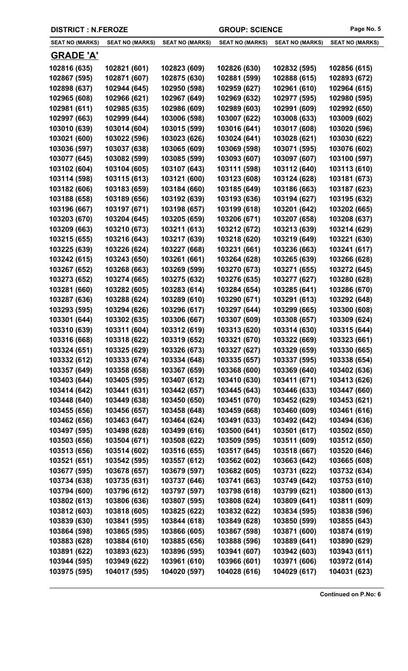| <b>DISTRICT : N.FEROZE</b> | <b>GROUP: SCIENCE</b>  |                        | Page No. 5             |                        |                        |
|----------------------------|------------------------|------------------------|------------------------|------------------------|------------------------|
| <b>SEAT NO (MARKS)</b>     | <b>SEAT NO (MARKS)</b> | <b>SEAT NO (MARKS)</b> | <b>SEAT NO (MARKS)</b> | <b>SEAT NO (MARKS)</b> | <b>SEAT NO (MARKS)</b> |
| <b>GRADE 'A'</b>           |                        |                        |                        |                        |                        |
| 102816 (635)               | 102821 (601)           | 102823 (609)           | 102826 (630)           | 102832 (595)           | 102856 (615)           |
| 102867 (595)               | 102871 (607)           | 102875 (630)           | 102881 (599)           | 102888 (615)           | 102893 (672)           |
| 102898 (637)               | 102944 (645)           | 102950 (598)           | 102959 (627)           | 102961 (610)           | 102964 (615)           |
| 102965 (608)               | 102966 (621)           | 102967 (649)           | 102969 (632)           | 102977 (595)           | 102980 (595)           |
| 102981 (611)               | 102985 (635)           | 102986 (609)           | 102989 (603)           | 102991 (609)           | 102992 (650)           |
| 102997 (663)               | 102999 (644)           | 103006 (598)           | 103007 (622)           | 103008 (633)           | 103009 (602)           |
| 103010 (639)               | 103014 (604)           | 103015 (599)           | 103016 (641)           | 103017 (608)           | 103020 (596)           |
| 103021 (600)               | 103022 (596)           | 103023 (626)           | 103024 (641)           | 103028 (621)           | 103030 (622)           |
| 103036 (597)               | 103037 (638)           | 103065 (609)           | 103069 (598)           | 103071 (595)           | 103076 (602)           |
| 103077 (645)               | 103082 (599)           | 103085 (599)           | 103093 (607)           | 103097 (607)           | 103100 (597)           |
| 103102 (604)               | 103104 (605)           | 103107 (643)           | 103111 (598)           | 103112 (640)           | 103113 (610)           |
| 103114 (598)               | 103115 (613)           | 103121 (600)           | 103123 (608)           | 103124 (628)           | 103181 (673)           |
| 103182 (606)               | 103183 (659)           | 103184 (660)           | 103185 (649)           | 103186 (663)           | 103187 (623)           |
| 103188 (658)               | 103189 (656)           | 103192 (639)           | 103193 (636)           | 103194 (627)           | 103195 (632)           |
| 103196 (667)               | 103197 (671)           | 103198 (657)           | 103199 (618)           | 103201 (642)           | 103202 (665)           |
| 103203 (670)               | 103204 (645)           | 103205 (659)           | 103206 (671)           | 103207 (658)           | 103208 (637)           |
| 103209 (663)               | 103210 (673)           | 103211 (613)           | 103212 (672)           | 103213 (639)           | 103214 (629)           |
| 103215 (655)               | 103216 (643)           | 103217 (639)           | 103218 (620)           | 103219 (649)           | 103221 (630)           |
| 103225 (639)               | 103226 (624)           | 103227 (668)           | 103231 (661)           | 103236 (663)           | 103241 (617)           |
| 103242 (615)               | 103243 (650)           | 103261 (661)           | 103264 (628)           | 103265 (639)           | 103266 (628)           |
| 103267 (652)               | 103268 (663)           | 103269 (599)           | 103270 (673)           | 103271 (655)           | 103272 (645)           |
| 103273 (652)               | 103274 (665)           | 103275 (632)           | 103276 (635)           | 103277 (627)           | 103280 (628)           |
| 103281 (660)               | 103282 (605)           | 103283 (614)           | 103284 (654)           | 103285 (641)           | 103286 (670)           |
| 103287 (636)               | 103288 (624)           | 103289 (610)           | 103290 (671)           | 103291 (613)           | 103292 (648)           |
| 103293 (595)               | 103294 (626)           | 103296 (617)           | 103297 (644)           | 103299 (665)           | 103300 (608)           |
| 103301 (644)               | 103302 (635)           | 103306 (667)           | 103307 (609)           | 103308 (657)           | 103309 (624)           |
| 103310 (639)               | 103311 (604)           | 103312 (619)           | 103313 (620)           | 103314 (630)           | 103315 (644)           |
| 103316 (668)               | 103318 (622)           | 103319 (652)           | 103321 (670)           | 103322 (669)           | 103323 (661)           |
| 103324 (651)               | 103325 (629)           | 103326 (673)           | 103327 (627)           | 103329 (659)           | 103330 (665)           |
| 103332 (612)               | 103333 (674)           | 103334 (648)           | 103335 (657)           | 103337 (595)           | 103338 (654)           |
| 103357 (649)               | 103358 (658)           | 103367 (659)           | 103368 (600)           | 103369 (640)           | 103402 (636)           |
| 103403 (644)               | 103405 (595)           | 103407 (612)           | 103410 (630)           | 103411 (671)           | 103413 (626)           |
| 103414 (642)               | 103441 (631)           | 103442 (657)           | 103445 (643)           | 103446 (633)           | 103447 (660)           |
| 103448 (640)               | 103449 (638)           | 103450 (650)           | 103451 (670)           | 103452 (629)           | 103453 (621)           |
| 103455 (656)               | 103456 (657)           | 103458 (648)           | 103459 (668)           | 103460 (609)           | 103461 (616)           |
| 103462 (656)               | 103463 (647)           | 103464 (624)           | 103491 (633)           | 103492 (642)           | 103494 (636)           |
| 103497 (595)               | 103498 (628)           | 103499 (616)           | 103500 (641)           | 103501 (617)           | 103502 (650)           |
| 103503 (656)               | 103504 (671)           | 103508 (622)           | 103509 (595)           | 103511 (609)           | 103512 (650)           |
| 103513 (656)               | 103514 (602)           | 103516 (655)           | 103517 (645)           | 103518 (667)           | 103520 (646)           |
| 103521 (651)               | 103542 (595)           | 103557 (612)           | 103562 (602)           | 103663 (642)           | 103665 (608)           |
| 103677 (595)               | 103678 (657)           | 103679 (597)           | 103682 (605)           | 103731 (622)           | 103732 (634)           |
| 103734 (638)               | 103735 (631)           | 103737 (646)           | 103741 (663)           | 103749 (642)           | 103753 (610)           |
| 103794 (600)               | 103796 (612)           | 103797 (597)           | 103798 (618)           | 103799 (621)           | 103800 (613)           |
| 103802 (613)               | 103806 (636)           | 103807 (595)           | 103808 (624)           | 103809 (641)           | 103811 (609)           |
| 103812 (603)               | 103818 (605)           | 103825 (622)           | 103832 (622)           | 103834 (595)           | 103838 (596)           |
| 103839 (630)               | 103841 (595)           | 103844 (618)           | 103849 (628)           | 103850 (599)           | 103855 (643)           |
| 103864 (598)               | 103865 (595)           | 103866 (605)           | 103867 (598)           | 103871 (600)           | 103874 (619)           |
| 103883 (628)               | 103884 (610)           | 103885 (656)           | 103888 (596)           | 103889 (641)           | 103890 (629)           |
| 103891 (622)               | 103893 (623)           | 103896 (595)           | 103941 (607)           | 103942 (603)           | 103943 (611)           |
| 103944 (595)               | 103949 (622)           | 103961 (610)           | 103966 (601)           | 103971 (606)           | 103972 (614)           |
| 103975 (595)               | 104017 (595)           | 104020 (597)           | 104028 (616)           | 104029 (617)           | 104031 (623)           |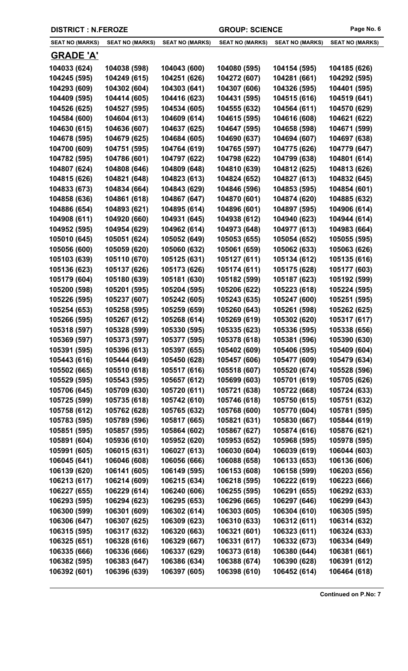|  | <b>DISTRICT : N.FEROZE</b> |
|--|----------------------------|
|--|----------------------------|

| <b>SEAT NO (MARKS)</b>       | <b>SEAT NO (MARKS)</b>       | <b>SEAT NO (MARKS)</b>       | <b>SEAT NO (MARKS)</b>       | <b>SEAT NO (MARKS)</b>       | <b>SEAT NO (MARKS)</b>       |
|------------------------------|------------------------------|------------------------------|------------------------------|------------------------------|------------------------------|
| <b>GRADE 'A'</b>             |                              |                              |                              |                              |                              |
| 104033 (624)                 | 104038 (598)                 | 104043 (600)                 | 104080 (595)                 | 104154 (595)                 | 104185 (626)                 |
| 104245 (595)                 | 104249 (615)                 | 104251 (626)                 | 104272 (607)                 | 104281 (661)                 | 104292 (595)                 |
| 104293 (609)                 | 104302 (604)                 | 104303 (641)                 | 104307 (606)                 | 104326 (595)                 | 104401 (595)                 |
| 104409 (595)                 | 104414 (605)                 | 104416 (623)                 | 104431 (595)                 | 104515 (616)                 | 104519 (641)                 |
| 104526 (625)                 | 104527 (595)                 | 104534 (605)                 | 104555 (632)                 | 104564 (611)                 | 104570 (629)                 |
| 104584 (600)                 | 104604 (613)                 | 104609 (614)                 | 104615 (595)                 | 104616 (608)                 | 104621 (622)                 |
| 104630 (615)                 | 104636 (607)                 | 104637 (625)                 | 104647 (595)                 | 104658 (598)                 | 104671 (599)                 |
| 104678 (595)                 | 104679 (625)                 | 104684 (605)                 | 104690 (637)                 | 104694 (607)                 | 104697 (638)                 |
| 104700 (609)                 | 104751 (595)                 | 104764 (619)                 | 104765 (597)                 | 104775 (626)                 | 104779 (647)                 |
| 104782 (595)                 | 104786 (601)                 | 104797 (622)                 | 104798 (622)                 | 104799 (638)                 | 104801 (614)                 |
| 104807 (624)                 | 104808 (646)                 | 104809 (648)                 | 104810 (639)                 | 104812 (625)                 | 104813 (626)                 |
| 104815 (626)                 | 104821 (648)                 | 104823 (613)                 | 104824 (652)                 | 104827 (613)                 | 104832 (645)                 |
| 104833 (673)                 | 104834 (664)                 | 104843 (629)                 | 104846 (596)                 | 104853 (595)                 | 104854 (601)                 |
| 104858 (636)                 | 104861 (618)                 | 104867 (647)                 | 104870 (601)                 | 104874 (620)                 | 104885 (632)                 |
| 104886 (654)                 | 104893 (621)                 | 104895 (614)                 | 104896 (601)                 | 104897 (595)                 | 104906 (614)                 |
| 104908 (611)                 | 104920 (660)                 | 104931 (645)                 | 104938 (612)                 | 104940 (623)                 | 104944 (614)                 |
| 104952 (595)                 | 104954 (629)                 | 104962 (614)                 | 104973 (648)                 | 104977 (613)                 | 104983 (664)                 |
| 105010 (645)                 | 105051 (624)                 | 105052 (649)                 | 105053 (655)                 | 105054 (652)                 | 105055 (595)                 |
| 105056 (600)                 | 105059 (620)                 | 105060 (632)                 | 105061 (659)                 | 105062 (633)                 | 105063 (626)                 |
| 105103 (639)                 | 105110 (670)                 | 105125 (631)                 | 105127 (611)                 | 105134 (612)                 | 105135 (616)                 |
| 105136 (623)                 | 105137 (626)                 | 105173 (626)                 | 105174 (611)                 | 105175 (628)                 | 105177 (603)                 |
| 105179 (604)                 | 105180 (639)                 | 105181 (630)                 | 105182 (599)                 | 105187 (623)                 | 105192 (599)                 |
| 105200 (598)                 | 105201 (595)                 | 105204 (595)                 | 105206 (622)                 | 105223 (618)                 | 105224 (595)                 |
| 105226 (595)                 | 105237 (607)                 | 105242 (605)                 | 105243 (635)                 | 105247 (600)                 | 105251 (595)                 |
| 105254 (653)                 | 105258 (595)                 | 105259 (659)                 | 105260 (643)                 | 105261 (598)                 | 105262 (625)                 |
| 105266 (595)                 | 105267 (612)                 | 105268 (614)                 | 105269 (619)                 | 105302 (620)                 | 105317 (617)                 |
| 105318 (597)                 | 105328 (599)                 | 105330 (595)                 | 105335 (623)                 | 105336 (595)                 | 105338 (656)                 |
| 105369 (597)                 | 105373 (597)                 | 105377 (595)                 | 105378 (618)                 | 105381 (596)                 | 105390 (630)                 |
| 105391 (595)                 | 105396 (613)                 | 105397 (655)                 | 105402 (609)                 | 105406 (595)                 | 105409 (604)                 |
| 105443 (616)                 | 105444 (649)                 | 105450 (628)                 | 105457 (606)                 | 105477 (609)                 | 105479 (634)                 |
| 105502 (665)                 | 105510 (618)                 | 105517 (616)                 | 105518 (607)                 | 105520 (674)                 | 105528 (596)                 |
| 105529 (595)                 | 105543 (595)                 | 105657 (612)                 | 105699 (603)                 | 105701 (619)                 | 105705 (626)                 |
| 105706 (645)                 | 105709 (630)                 | 105720 (611)                 | 105721 (638)                 | 105722 (668)                 | 105724 (633)                 |
| 105725 (599)                 | 105735 (618)                 | 105742 (610)                 | 105746 (618)                 | 105750 (615)                 | 105751 (632)                 |
| 105758 (612)                 | 105762 (628)                 | 105765 (632)                 | 105768 (600)                 | 105770 (604)                 | 105781 (595)                 |
| 105783 (595)                 | 105789 (596)                 | 105817 (665)                 | 105821 (631)                 | 105830 (667)                 | 105844 (619)                 |
| 105851 (595)                 | 105857 (595)                 | 105864 (602)                 | 105867 (627)                 | 105874 (616)                 | 105876 (621)                 |
| 105891 (604)<br>105991 (605) | 105936 (610)<br>106015 (631) | 105952 (620)<br>106027 (613) | 105953 (652)<br>106030 (604) | 105968 (595)<br>106039 (619) | 105978 (595)<br>106044 (603) |
| 106045 (641)                 | 106046 (608)                 | 106056 (666)                 | 106088 (658)                 | 106133 (653)                 | 106136 (606)                 |
| 106139 (620)                 | 106141 (605)                 | 106149 (595)                 | 106153 (608)                 | 106158 (599)                 |                              |
| 106213 (617)                 | 106214 (609)                 | 106215 (634)                 | 106218 (595)                 | 106222 (619)                 | 106203 (656)<br>106223 (666) |
| 106227 (655)                 | 106229 (614)                 | 106240 (606)                 | 106255 (595)                 | 106291 (655)                 | 106292 (633)                 |
| 106293 (595)                 | 106294 (623)                 | 106295 (653)                 | 106296 (665)                 | 106297 (646)                 | 106299 (643)                 |
| 106300 (599)                 | 106301 (609)                 | 106302 (614)                 | 106303 (605)                 | 106304 (610)                 | 106305 (595)                 |
| 106306 (647)                 | 106307 (625)                 | 106309 (623)                 | 106310 (633)                 | 106312 (611)                 | 106314 (632)                 |
| 106315 (595)                 | 106317 (632)                 | 106320 (663)                 | 106321 (601)                 | 106323 (611)                 | 106324 (633)                 |
| 106325 (651)                 | 106328 (616)                 | 106329 (667)                 | 106331 (617)                 | 106332 (673)                 | 106334 (649)                 |
| 106335 (666)                 | 106336 (666)                 | 106337 (629)                 | 106373 (618)                 | 106380 (644)                 | 106381 (661)                 |
| 106382 (595)                 | 106383 (647)                 | 106386 (634)                 | 106388 (674)                 | 106390 (628)                 | 106391 (612)                 |
| 106392 (601)                 | 106396 (639)                 | 106397 (605)                 | 106398 (610)                 | 106452 (614)                 | 106464 (618)                 |
|                              |                              |                              |                              |                              |                              |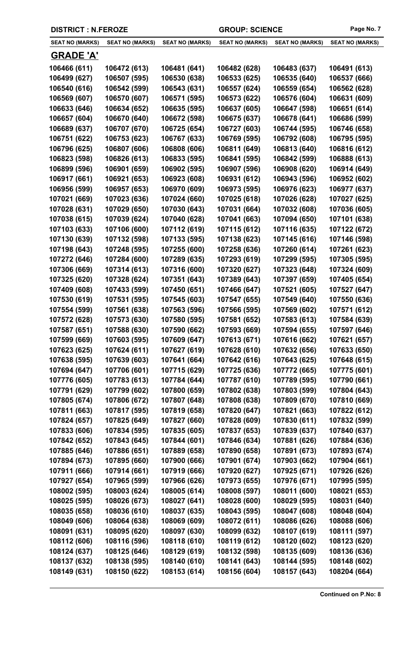| <b>SEAT NO (MARKS)</b> | <b>SEAT NO (MARKS)</b>       | <b>SEAT NO (MARKS)</b>       | <b>SEAT NO (MARKS)</b>       | <b>SEAT NO (MARKS)</b>       | <b>SEAT NO (MARKS)</b>       |
|------------------------|------------------------------|------------------------------|------------------------------|------------------------------|------------------------------|
| <b>GRADE 'A'</b>       |                              |                              |                              |                              |                              |
| 106466 (611)           | 106472 (613)                 | 106481 (641)                 | 106482 (628)                 | 106483 (637)                 | 106491 (613)                 |
| 106499 (627)           | 106507 (595)                 | 106530 (638)                 | 106533 (625)                 | 106535 (640)                 | 106537 (666)                 |
| 106540 (616)           | 106542 (599)                 | 106543 (631)                 | 106557 (624)                 | 106559 (654)                 | 106562 (628)                 |
| 106569 (607)           | 106570 (607)                 | 106571 (595)                 | 106573 (622)                 | 106576 (604)                 | 106631 (609)                 |
| 106633 (646)           | 106634 (652)                 | 106635 (595)                 | 106637 (605)                 | 106647 (598)                 | 106651 (614)                 |
| 106657 (604)           | 106670 (640)                 | 106672 (598)                 | 106675 (637)                 | 106678 (641)                 | 106686 (599)                 |
| 106689 (637)           | 106707 (670)                 | 106725 (654)                 | 106727 (603)                 | 106744 (595)                 | 106746 (658)                 |
| 106751 (622)           | 106753 (623)                 | 106767 (633)                 | 106769 (595)                 | 106792 (608)                 | 106795 (595)                 |
| 106796 (625)           | 106807 (606)                 | 106808 (606)                 | 106811 (649)                 | 106813 (640)                 | 106816 (612)                 |
| 106823 (598)           | 106826 (613)                 | 106833 (595)                 | 106841 (595)                 | 106842 (599)                 | 106888 (613)                 |
| 106899 (596)           | 106901 (659)                 | 106902 (595)                 | 106907 (596)                 | 106908 (620)                 | 106914 (649)                 |
| 106917 (661)           | 106921 (653)                 | 106923 (608)                 | 106931 (612)                 | 106943 (596)                 | 106952 (602)                 |
| 106956 (599)           | 106957 (653)                 | 106970 (609)                 | 106973 (595)                 | 106976 (623)                 | 106977 (637)                 |
| 107021 (669)           | 107023 (636)                 | 107024 (660)                 | 107025 (618)                 | 107026 (628)                 | 107027 (625)                 |
| 107028 (631)           | 107029 (650)                 | 107030 (643)                 | 107031 (664)                 | 107032 (608)                 | 107036 (605)                 |
| 107038 (615)           | 107039 (624)                 | 107040 (628)                 | 107041 (663)                 | 107094 (650)                 | 107101 (638)                 |
| 107103 (633)           | 107106 (600)                 | 107112 (619)                 | 107115 (612)                 | 107116 (635)                 | 107122 (672)                 |
| 107130 (639)           | 107132 (598)                 | 107133 (595)                 | 107138 (623)                 | 107145 (616)                 | 107146 (598)                 |
| 107198 (643)           | 107248 (595)                 | 107255 (600)                 | 107258 (636)                 | 107260 (614)                 | 107261 (623)                 |
| 107272 (646)           | 107284 (600)                 | 107289 (635)                 | 107293 (619)                 | 107299 (595)                 | 107305 (595)                 |
| 107306 (669)           | 107314 (613)                 | 107316 (600)                 | 107320 (627)                 | 107323 (648)                 | 107324 (609)                 |
| 107325 (620)           | 107328 (624)                 | 107351 (643)                 | 107389 (643)                 | 107397 (659)                 | 107405 (654)                 |
| 107409 (608)           | 107433 (599)                 | 107450 (651)                 | 107466 (647)                 | 107521 (605)                 | 107527 (647)                 |
| 107530 (619)           | 107531 (595)                 | 107545 (603)                 | 107547 (655)                 | 107549 (640)                 | 107550 (636)                 |
| 107554 (599)           | 107561 (638)                 | 107563 (596)                 | 107566 (595)                 | 107569 (602)                 | 107571 (612)                 |
| 107572 (628)           | 107573 (630)                 | 107580 (595)                 | 107581 (652)                 | 107583 (613)                 | 107584 (639)                 |
| 107587 (651)           | 107588 (630)                 | 107590 (662)                 | 107593 (669)                 | 107594 (655)                 | 107597 (646)                 |
| 107599 (669)           | 107603 (595)                 | 107609 (647)                 | 107613 (671)                 | 107616 (662)                 | 107621 (657)                 |
| 107623 (625)           | 107624 (611)                 | 107627 (619)                 | 107628 (610)                 | 107632 (656)                 | 107633 (650)                 |
| 107638 (595)           | 107639 (603)                 | 107641 (664)                 | 107642 (616)                 | 107643 (625)                 | 107648 (615)                 |
| 107694 (647)           | 107706 (601)                 | 107715 (629)                 | 107725 (636)                 | 107772 (665)                 | 107775 (601)                 |
| 107776 (605)           | 107783 (613)                 | 107784 (644)                 | 107787 (610)                 | 107789 (595)                 | 107790 (661)                 |
| 107791 (629)           | 107799 (602)                 | 107800 (659)                 | 107802 (638)                 | 107803 (599)                 | 107804 (643)                 |
| 107805 (674)           | 107806 (672)                 | 107807 (648)                 | 107808 (638)                 | 107809 (670)                 | 107810 (669)                 |
| 107811 (663)           | 107817 (595)                 | 107819 (658)                 | 107820 (647)                 | 107821 (663)                 | 107822 (612)                 |
| 107824 (657)           | 107825 (649)                 | 107827 (660)                 | 107828 (609)                 | 107830 (611)                 | 107832 (599)                 |
| 107833 (606)           | 107834 (595)                 | 107835 (605)                 | 107837 (653)                 | 107839 (637)                 | 107840 (637)                 |
| 107842 (652)           | 107843 (645)                 | 107844 (601)                 | 107846 (634)                 | 107881 (626)                 | 107884 (636)                 |
| 107885 (646)           | 107886 (651)                 | 107889 (658)                 | 107890 (658)                 | 107891 (673)                 | 107893 (674)                 |
| 107894 (673)           | 107895 (660)                 | 107900 (666)                 | 107901 (674)                 | 107903 (662)                 | 107904 (661)                 |
| 107911 (666)           | 107914 (661)                 | 107919 (666)                 | 107920 (627)                 | 107925 (671)                 | 107926 (626)                 |
| 107927 (654)           | 107965 (599)                 | 107966 (626)                 | 107973 (655)                 | 107976 (671)                 | 107995 (595)                 |
| 108002 (595)           | 108003 (624)                 | 108005 (614)                 | 108008 (597)                 | 108011 (600)                 | 108021 (653)                 |
| 108025 (595)           | 108026 (673)                 | 108027 (641)                 | 108028 (600)                 | 108029 (595)                 | 108031 (640)                 |
| 108035 (658)           | 108036 (610)                 | 108037 (635)                 | 108043 (595)                 | 108047 (608)                 | 108048 (604)                 |
| 108049 (606)           | 108064 (638)                 | 108069 (609)                 | 108072 (611)                 | 108086 (626)                 | 108088 (606)                 |
| 108091 (631)           | 108095 (620)                 | 108097 (630)<br>108118 (610) | 108099 (632)<br>108119 (612) | 108107 (619)                 | 108111 (597)                 |
| 108112 (606)           | 108116 (596)                 | 108129 (619)                 |                              | 108120 (602)                 | 108123 (620)<br>108136 (636) |
| 108124 (637)           | 108125 (646)<br>108138 (595) |                              | 108132 (598)                 | 108135 (609)<br>108144 (595) |                              |
| 108137 (632)           |                              | 108140 (610)                 | 108141 (643)                 |                              | 108148 (602)                 |
| 108149 (631)           | 108150 (622)                 | 108153 (614)                 | 108156 (604)                 | 108157 (643)                 | 108204 (664)                 |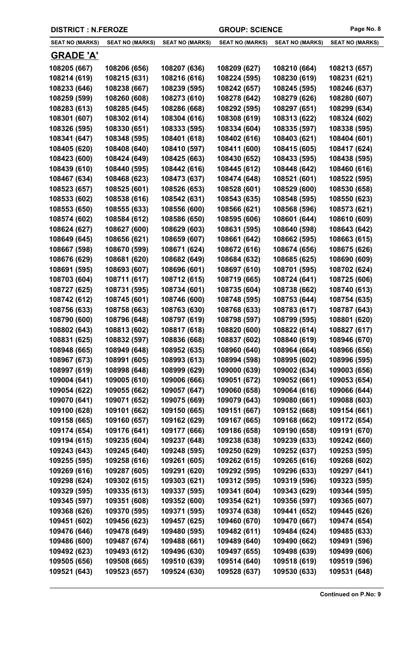| <b>DISTRICT : N.FEROZE</b> |  |
|----------------------------|--|
|----------------------------|--|

| <b>SEAT NO (MARKS)</b>       | <b>SEAT NO (MARKS)</b>       | <b>SEAT NO (MARKS)</b>       | <b>SEAT NO (MARKS)</b>       | <b>SEAT NO (MARKS)</b>       | <b>SEAT NO (MARKS)</b>       |
|------------------------------|------------------------------|------------------------------|------------------------------|------------------------------|------------------------------|
| <b>GRADE 'A'</b>             |                              |                              |                              |                              |                              |
| 108205 (667)                 | 108206 (656)                 | 108207 (636)                 | 108209 (627)                 | 108210 (664)                 | 108213 (657)                 |
| 108214 (619)                 | 108215 (631)                 | 108216 (616)                 | 108224 (595)                 | 108230 (619)                 | 108231 (621)                 |
| 108233 (646)                 | 108238 (667)                 | 108239 (595)                 | 108242 (657)                 | 108245 (595)                 | 108246 (637)                 |
| 108259 (599)                 | 108260 (608)                 | 108273 (610)                 | 108278 (642)                 | 108279 (626)                 | 108280 (607)                 |
| 108283 (613)                 | 108285 (645)                 | 108286 (668)                 | 108292 (595)                 | 108297 (651)                 | 108299 (634)                 |
| 108301 (607)                 | 108302 (614)                 | 108304 (616)                 | 108308 (619)                 | 108313 (622)                 | 108324 (602)                 |
| 108326 (595)                 | 108330 (651)                 | 108333 (595)                 | 108334 (604)                 | 108335 (597)                 | 108338 (595)                 |
| 108341 (647)                 | 108348 (595)                 | 108401 (618)                 | 108402 (616)                 | 108403 (621)                 | 108404 (601)                 |
| 108405 (620)                 | 108408 (640)                 | 108410 (597)                 | 108411 (600)                 | 108415 (605)                 | 108417 (624)                 |
| 108423 (600)                 | 108424 (649)                 | 108425 (663)                 | 108430 (652)                 | 108433 (595)                 | 108438 (595)                 |
| 108439 (610)                 | 108440 (595)                 | 108442 (616)                 | 108445 (612)                 | 108448 (642)                 | 108460 (616)                 |
| 108467 (634)                 | 108468 (623)                 | 108473 (637)                 | 108474 (648)                 | 108521 (601)                 | 108522 (595)                 |
| 108523 (657)                 | 108525 (601)                 | 108526 (653)                 | 108528 (601)                 | 108529 (600)                 | 108530 (658)                 |
| 108533 (602)                 | 108538 (616)                 | 108542 (631)                 | 108543 (635)                 | 108548 (595)                 | 108550 (623)                 |
| 108553 (650)                 | 108555 (633)                 | 108556 (600)                 | 108566 (621)                 | 108568 (596)                 | 108573 (621)                 |
| 108574 (602)                 | 108584 (612)                 | 108586 (650)                 | 108595 (606)                 | 108601 (644)                 | 108610 (609)                 |
| 108624 (627)                 | 108627 (600)                 | 108629 (603)                 | 108631 (595)                 | 108640 (598)                 | 108643 (642)                 |
| 108649 (645)                 | 108656 (621)                 | 108659 (607)                 | 108661 (642)                 | 108662 (595)                 | 108663 (615)                 |
| 108667 (598)                 | 108670 (599)                 | 108671 (624)                 | 108672 (616)                 | 108674 (656)                 | 108675 (626)                 |
| 108676 (629)                 | 108681 (620)                 | 108682 (649)                 | 108684 (632)                 | 108685 (625)                 | 108690 (609)                 |
| 108691 (595)                 | 108693 (607)                 | 108696 (601)                 | 108697 (610)                 | 108701 (595)                 | 108702 (624)                 |
| 108703 (604)                 | 108711 (617)                 | 108712 (615)                 | 108719 (665)                 | 108724 (641)                 | 108725 (606)                 |
| 108727 (625)                 | 108731 (595)                 | 108734 (601)                 | 108735 (604)                 | 108738 (662)                 | 108740 (613)                 |
| 108742 (612)                 | 108745 (601)                 | 108746 (600)                 | 108748 (595)                 | 108753 (644)                 | 108754 (635)                 |
| 108756 (633)                 | 108758 (663)                 | 108763 (630)                 | 108768 (633)                 | 108783 (617)                 | 108787 (643)                 |
| 108790 (600)                 | 108796 (648)                 | 108797 (619)                 | 108798 (597)                 | 108799 (595)                 | 108801 (620)                 |
| 108802 (643)                 | 108813 (602)                 | 108817 (618)                 | 108820 (600)                 | 108822 (614)                 | 108827 (617)                 |
| 108831 (625)                 | 108832 (597)                 | 108836 (668)                 | 108837 (602)                 | 108840 (619)                 | 108946 (670)                 |
| 108948 (665)                 | 108949 (648)                 | 108952 (635)                 | 108960 (640)                 | 108964 (664)                 | 108966 (656)                 |
| 108967 (673)                 | 108991 (605)                 | 108993 (613)                 | 108994 (598)                 | 108995 (602)                 | 108996 (595)                 |
| 108997 (619)                 | 108998 (648)                 | 108999 (629)                 | 109000 (639)                 | 109002 (634)                 | 109003 (656)                 |
| 109004 (641)                 | 109005 (610)                 | 109006 (666)                 | 109051 (672)                 | 109052 (661)                 | 109053 (654)                 |
| 109054 (622)                 | 109055 (662)                 | 109057 (647)                 | 109060 (658)                 | 109064 (616)                 | 109066 (644)                 |
| 109070 (641)                 | 109071 (652)                 | 109075 (669)                 | 109079 (643)                 | 109080 (661)                 | 109088 (603)                 |
| 109100 (628)                 | 109101 (662)                 | 109150 (665)                 | 109151 (667)                 | 109152 (668)                 | 109154 (661)                 |
| 109158 (665)                 | 109160 (657)                 | 109162 (629)                 | 109167 (665)                 | 109168 (662)                 | 109172 (654)                 |
| 109174 (654)                 | 109176 (641)                 | 109177 (666)                 | 109186 (658)                 | 109190 (658)                 | 109191 (670)                 |
| 109194 (615)                 | 109235 (604)                 | 109237 (648)                 | 109238 (638)                 | 109239 (633)                 | 109242 (660)                 |
| 109243 (643)                 | 109245 (640)                 | 109248 (595)                 | 109250 (629)                 | 109252 (637)                 | 109253 (595)                 |
| 109255 (595)                 | 109258 (616)                 | 109261 (605)                 | 109262 (615)                 | 109265 (616)                 | 109268 (602)                 |
| 109269 (616)                 | 109287 (605)                 | 109291 (620)                 | 109292 (595)                 | 109296 (633)                 | 109297 (641)                 |
| 109298 (624)<br>109329 (595) | 109302 (615)                 | 109303 (621)<br>109337 (595) | 109312 (595)                 | 109319 (596)                 | 109323 (595)                 |
|                              | 109335 (613)                 | 109352 (600)                 | 109341 (604)                 | 109343 (629)                 | 109344 (595)                 |
| 109345 (597)<br>109368 (626) | 109351 (608)<br>109370 (595) | 109371 (595)                 | 109354 (621)<br>109374 (638) | 109356 (597)<br>109441 (652) | 109365 (607)<br>109445 (626) |
|                              |                              | 109457 (625)                 |                              |                              |                              |
| 109451 (602)<br>109476 (646) | 109456 (623)<br>109478 (649) | 109480 (595)                 | 109460 (670)<br>109482 (611) | 109470 (667)<br>109484 (624) | 109474 (654)<br>109485 (633) |
| 109486 (600)                 | 109487 (674)                 | 109488 (661)                 | 109489 (640)                 | 109490 (662)                 | 109491 (596)                 |
| 109492 (623)                 | 109493 (612)                 | 109496 (630)                 | 109497 (655)                 | 109498 (639)                 | 109499 (606)                 |
| 109505 (656)                 | 109508 (665)                 | 109510 (639)                 | 109514 (640)                 | 109518 (619)                 | 109519 (596)                 |
|                              |                              |                              | 109528 (637)                 |                              | 109531 (648)                 |
| 109521 (643)                 | 109523 (657)                 | 109524 (630)                 |                              | 109530 (633)                 |                              |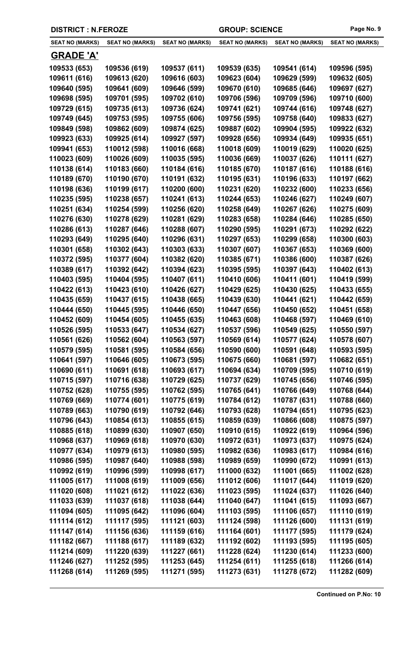| <b>DISTRICT : N.FEROZE</b> |                        |                        | <b>GROUP: SCIENCE</b>  |                        | Page No. 9             |  |
|----------------------------|------------------------|------------------------|------------------------|------------------------|------------------------|--|
| <b>SEAT NO (MARKS)</b>     | <b>SEAT NO (MARKS)</b> | <b>SEAT NO (MARKS)</b> | <b>SEAT NO (MARKS)</b> | <b>SEAT NO (MARKS)</b> | <b>SEAT NO (MARKS)</b> |  |
| <b>GRADE 'A'</b>           |                        |                        |                        |                        |                        |  |
| 109533 (653)               | 109536 (619)           | 109537 (611)           | 109539 (635)           | 109541 (614)           | 109596 (595)           |  |
| 109611 (616)               | 109613 (620)           | 109616 (603)           | 109623 (604)           | 109629 (599)           | 109632 (605)           |  |
| 109640 (595)               | 109641 (609)           | 109646 (599)           | 109670 (610)           | 109685 (646)           | 109697 (627)           |  |
| 109698 (595)               | 109701 (595)           | 109702 (610)           | 109706 (596)           | 109709 (596)           | 109710 (600)           |  |
| 109729 (615)               | 109735 (613)           | 109736 (624)           | 109741 (621)           | 109744 (616)           | 109748 (627)           |  |
| 109749 (645)               | 109753 (595)           | 109755 (606)           | 109756 (595)           | 109758 (640)           | 109833 (627)           |  |
| 109849 (598)               | 109862 (609)           | 109874 (625)           | 109887 (602)           | 109904 (595)           | 109922 (632)           |  |
| 109923 (633)               | 109925 (614)           | 109927 (597)           | 109928 (656)           | 109934 (649)           | 109935 (651)           |  |
| 109941 (653)               | 110012 (598)           | 110016 (668)           | 110018 (609)           | 110019 (629)           | 110020 (625)           |  |
| 110023 (609)               | 110026 (609)           | 110035 (595)           | 110036 (669)           | 110037 (626)           | 110111 (627)           |  |
| 110138 (614)               | 110183 (660)           | 110184 (616)           | 110185 (670)           | 110187 (616)           | 110188 (616)           |  |
| 110189 (670)               | 110190 (670)           | 110191 (632)           | 110195 (631)           | 110196 (633)           | 110197 (662)           |  |
| 110198 (636)               | 110199 (617)           | 110200 (600)           | 110231 (620)           | 110232 (600)           | 110233 (656)           |  |
| 110235 (595)               | 110238 (657)           | 110241 (613)           | 110244 (653)           | 110246 (627)           | 110249 (607)           |  |
| 110251 (634)               | 110254 (599)           | 110256 (620)           | 110258 (649)           | 110267 (626)           | 110275 (609)           |  |
| 110276 (630)               | 110278 (629)           | 110281 (629)           | 110283 (658)           | 110284 (646)           | 110285 (650)           |  |
| 110286 (613)               | 110287 (646)           | 110288 (607)           | 110290 (595)           | 110291 (673)           | 110292 (622)           |  |
| 110293 (649)               | 110295 (640)           | 110296 (631)           | 110297 (653)           | 110299 (658)           | 110300 (603)           |  |

**110301 (658) 110302 (643) 110303 (633) 110307 (607) 110367 (653) 110369 (600) 110372 (595) 110377 (604) 110382 (620) 110385 (671) 110386 (600) 110387 (626) 110389 (617) 110392 (642) 110394 (623) 110395 (595) 110397 (643) 110402 (613) 110403 (595) 110404 (595) 110407 (611) 110410 (606) 110411 (601) 110419 (599) 110422 (613) 110423 (610) 110426 (627) 110429 (625) 110430 (625) 110433 (655) 110435 (659) 110437 (615) 110438 (665) 110439 (630) 110441 (621) 110442 (659) 110444 (650) 110445 (595) 110446 (650) 110447 (656) 110450 (652) 110451 (658) 110452 (609) 110454 (605) 110455 (635) 110463 (608) 110468 (597) 110469 (610) 110526 (595) 110533 (647) 110534 (627) 110537 (596) 110549 (625) 110550 (597) 110561 (626) 110562 (604) 110563 (597) 110569 (614) 110577 (624) 110578 (607) 110579 (595) 110581 (595) 110584 (656) 110590 (600) 110591 (648) 110593 (595) 110641 (597) 110646 (605) 110673 (595) 110675 (660) 110681 (597) 110682 (651) 110690 (611) 110691 (618) 110693 (617) 110694 (634) 110709 (595) 110710 (619) 110715 (597) 110716 (638) 110729 (625) 110737 (629) 110745 (656) 110746 (595) 110752 (628) 110755 (595) 110762 (595) 110765 (641) 110766 (649) 110768 (644) 110769 (669) 110774 (601) 110775 (619) 110784 (612) 110787 (631) 110788 (660) 110789 (663) 110790 (619) 110792 (646) 110793 (628) 110794 (651) 110795 (623) 110796 (643) 110854 (613) 110855 (615) 110859 (639) 110866 (608) 110875 (597) 110885 (618) 110899 (630) 110907 (650) 110910 (615) 110922 (619) 110964 (596) 110968 (637) 110969 (618) 110970 (630) 110972 (631) 110973 (637) 110975 (624) 110977 (634) 110979 (613) 110980 (595) 110982 (636) 110983 (617) 110984 (616) 110986 (595) 110987 (640) 110988 (598) 110989 (659) 110990 (672) 110991 (613) 110992 (619) 110996 (599) 110998 (617) 111000 (632) 111001 (665) 111002 (628) 111005 (617) 111008 (619) 111009 (656) 111012 (606) 111017 (644) 111019 (620) 111020 (608) 111021 (612) 111022 (636) 111023 (595) 111024 (637) 111026 (640) 111033 (639) 111037 (618) 111038 (644) 111040 (647) 111041 (615) 111093 (667) 111094 (605) 111095 (642) 111096 (604) 111103 (595) 111106 (657) 111110 (619) 111114 (612) 111117 (595) 111121 (603) 111124 (598) 111126 (600) 111131 (619) 111147 (614) 111156 (636) 111159 (616) 111164 (601) 111177 (595) 111179 (624) 111182 (667) 111188 (617) 111189 (632) 111192 (602) 111193 (595) 111195 (605) 111214 (609) 111220 (639) 111227 (661) 111228 (624) 111230 (614) 111233 (600) 111246 (627) 111252 (595) 111253 (645) 111254 (611) 111255 (618) 111266 (614) 111268 (614) 111269 (595) 111271 (595) 111273 (631) 111278 (672) 111282 (609)**

**Continued on P.No: 10**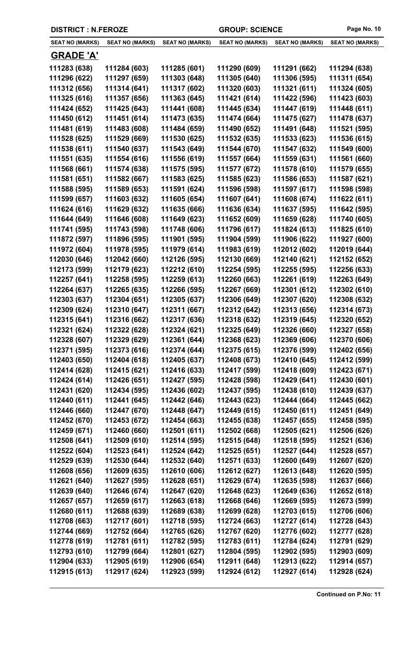|  | <b>DISTRICT : N.FEROZE</b> |
|--|----------------------------|
|--|----------------------------|

| <b>SEAT NO (MARKS)</b>       | <b>SEAT NO (MARKS)</b>       | <b>SEAT NO (MARKS)</b>       | <b>SEAT NO (MARKS)</b>       | <b>SEAT NO (MARKS)</b>       | <b>SEAT NO (MARKS)</b>       |
|------------------------------|------------------------------|------------------------------|------------------------------|------------------------------|------------------------------|
| <b>GRADE 'A'</b>             |                              |                              |                              |                              |                              |
| 111283 (638)                 | 111284 (603)                 | 111285 (601)                 | 111290 (609)                 | 111291 (662)                 | 111294 (638)                 |
| 111296 (622)                 | 111297 (659)                 | 111303 (648)                 | 111305 (640)                 | 111306 (595)                 | 111311 (654)                 |
| 111312 (656)                 | 111314 (641)                 | 111317 (602)                 | 111320 (603)                 | 111321 (611)                 | 111324 (605)                 |
| 111325 (616)                 | 111357 (656)                 | 111363 (645)                 | 111421 (614)                 | 111422 (596)                 | 111423 (603)                 |
| 111424 (652)                 | 111425 (643)                 | 111441 (608)                 | 111445 (634)                 | 111447 (619)                 | 111448 (611)                 |
| 111450 (612)                 | 111451 (614)                 | 111473 (635)                 | 111474 (664)                 | 111475 (627)                 | 111478 (637)                 |
| 111481 (619)                 | 111483 (608)                 | 111484 (659)                 | 111490 (652)                 | 111491 (648)                 | 111521 (595)                 |
| 111528 (625)                 | 111529 (669)                 | 111530 (625)                 | 111532 (635)                 | 111533 (623)                 | 111536 (615)                 |
| 111538 (611)                 | 111540 (637)                 | 111543 (649)                 | 111544 (670)                 | 111547 (632)                 | 111549 (600)                 |
| 111551 (635)                 | 111554 (616)                 | 111556 (619)                 | 111557 (664)                 | 111559 (631)                 | 111561 (660)                 |
| 111568 (661)                 | 111574 (638)                 | 111575 (595)                 | 111577 (672)                 | 111578 (610)                 | 111579 (655)                 |
| 111581 (651)                 | 111582 (667)                 | 111583 (625)                 | 111585 (623)                 | 111586 (653)                 | 111587 (621)                 |
| 111588 (595)                 | 111589 (653)                 | 111591 (624)                 | 111596 (598)                 | 111597 (617)                 | 111598 (598)                 |
| 111599 (657)                 | 111603 (632)                 | 111605 (654)                 | 111607 (641)                 | 111608 (674)                 | 111622 (611)                 |
| 111624 (616)                 | 111629 (632)                 | 111635 (666)                 | 111636 (634)                 | 111637 (595)                 | 111642 (595)                 |
| 111644 (649)                 | 111646 (608)                 | 111649 (623)                 | 111652 (609)                 | 111659 (628)                 | 111740 (605)                 |
| 111741 (595)                 | 111743 (598)                 | 111748 (606)                 | 111796 (617)                 | 111824 (613)                 | 111825 (610)                 |
| 111872 (597)                 | 111896 (595)                 | 111901 (595)                 | 111904 (599)                 | 111906 (622)                 | 111927 (600)                 |
| 111972 (604)                 | 111978 (595)                 | 111979 (614)                 | 111983 (619)                 | 112012 (602)                 | 112019 (644)                 |
| 112030 (646)                 | 112042 (660)                 | 112126 (595)                 | 112130 (669)                 | 112140 (621)                 | 112152 (652)                 |
| 112173 (599)                 | 112179 (623)                 | 112212 (610)                 | 112254 (595)                 | 112255 (595)                 | 112256 (633)                 |
| 112257 (641)                 | 112258 (595)                 | 112259 (613)                 | 112260 (663)                 | 112261 (619)                 | 112263 (649)                 |
| 112264 (637)                 | 112265 (635)                 | 112266 (595)                 | 112267 (669)                 | 112301 (612)                 | 112302 (610)                 |
| 112303 (637)                 | 112304 (651)                 | 112305 (637)                 | 112306 (649)                 | 112307 (620)                 | 112308 (632)                 |
| 112309 (624)                 | 112310 (647)                 | 112311 (667)                 | 112312 (642)                 | 112313 (656)                 | 112314 (673)                 |
| 112315 (641)                 | 112316 (662)                 | 112317 (636)                 | 112318 (632)                 | 112319 (645)                 | 112320 (652)                 |
| 112321 (624)                 | 112322 (628)                 | 112324 (621)                 | 112325 (649)                 | 112326 (660)                 | 112327 (658)                 |
| 112328 (607)                 | 112329 (629)                 | 112361 (644)                 | 112368 (623)                 | 112369 (606)                 | 112370 (606)                 |
| 112371 (595)                 | 112373 (616)<br>112404 (618) | 112374 (644)                 | 112375 (615)<br>112408 (673) | 112376 (599)                 | 112402 (656)                 |
| 112403 (650)                 | 112415 (621)                 | 112405 (637)                 | 112417 (599)                 | 112410 (645)                 | 112412 (599)                 |
| 112414 (628)<br>112424 (614) | 112426 (651)                 | 112416 (633)<br>112427 (595) | 112428 (598)                 | 112418 (609)<br>112429 (641) | 112423 (671)<br>112430 (601) |
| 112431 (620)                 | 112434 (595)                 | 112436 (602)                 | 112437 (595)                 | 112438 (610)                 | 112439 (637)                 |
| 112440 (611)                 | 112441 (645)                 | 112442 (646)                 | 112443 (623)                 | 112444 (664)                 | 112445 (662)                 |
| 112446 (660)                 | 112447 (670)                 | 112448 (647)                 | 112449 (615)                 | 112450 (611)                 | 112451 (649)                 |
| 112452 (670)                 | 112453 (672)                 | 112454 (663)                 | 112455 (638)                 | 112457 (655)                 | 112458 (595)                 |
| 112459 (671)                 | 112460 (660)                 | 112501 (611)                 | 112502 (668)                 | 112505 (621)                 | 112506 (626)                 |
| 112508 (641)                 | 112509 (610)                 | 112514 (595)                 | 112515 (648)                 | 112518 (595)                 | 112521 (636)                 |
| 112522 (604)                 | 112523 (641)                 | 112524 (642)                 | 112525 (651)                 | 112527 (644)                 | 112528 (657)                 |
| 112529 (639)                 | 112530 (644)                 | 112532 (640)                 | 112571 (633)                 | 112600 (649)                 | 112607 (620)                 |
| 112608 (656)                 | 112609 (635)                 | 112610 (606)                 | 112612 (627)                 | 112613 (648)                 | 112620 (595)                 |
| 112621 (640)                 | 112627 (595)                 | 112628 (651)                 | 112629 (674)                 | 112635 (598)                 | 112637 (666)                 |
| 112639 (640)                 | 112646 (674)                 | 112647 (620)                 | 112648 (623)                 | 112649 (636)                 | 112652 (618)                 |
| 112657 (657)                 | 112659 (617)                 | 112663 (618)                 | 112668 (646)                 | 112669 (595)                 | 112673 (599)                 |
| 112680 (611)                 | 112688 (639)                 | 112689 (638)                 | 112699 (628)                 | 112703 (615)                 | 112706 (606)                 |
| 112708 (663)                 | 112717 (601)                 | 112718 (595)                 | 112724 (663)                 | 112727 (614)                 | 112728 (643)                 |
| 112744 (669)                 | 112752 (664)                 | 112765 (626)                 | 112767 (620)                 | 112776 (602)                 | 112777 (628)                 |
| 112778 (619)                 | 112781 (611)                 | 112782 (595)                 | 112783 (611)                 | 112784 (624)                 | 112791 (629)                 |
| 112793 (610)                 | 112799 (664)                 | 112801 (627)                 | 112804 (595)                 | 112902 (595)                 | 112903 (609)                 |
| 112904 (633)                 | 112905 (619)                 | 112906 (654)                 | 112911 (648)                 | 112913 (622)                 | 112914 (657)                 |
| 112915 (613)                 | 112917 (624)                 | 112923 (599)                 | 112924 (612)                 | 112927 (614)                 | 112928 (624)                 |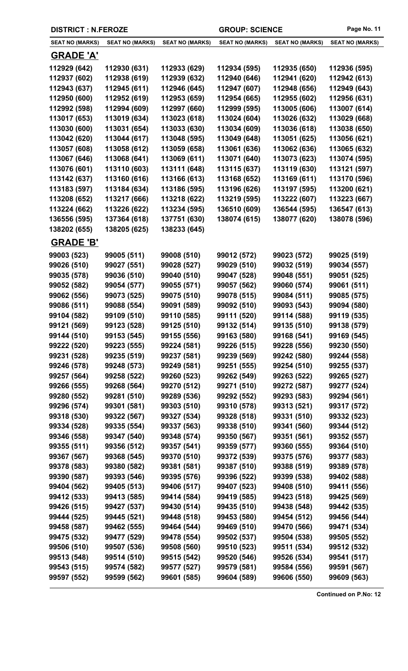|                        | <b>DISTRICT: N.FEROZE</b><br><b>GROUP: SCIENCE</b> |                        |                        | Page No. 11            |                        |
|------------------------|----------------------------------------------------|------------------------|------------------------|------------------------|------------------------|
| <b>SEAT NO (MARKS)</b> | <b>SEAT NO (MARKS)</b>                             | <b>SEAT NO (MARKS)</b> | <b>SEAT NO (MARKS)</b> | <b>SEAT NO (MARKS)</b> | <b>SEAT NO (MARKS)</b> |
| <b>GRADE 'A'</b>       |                                                    |                        |                        |                        |                        |
| 112929 (642)           | 112930 (631)                                       | 112933 (629)           | 112934 (595)           | 112935 (650)           | 112936 (595)           |
| 112937 (602)           | 112938 (619)                                       | 112939 (632)           | 112940 (646)           | 112941 (620)           | 112942 (613)           |
| 112943 (637)           | 112945 (611)                                       | 112946 (645)           | 112947 (607)           | 112948 (656)           | 112949 (643)           |
| 112950 (600)           | 112952 (619)                                       | 112953 (659)           | 112954 (665)           | 112955 (602)           | 112956 (631)           |
| 112992 (598)           | 112994 (609)                                       | 112997 (660)           | 112999 (595)           | 113005 (606)           | 113007 (614)           |
| 113017 (653)           | 113019 (634)                                       | 113023 (618)           | 113024 (604)           | 113026 (632)           | 113029 (668)           |
| 113030 (600)           | 113031 (654)                                       | 113033 (630)           | 113034 (609)           | 113036 (618)           | 113038 (650)           |
| 113042 (620)           | 113044 (617)                                       | 113048 (595)           | 113049 (648)           | 113051 (625)           | 113056 (621)           |
| 113057 (608)           | 113058 (612)                                       | 113059 (658)           | 113061 (636)           | 113062 (636)           | 113065 (632)           |
| 113067 (646)           | 113068 (641)                                       | 113069 (611)           | 113071 (640)           | 113073 (623)           | 113074 (595)           |
| 113076 (601)           | 113110 (603)                                       | 113111 (648)           | 113115 (637)           | 113119 (630)           | 113121 (597)           |
| 113142 (637)           | 113160 (616)                                       | 113166 (613)           | 113168 (652)           | 113169 (611)           | 113170 (596)           |
| 113183 (597)           | 113184 (634)                                       | 113186 (595)           | 113196 (626)           | 113197 (595)           | 113200 (621)           |
| 113208 (652)           | 113217 (666)                                       | 113218 (622)           | 113219 (595)           | 113222 (607)           | 113223 (667)           |
| 113224 (662)           | 113226 (622)                                       | 113234 (595)           | 136510 (609)           | 136544 (595)           | 136547 (613)           |
| 136556 (595)           | 137364 (618)                                       | 137751 (630)           | 138074 (615)           | 138077 (620)           | 138078 (596)           |
| 138202 (655)           | 138205 (625)                                       | 138233 (645)           |                        |                        |                        |
| <b>GRADE 'B'</b>       |                                                    |                        |                        |                        |                        |
| 99003 (523)            | 99005 (511)                                        | 99008 (510)            | 99012 (572)            | 99023 (572)            | 99025 (519)            |
| 99026 (510)            | 99027 (551)                                        | 99028 (527)            | 99029 (510)            | 99032 (519)            | 99034 (557)            |
| 99035 (578)            | 99036 (510)                                        | 99040 (510)            | 99047 (528)            | 99048 (551)            | 99051 (525)            |
| 99052 (582)            | 99054 (577)                                        | 99055 (571)            | 99057 (562)            | 99060 (574)            | 99061 (511)            |
| 99062 (556)            | 99073 (525)                                        | 99075 (510)            | 99078 (515)            | 99084 (511)            | 99085 (575)            |
| 99086 (511)            | 99088 (554)                                        | 99091 (589)            | 99092 (510)            | 99093 (543)            | 99094 (580)            |
| 99104 (582)            | 99109 (510)                                        | 99110 (585)            | 99111 (520)            | 99114 (588)            | 99119 (535)            |
| 99121 (569)            | 99123 (528)                                        | 99125 (510)            | 99132 (514)            | 99135 (510)            | 99138 (579)            |
| 99144 (510)            | 99153 (545)                                        | 99155 (556)            | 99163 (580)            | 99168 (541)            | 99169 (545)            |
| 99222 (520)            | 99223 (555)                                        | 99224 (581)            | 99226 (515)            | 99228 (556)            | 99230 (550)            |
| 99231 (528)            | 99235 (519)                                        | 99237 (581)            | 99239 (569)            | 99242 (580)            | 99244 (558)            |
| 99246 (578)            | 99248 (573)                                        | 99249 (581)            | 99251 (555)            | 99254 (510)            | 99255 (537)            |
| 99257 (564)            | 99258 (522)                                        | 99260 (523)            | 99262 (549)            | 99263 (522)            | 99265 (527)            |
| 99266 (555)            | 99268 (564)                                        | 99270 (512)            | 99271 (510)            | 99272 (587)            | 99277 (524)            |
| 99280 (552)            | 99281 (510)                                        | 99289 (536)            | 99292 (552)            | 99293 (583)            | 99294 (561)            |
| 99296 (574)            | 99301 (581)                                        | 99303 (510)            | 99310 (578)            | 99313 (521)            | 99317 (572)            |
| 99318 (530)            | 99322 (567)                                        | 99327 (534)            | 99328 (518)            | 99331 (510)            | 99332 (523)            |
| 99334 (528)            | 99335 (554)                                        | 99337 (563)            | 99338 (510)            | 99341 (560)            | 99344 (512)            |
| 99346 (558)            | 99347 (540)                                        | 99348 (574)            | 99350 (567)            | 99351 (561)            | 99352 (557)            |
| 99355 (511)            | 99356 (512)                                        | 99357 (541)            | 99359 (577)            | 99360 (555)            | 99364 (510)            |
| 99367 (567)            | 99368 (545)                                        | 99370 (510)            | 99372 (539)            | 99375 (576)            | 99377 (583)            |
| 99378 (583)            | 99380 (582)                                        | 99381 (581)            | 99387 (510)            | 99388 (519)            | 99389 (578)            |
| 99390 (587)            | 99393 (546)                                        | 99395 (576)            | 99396 (522)            | 99399 (538)            | 99402 (588)            |
| 99404 (562)            | 99405 (513)                                        | 99406 (517)            | 99407 (523)            | 99408 (510)            | 99411 (556)            |
| 99412 (533)            | 99413 (585)                                        | 99414 (584)            | 99419 (585)            | 99423 (518)            | 99425 (569)            |
| 99426 (515)            | 99427 (537)                                        | 99430 (514)            | 99435 (510)            | 99438 (548)            | 99442 (535)            |
| 99444 (525)            | 99445 (521)                                        | 99448 (518)            | 99453 (580)            | 99454 (512)            | 99456 (544)            |
| 99458 (587)            | 99462 (555)                                        | 99464 (544)            | 99469 (510)            | 99470 (566)            | 99471 (534)            |
| 99475 (532)            | 99477 (529)                                        | 99478 (554)            | 99502 (537)            | 99504 (538)            | 99505 (552)            |
| 99506 (510)            | 99507 (536)                                        | 99508 (560)            | 99510 (523)            | 99511 (534)            | 99512 (532)            |
| 99513 (548)            | 99514 (510)                                        | 99515 (542)            | 99520 (546)            | 99526 (534)            | 99541 (517)            |
| 99543 (515)            | 99574 (582)                                        | 99577 (527)            | 99579 (581)            | 99584 (556)            | 99591 (567)            |
| 99597 (552)            | 99599 (562)                                        | 99601 (585)            | 99604 (589)            | 99606 (550)            | 99609 (563)            |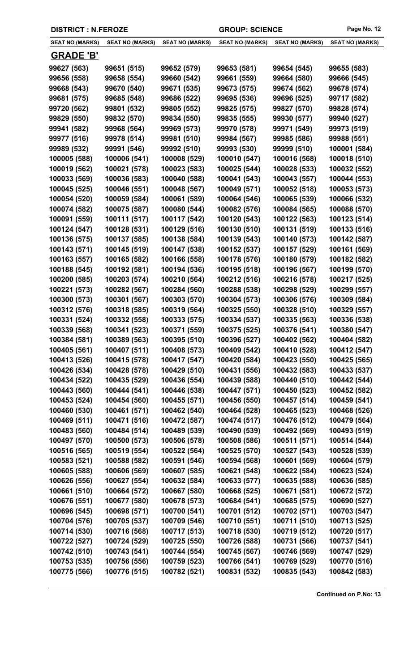| <b>SEAT NO (MARKS)</b> | <b>SEAT NO (MARKS)</b> | <b>SEAT NO (MARKS)</b> | <b>SEAT NO (MARKS)</b> | <b>SEAT NO (MARKS)</b> | <b>SEAT NO (MARKS)</b> |
|------------------------|------------------------|------------------------|------------------------|------------------------|------------------------|
| <b>GRADE 'B'</b>       |                        |                        |                        |                        |                        |
| 99627 (563)            | 99651 (515)            | 99652 (579)            | 99653 (581)            | 99654 (545)            | 99655 (583)            |
| 99656 (558)            | 99658 (554)            | 99660 (542)            | 99661 (559)            | 99664 (580)            | 99666 (545)            |
| 99668 (543)            | 99670 (540)            | 99671 (535)            | 99673 (575)            | 99674 (562)            | 99678 (574)            |
| 99681 (575)            | 99685 (548)            | 99686 (522)            | 99695 (536)            | 99696 (525)            | 99717 (582)            |
| 99720 (562)            | 99801 (532)            | 99805 (552)            | 99825 (575)            | 99827 (570)            | 99828 (574)            |
| 99829 (550)            | 99832 (570)            | 99834 (550)            | 99835 (555)            | 99930 (577)            | 99940 (527)            |
| 99941 (582)            | 99968 (564)            | 99969 (573)            | 99970 (578)            | 99971 (549)            | 99973 (519)            |
| 99977 (516)            | 99978 (514)            | 99981 (510)            | 99984 (567)            | 99985 (586)            | 99988 (551)            |
| 99989 (532)            | 99991 (546)            | 99992 (510)            | 99993 (530)            | 99999 (510)            | 100001 (584)           |
| 100005 (588)           | 100006 (541)           | 100008 (529)           | 100010 (547)           | 100016 (568)           | 100018 (510)           |
| 100019 (562)           | 100021 (578)           | 100023 (583)           | 100025 (544)           | 100028 (533)           | 100032 (552)           |
| 100033 (569)           | 100036 (583)           | 100040 (588)           | 100041 (543)           | 100043 (557)           | 100044 (553)           |
| 100045 (525)           | 100046 (551)           | 100048 (567)           | 100049 (571)           | 100052 (518)           | 100053 (573)           |
| 100054 (520)           | 100059 (584)           | 100061 (589)           | 100064 (546)           | 100065 (539)           | 100066 (532)           |
| 100074 (582)           | 100075 (587)           | 100080 (544)           | 100082 (576)           | 100084 (565)           | 100088 (570)           |
| 100091 (559)           | 100111 (517)           | 100117 (542)           | 100120 (543)           | 100122 (563)           | 100123 (514)           |
| 100124 (547)           | 100128 (531)           | 100129 (516)           | 100130 (510)           | 100131 (519)           | 100133 (516)           |
| 100136 (575)           | 100137 (585)           | 100138 (584)           | 100139 (543)           | 100140 (573)           | 100142 (587)           |
| 100143 (571)           | 100145 (519)           | 100147 (538)           | 100152 (537)           | 100157 (529)           | 100161 (569)           |
| 100163 (557)           | 100165 (582)           | 100166 (558)           | 100178 (576)           | 100180 (579)           | 100182 (582)           |
| 100188 (545)           | 100192 (581)           | 100194 (536)           | 100195 (518)           | 100196 (567)           | 100199 (570)           |
| 100200 (585)           | 100203 (574)           | 100210 (564)           | 100212 (516)           | 100216 (578)           | 100217 (525)           |
| 100221 (573)           | 100282 (567)           | 100284 (560)           | 100288 (538)           | 100298 (529)           | 100299 (557)           |
| 100300 (573)           | 100301 (567)           | 100303 (570)           | 100304 (573)           | 100306 (576)           | 100309 (584)           |
| 100312 (576)           | 100318 (585)           | 100319 (564)           | 100325 (550)           | 100328 (510)           | 100329 (557)           |
| 100331 (524)           | 100332 (558)           | 100333 (575)           | 100334 (537)           | 100335 (563)           | 100336 (538)           |
| 100339 (568)           | 100341 (523)           | 100371 (559)           | 100375 (525)           | 100376 (541)           | 100380 (547)           |
| 100384 (581)           | 100389 (563)           | 100395 (510)           | 100396 (527)           | 100402 (562)           | 100404 (582)           |
| 100405 (561)           | 100407 (511)           | 100408 (573)           | 100409 (542)           | 100410 (528)           | 100412 (547)           |
| 100413 (526)           | 100415 (578)           | 100417 (547)           | 100420 (584)           | 100423 (550)           | 100425 (565)           |
| 100426 (534)           | 100428 (578)           | 100429 (510)           | 100431 (556)           | 100432 (583)           | 100433 (537)           |
| 100434 (522)           | 100435 (529)           | 100436 (554)           | 100439 (588)           | 100440 (510)           | 100442 (544)           |
| 100443 (560)           | 100444 (541)           | 100446 (538)           | 100447 (571)           | 100450 (523)           | 100452 (582)           |
| 100453 (524)           | 100454 (560)           | 100455 (571)           | 100456 (550)           | 100457 (514)           | 100459 (541)           |
| 100460 (530)           | 100461 (571)           | 100462 (540)           | 100464 (528)           | 100465 (523)           | 100468 (526)           |
| 100469 (511)           | 100471 (516)           | 100472 (587)           | 100474 (517)           | 100476 (512)           | 100479 (564)           |
| 100483 (560)           | 100484 (514)           | 100489 (539)           | 100490 (539)           | 100492 (569)           | 100493 (519)           |
| 100497 (570)           | 100500 (573)           | 100506 (578)           | 100508 (586)           | 100511 (571)           | 100514 (544)           |
| 100516 (565)           | 100519 (554)           | 100522 (564)           | 100525 (570)           | 100527 (543)           | 100528 (539)           |
| 100583 (521)           | 100588 (582)           | 100591 (546)           | 100594 (568)           | 100601 (569)           | 100604 (579)           |
| 100605 (588)           | 100606 (569)           | 100607 (585)           | 100621 (548)           | 100622 (584)           | 100623 (524)           |
| 100626 (556)           | 100627 (554)           | 100632 (584)           | 100633 (577)           | 100635 (588)           | 100636 (585)           |
| 100661 (510)           | 100664 (572)           | 100667 (580)           | 100668 (525)           | 100671 (581)           | 100672 (572)           |
| 100676 (551)           | 100677 (580)           | 100678 (573)           | 100684 (541)           | 100685 (575)           | 100690 (527)           |
| 100696 (545)           | 100698 (571)           | 100700 (541)           | 100701 (512)           | 100702 (571)           | 100703 (547)           |
| 100704 (576)           | 100705 (537)           | 100709 (546)           | 100710 (551)           | 100711 (510)           | 100713 (525)           |
| 100714 (530)           | 100716 (568)           | 100717 (513)           | 100718 (530)           | 100719 (512)           | 100720 (517)           |
| 100722 (527)           | 100724 (529)           | 100725 (550)           | 100726 (588)           | 100731 (566)           | 100737 (541)           |
| 100742 (510)           | 100743 (541)           | 100744 (554)           | 100745 (567)           | 100746 (569)           | 100747 (529)           |
| 100753 (535)           | 100756 (556)           | 100759 (523)           | 100766 (541)           | 100769 (529)           | 100770 (516)           |
| 100775 (566)           | 100776 (515)           | 100782 (521)           | 100831 (532)           | 100835 (543)           | 100842 (583)           |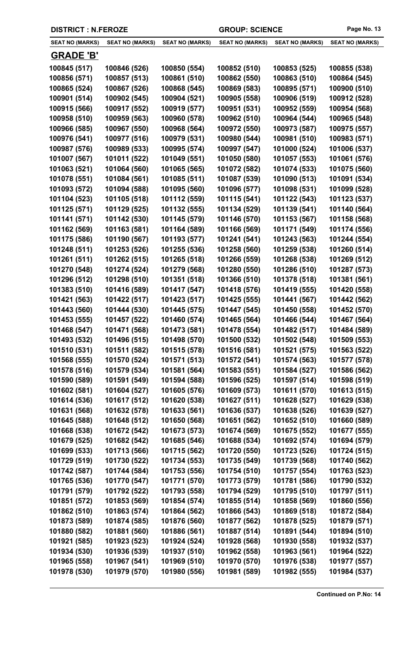| <b>SEAT NO (MARKS)</b>       | <b>SEAT NO (MARKS)</b>       | <b>SEAT NO (MARKS)</b>       | <b>SEAT NO (MARKS)</b>       | <b>SEAT NO (MARKS)</b>       | <b>SEAT NO (MARKS)</b>       |
|------------------------------|------------------------------|------------------------------|------------------------------|------------------------------|------------------------------|
| <b>GRADE 'B'</b>             |                              |                              |                              |                              |                              |
| 100845 (517)                 | 100846 (526)                 | 100850 (554)                 | 100852 (510)                 | 100853 (525)                 | 100855 (538)                 |
| 100856 (571)                 | 100857 (513)                 | 100861 (510)                 | 100862 (550)                 | 100863 (510)                 | 100864 (545)                 |
| 100865 (524)                 | 100867 (526)                 | 100868 (545)                 | 100869 (583)                 | 100895 (571)                 | 100900 (510)                 |
| 100901 (514)                 | 100902 (545)                 | 100904 (521)                 | 100905 (558)                 | 100906 (519)                 | 100912 (528)                 |
| 100915 (566)                 | 100917 (552)                 | 100919 (577)                 | 100951 (531)                 | 100952 (559)                 | 100954 (568)                 |
| 100958 (510)                 | 100959 (563)                 | 100960 (578)                 | 100962 (510)                 | 100964 (544)                 | 100965 (548)                 |
| 100966 (585)                 | 100967 (550)                 | 100968 (564)                 | 100972 (550)                 | 100973 (587)                 | 100975 (557)                 |
| 100976 (541)                 | 100977 (516)                 | 100979 (531)                 | 100980 (544)                 | 100981 (510)                 | 100983 (571)                 |
| 100987 (576)                 | 100989 (533)                 | 100995 (574)                 | 100997 (547)                 | 101000 (524)                 | 101006 (537)                 |
| 101007 (567)                 | 101011 (522)                 | 101049 (551)                 | 101050 (580)                 | 101057 (553)                 | 101061 (576)                 |
| 101063 (521)                 | 101064 (560)                 | 101065 (565)                 | 101072 (582)                 | 101074 (533)                 | 101075 (560)                 |
| 101078 (551)                 | 101084 (561)                 | 101085 (511)                 | 101087 (539)                 | 101090 (513)                 | 101091 (534)                 |
| 101093 (572)                 | 101094 (588)                 | 101095 (560)                 | 101096 (577)                 | 101098 (531)                 | 101099 (528)                 |
| 101104 (523)                 | 101105 (518)                 | 101112 (559)                 | 101115 (541)                 | 101122 (543)                 | 101123 (537)                 |
| 101125 (571)                 | 101129 (525)                 | 101132 (555)                 | 101134 (529)                 | 101139 (541)                 | 101140 (564)                 |
| 101141 (571)                 | 101142 (530)                 | 101145 (579)                 | 101146 (570)                 | 101153 (567)                 | 101158 (568)                 |
| 101162 (569)                 | 101163 (581)                 | 101164 (589)                 | 101166 (569)                 | 101171 (549)                 | 101174 (556)                 |
| 101175 (586)                 | 101190 (567)                 | 101193 (577)                 | 101241 (541)                 | 101243 (563)                 | 101244 (554)                 |
| 101248 (511)                 | 101253 (526)                 | 101255 (536)                 | 101258 (560)                 | 101259 (538)                 | 101260 (514)                 |
| 101261 (511)                 | 101262 (515)                 | 101265 (518)                 | 101266 (559)                 | 101268 (538)                 | 101269 (512)                 |
| 101270 (548)                 | 101274 (524)                 | 101279 (568)                 | 101280 (550)                 | 101286 (510)                 | 101287 (573)                 |
| 101296 (512)                 | 101298 (510)                 | 101351 (518)                 | 101366 (510)                 | 101378 (518)                 | 101381 (561)                 |
| 101383 (510)                 | 101416 (589)                 | 101417 (547)                 | 101418 (576)                 | 101419 (555)                 | 101420 (558)                 |
| 101421 (563)                 | 101422 (517)                 | 101423 (517)                 | 101425 (555)                 | 101441 (567)                 | 101442 (562)                 |
| 101443 (560)                 | 101444 (530)                 | 101445 (575)                 | 101447 (545)                 | 101450 (558)                 | 101452 (570)                 |
| 101453 (555)                 | 101457 (522)                 | 101460 (574)                 | 101465 (564)                 | 101466 (544)                 | 101467 (564)                 |
| 101468 (547)                 | 101471 (568)                 | 101473 (581)                 | 101478 (554)                 | 101482 (517)                 | 101484 (589)                 |
| 101493 (532)                 | 101496 (515)                 | 101498 (570)                 | 101500 (532)                 | 101502 (548)                 | 101509 (553)                 |
| 101510 (531)                 | 101511 (582)                 | 101515 (578)                 | 101516 (581)                 | 101521 (575)                 | 101563 (522)                 |
| 101568 (555)                 | 101570 (524)                 | 101571 (513)                 | 101572 (541)                 | 101574 (563)                 | 101577 (578)                 |
| 101578 (516)                 | 101579 (534)                 | 101581 (564)                 | 101583 (551)                 | 101584 (527)                 | 101586 (562)                 |
| 101590 (589)                 | 101591 (549)                 | 101594 (588)                 | 101596 (525)                 | 101597 (514)                 | 101598 (519)                 |
| 101602 (581)                 | 101604 (527)                 | 101605 (576)                 | 101609 (573)                 | 101611 (570)                 | 101613 (515)                 |
| 101614 (536)                 | 101617 (512)                 | 101620 (538)                 | 101627 (511)                 | 101628 (527)                 | 101629 (538)                 |
| 101631 (568)                 | 101632 (578)                 | 101633 (561)                 | 101636 (537)                 | 101638 (526)                 | 101639 (527)                 |
| 101645 (588)                 | 101648 (512)                 | 101650 (568)                 | 101651 (562)                 | 101652 (510)                 | 101660 (589)                 |
| 101668 (538)                 | 101672 (542)                 | 101673 (573)                 | 101674 (569)                 | 101675 (552)                 | 101677 (555)                 |
| 101679 (525)                 | 101682 (542)                 | 101685 (546)                 | 101688 (534)                 | 101692 (574)                 | 101694 (579)                 |
| 101699 (533)                 | 101713 (566)                 | 101715 (562)                 | 101720 (550)                 | 101723 (526)                 | 101724 (515)                 |
| 101729 (519)                 | 101730 (522)                 | 101734 (553)<br>101753 (556) | 101735 (549)                 | 101739 (568)                 | 101740 (562)                 |
| 101742 (587)<br>101765 (536) | 101744 (584)<br>101770 (547) | 101771 (570)                 | 101754 (510)<br>101773 (579) | 101757 (554)<br>101781 (586) | 101763 (523)<br>101790 (532) |
| 101791 (579)                 | 101792 (522)                 | 101793 (558)                 | 101794 (529)                 | 101795 (510)                 | 101797 (511)                 |
| 101851 (572)                 | 101853 (569)                 | 101854 (574)                 | 101855 (514)                 | 101858 (569)                 | 101860 (556)                 |
| 101862 (510)                 | 101863 (574)                 | 101864 (562)                 | 101866 (543)                 | 101869 (518)                 | 101872 (584)                 |
| 101873 (589)                 | 101874 (585)                 | 101876 (560)                 | 101877 (562)                 | 101878 (525)                 | 101879 (571)                 |
| 101880 (582)                 | 101881 (560)                 | 101886 (561)                 | 101887 (514)                 | 101891 (544)                 | 101894 (510)                 |
| 101921 (585)                 | 101923 (523)                 | 101924 (524)                 | 101928 (568)                 | 101930 (558)                 | 101932 (537)                 |
| 101934 (530)                 | 101936 (539)                 | 101937 (510)                 | 101962 (558)                 | 101963 (561)                 | 101964 (522)                 |
| 101965 (558)                 | 101967 (541)                 | 101969 (510)                 | 101970 (570)                 | 101976 (538)                 | 101977 (557)                 |
| 101978 (530)                 | 101979 (570)                 | 101980 (556)                 | 101981 (589)                 | 101982 (555)                 | 101984 (537)                 |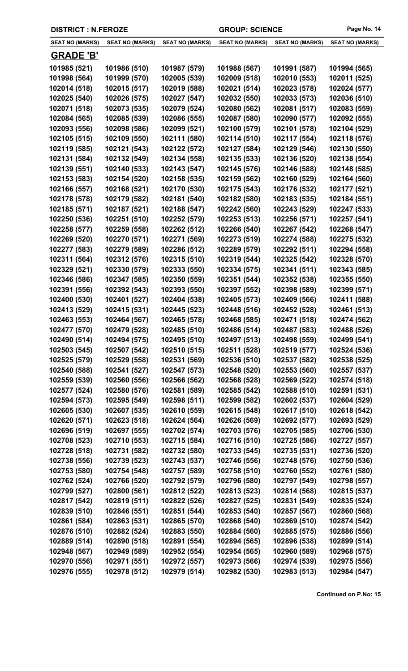| <b>SEAT NO (MARKS)</b> | <b>SEAT NO (MARKS)</b> | <b>SEAT NO (MARKS)</b> | <b>SEAT NO (MARKS)</b> | <b>SEAT NO (MARKS)</b> | <b>SEAT NO (MARKS)</b> |
|------------------------|------------------------|------------------------|------------------------|------------------------|------------------------|
| <b>GRADE 'B'</b>       |                        |                        |                        |                        |                        |
| 101985 (521)           | 101986 (510)           | 101987 (579)           | 101988 (567)           | 101991 (587)           | 101994 (565)           |
| 101998 (564)           | 101999 (570)           | 102005 (539)           | 102009 (518)           | 102010 (553)           | 102011 (525)           |
| 102014 (518)           | 102015 (517)           | 102019 (588)           | 102021 (514)           | 102023 (578)           | 102024 (577)           |
| 102025 (540)           | 102026 (575)           | 102027 (547)           | 102032 (550)           | 102033 (573)           | 102036 (510)           |
| 102071 (518)           | 102073 (535)           | 102079 (524)           | 102080 (562)           | 102081 (517)           | 102083 (559)           |
| 102084 (565)           | 102085 (539)           | 102086 (555)           | 102087 (580)           | 102090 (577)           | 102092 (555)           |
| 102093 (556)           | 102098 (586)           | 102099 (521)           | 102100 (579)           | 102101 (578)           | 102104 (529)           |
| 102105 (515)           | 102109 (550)           | 102111 (580)           | 102114 (510)           | 102117 (554)           | 102118 (576)           |
| 102119 (585)           | 102121 (543)           | 102122 (572)           | 102127 (584)           | 102129 (546)           | 102130 (550)           |
| 102131 (584)           | 102132 (549)           | 102134 (558)           | 102135 (533)           | 102136 (520)           | 102138 (554)           |
| 102139 (551)           | 102140 (533)           | 102143 (547)           | 102145 (576)           | 102146 (588)           | 102148 (585)           |
| 102153 (583)           | 102154 (520)           | 102158 (535)           | 102159 (562)           | 102160 (529)           | 102164 (560)           |
| 102166 (557)           | 102168 (521)           | 102170 (530)           | 102175 (543)           | 102176 (532)           | 102177 (521)           |
| 102178 (578)           | 102179 (582)           | 102181 (540)           | 102182 (580)           | 102183 (535)           | 102184 (551)           |
| 102185 (571)           | 102187 (521)           | 102188 (547)           | 102242 (560)           | 102243 (529)           | 102247 (533)           |
| 102250 (536)           | 102251 (510)           | 102252 (579)           | 102253 (513)           | 102256 (571)           | 102257 (541)           |
| 102258 (577)           | 102259 (558)           | 102262 (512)           | 102266 (540)           | 102267 (542)           | 102268 (547)           |
| 102269 (520)           | 102270 (571)           | 102271 (569)           | 102273 (519)           | 102274 (588)           | 102275 (532)           |
| 102277 (583)           | 102279 (589)           | 102286 (512)           | 102289 (579)           | 102292 (511)           | 102294 (558)           |
| 102311 (564)           | 102312 (576)           | 102315 (510)           | 102319 (544)           | 102325 (542)           | 102328 (570)           |
| 102329 (521)           | 102330 (579)           | 102333 (550)           | 102334 (575)           | 102341 (511)           | 102343 (585)           |
| 102346 (586)           | 102347 (585)           | 102350 (559)           | 102351 (544)           | 102352 (538)           | 102355 (550)           |
| 102391 (556)           | 102392 (543)           | 102393 (550)           | 102397 (552)           | 102398 (589)           | 102399 (571)           |
| 102400 (530)           | 102401 (527)           | 102404 (538)           | 102405 (573)           | 102409 (566)           | 102411 (588)           |
| 102413 (529)           | 102415 (531)           | 102445 (523)           | 102448 (516)           | 102452 (528)           | 102461 (513)           |
| 102463 (553)           | 102464 (567)           | 102465 (578)           | 102468 (585)           | 102471 (518)           | 102474 (562)           |
| 102477 (570)           | 102479 (528)           | 102485 (510)           | 102486 (514)           | 102487 (583)           | 102488 (526)           |
| 102490 (514)           | 102494 (575)           | 102495 (510)           | 102497 (513)           | 102498 (559)           | 102499 (541)           |
| 102503 (545)           | 102507 (542)           | 102510 (515)           | 102511 (528)           | 102519 (577)           | 102524 (536)           |
| 102525 (579)           | 102529 (558)           | 102531 (569)           | 102536 (510)           | 102537 (582)           | 102538 (525)           |
| 102540 (588)           | 102541 (527)           | 102547 (573)           | 102548 (520)           | 102553 (560)           | 102557 (537)           |
| 102559 (539)           | 102560 (556)           | 102566 (562)           | 102568 (528)           | 102569 (522)           | 102574 (518)           |
| 102577 (524)           | 102580 (576)           | 102581 (589)           | 102585 (542)           | 102588 (510)           | 102591 (531)           |
| 102594 (573)           | 102595 (549)           | 102598 (511)           | 102599 (582)           | 102602 (537)           | 102604 (529)           |
| 102605 (530)           | 102607 (535)           | 102610 (559)           | 102615 (548)           | 102617 (510)           | 102618 (542)           |
| 102620 (571)           | 102623 (518)           | 102624 (564)           | 102626 (569)           | 102692 (577)           | 102693 (529)           |
| 102696 (519)           | 102697 (555)           | 102702 (574)           | 102703 (576)           | 102705 (585)           | 102706 (530)           |
| 102708 (523)           | 102710 (553)           | 102715 (584)           | 102716 (510)           | 102725 (586)           | 102727 (557)           |
| 102728 (518)           | 102731 (582)           | 102732 (580)           | 102733 (545)           | 102735 (531)           | 102736 (520)           |
| 102738 (556)           | 102739 (523)           | 102743 (537)           | 102746 (556)           | 102748 (576)           | 102750 (536)           |
| 102753 (580)           | 102754 (548)           | 102757 (589)           | 102758 (510)           | 102760 (552)           | 102761 (580)           |
| 102762 (524)           | 102766 (520)           | 102792 (579)           | 102796 (580)           | 102797 (549)           | 102798 (557)           |
| 102799 (527)           | 102800 (561)           | 102812 (522)           | 102813 (523)           | 102814 (568)           | 102815 (537)           |
| 102817 (542)           | 102819 (511)           | 102822 (526)           | 102827 (525)           | 102831 (549)           | 102835 (524)           |
| 102839 (510)           | 102846 (551)           | 102851 (544)           | 102853 (540)           | 102857 (567)           | 102860 (568)           |
| 102861 (584)           | 102863 (531)           | 102865 (570)           | 102868 (540)           | 102869 (510)           | 102874 (542)           |
| 102876 (510)           | 102882 (524)           | 102883 (550)           | 102884 (560)           | 102885 (575)           | 102886 (556)           |
| 102889 (514)           | 102890 (518)           | 102891 (554)           | 102894 (565)           | 102896 (538)           | 102899 (514)           |
| 102948 (567)           | 102949 (589)           | 102952 (554)           | 102954 (565)           | 102960 (589)           | 102968 (575)           |
| 102970 (556)           | 102971 (551)           | 102972 (557)           | 102973 (566)           | 102974 (539)           | 102975 (556)           |
| 102976 (555)           | 102978 (512)           | 102979 (514)           | 102982 (530)           | 102983 (513)           | 102984 (547)           |
|                        |                        |                        |                        |                        |                        |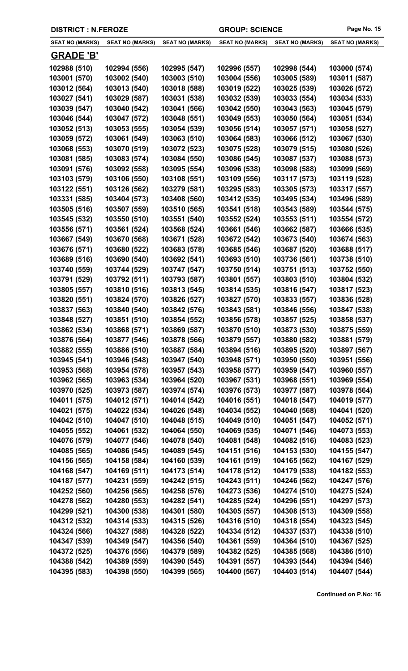| <b>DISTRICT : N.FEROZE</b> |                        |                        | <b>GROUP: SCIENCE</b>  |                        | Page No. 15            |
|----------------------------|------------------------|------------------------|------------------------|------------------------|------------------------|
| <b>SEAT NO (MARKS)</b>     | <b>SEAT NO (MARKS)</b> | <b>SEAT NO (MARKS)</b> | <b>SEAT NO (MARKS)</b> | <b>SEAT NO (MARKS)</b> | <b>SEAT NO (MARKS)</b> |
| <b>GRADE 'B'</b>           |                        |                        |                        |                        |                        |
| 102988 (510)               | 102994 (556)           | 102995 (547)           | 102996 (557)           | 102998 (544)           | 103000 (574)           |
| 103001 (570)               | 103002 (540)           | 103003 (510)           | 103004 (556)           | 103005 (589)           | 103011 (587)           |
| 103012 (564)               | 103013 (540)           | 103018 (588)           | 103019 (522)           | 103025 (539)           | 103026 (572)           |
| 103027 (541)               | 103029 (587)           | 103031 (538)           | 103032 (539)           | 103033 (554)           | 103034 (533)           |
| 103039 (547)               | 103040 (542)           | 103041 (566)           | 103042 (550)           | 103043 (563)           | 103045 (579)           |
| 103046 (544)               | 103047 (572)           | 103048 (551)           | 103049 (553)           | 103050 (564)           | 103051 (534)           |
| 103052 (513)               | 103053 (555)           | 103054 (539)           | 103056 (514)           | 103057 (571)           | 103058 (527)           |
| 103059 (572)               | 103061 (549)           | 103063 (510)           | 103064 (583)           | 103066 (512)           | 103067 (530)           |
| 103068 (553)               | 103070 (519)           | 103072 (523)           | 103075 (528)           | 103079 (515)           | 103080 (526)           |
| 103081 (585)               | 103083 (574)           | 103084 (550)           | 103086 (545)           | 103087 (537)           | 103088 (573)           |
| 103091 (576)               | 103092 (558)           | 103095 (554)           | 103096 (538)           | 103098 (588)           | 103099 (569)           |
| 103103 (579)               | 103106 (550)           | 103108 (551)           | 103109 (556)           | 103117 (573)           | 103119 (528)           |
| 103122 (551)               | 103126 (562)           | 103279 (581)           | 103295 (583)           | 103305 (573)           | 103317 (557)           |
| 103331 (585)               | 103404 (573)           | 103408 (560)           | 103412 (535)           | 103495 (534)           | 103496 (589)           |
| 103505 (516)               | 103507 (559)           | 103510 (565)           | 103541 (518)           | 103543 (589)           | 103544 (575)           |
| 103545 (532)               | 103550 (510)           | 103551 (540)           | 103552 (524)           | 103553 (511)           | 103554 (572)           |
| 103556 (571)               | 103561 (524)           | 103568 (524)           | 103661 (546)           | 103662 (587)           | 103666 (535)           |
| 103667 (549)               | 103670 (568)           | 103671 (528)           | 103672 (542)           | 103673 (540)           | 103674 (563)           |
| 103676 (571)               | 103680 (522)           | 103683 (578)           | 103685 (546)           | 103687 (520)           | 103688 (517)           |
| 103689 (516)               | 103690 (540)           | 103692 (541)           | 103693 (510)           | 103736 (561)           | 103738 (510)           |
| 103740 (559)               | 103744 (529)           | 103747 (547)           | 103750 (514)           | 103751 (513)           | 103752 (550)           |
| 103791 (529)               | 103792 (511)           | 103793 (587)           | 103801 (557)           | 103803 (510)           | 103804 (532)           |
| 103805 (557)               | 103810 (516)           | 103813 (545)           | 103814 (535)           | 103816 (547)           | 103817 (523)           |
| 103820 (551)               | 103824 (570)           | 103826 (527)           | 103827 (570)           | 103833 (557)           | 103836 (528)           |
| 103837 (563)               | 103840 (540)           | 103842 (576)           | 103843 (581)           | 103846 (556)           | 103847 (538)           |
| 103848 (527)               | 103851 (510)           | 103854 (552)           | 103856 (578)           | 103857 (525)           | 103858 (537)           |
| 103862 (534)               | 103868 (571)           | 103869 (587)           | 103870 (510)           | 103873 (530)           | 103875 (559)           |
| 103876 (564)               | 103877 (546)           | 103878 (566)           | 103879 (557)           | 103880 (582)           | 103881 (579)           |
| 103882 (555)               | 103886 (510)           | 103887 (584)           | 103894 (516)           | 103895 (520)           | 103897 (567)           |
| 103945 (541)               | 103946 (548)           | 103947 (540)           | 103948 (571)           | 103950 (550)           | 103951 (556)           |
| 103953 (568)               | 103954 (578)           | 103957 (543)           | 103958 (577)           | 103959 (547)           | 103960 (557)           |
| 103962 (565)               | 103963 (534)           | 103964 (520)           | 103967 (531)           | 103968 (551)           | 103969 (554)           |
| 103970 (525)               | 103973 (587)           | 103974 (574)           | 103976 (573)           | 103977 (587)           | 103978 (564)           |
| 104011 (575)               | 104012 (571)           | 104014 (542)           | 104016 (551)           | 104018 (547)           | 104019 (577)           |
| 104021 (575)               | 104022 (534)           | 104026 (548)           | 104034 (552)           | 104040 (568)           | 104041 (520)           |
| 104042 (510)               | 104047 (510)           | 104048 (515)           | 104049 (510)           | 104051 (547)           | 104052 (571)           |
| 104055 (552)               | 104061 (532)           | 104064 (550)           | 104069 (535)           | 104071 (546)           | 104073 (553)           |
| 104076 (579)               | 104077 (546)           | 104078 (540)           | 104081 (548)           | 104082 (516)           | 104083 (523)           |
| 104085 (565)               | 104086 (545)           | 104089 (545)           | 104151 (516)           | 104153 (530)           | 104155 (547)           |
| 104156 (565)               | 104158 (584)           | 104160 (539)           | 104161 (519)           | 104165 (562)           | 104167 (529)           |
| 104168 (547)               | 104169 (511)           | 104173 (514)           | 104178 (512)           | 104179 (538)           | 104182 (553)           |
| 104187 (577)               | 104231 (559)           | 104242 (515)           | 104243 (511)           | 104246 (562)           | 104247 (576)           |
| 104252 (560)               | 104256 (565)           | 104258 (576)           | 104273 (536)           | 104274 (510)           | 104275 (524)           |
| 104278 (562)               | 104280 (553)           | 104282 (541)           | 104285 (524)           | 104296 (551)           | 104297 (573)           |
| 104299 (521)               | 104300 (538)           | 104301 (580)           | 104305 (557)           | 104308 (513)           | 104309 (558)           |
| 104312 (532)               | 104314 (533)           | 104315 (526)           | 104316 (510)           | 104318 (554)           | 104323 (545)           |
| 104324 (566)               | 104327 (588)           | 104328 (522)           | 104334 (512)           | 104337 (537)           | 104338 (510)           |
| 104347 (539)               | 104349 (547)           | 104356 (540)           | 104361 (559)           | 104364 (510)           | 104367 (525)           |

**104372 (525) 104376 (556) 104379 (589) 104382 (525) 104385 (568) 104386 (510) 104388 (542) 104389 (559) 104390 (545) 104391 (557) 104393 (544) 104394 (546) 104395 (583) 104398 (550) 104399 (565) 104400 (567) 104403 (514) 104407 (544)**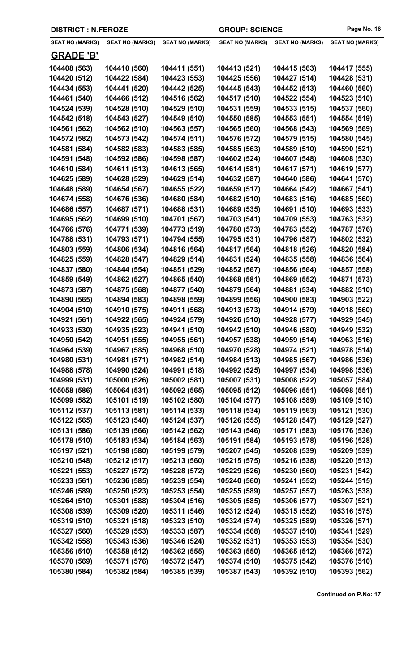| <b>DISTRICT : N.FEROZE</b> |                        |                        | <b>GROUP: SCIENCE</b>  |                        | Page No. 16            |
|----------------------------|------------------------|------------------------|------------------------|------------------------|------------------------|
| <b>SEAT NO (MARKS)</b>     | <b>SEAT NO (MARKS)</b> | <b>SEAT NO (MARKS)</b> | <b>SEAT NO (MARKS)</b> | <b>SEAT NO (MARKS)</b> | <b>SEAT NO (MARKS)</b> |
| <b>GRADE 'B'</b>           |                        |                        |                        |                        |                        |
| 104408 (563)               | 104410 (560)           | 104411 (551)           | 104413 (521)           | 104415 (563)           | 104417 (555)           |
| 104420 (512)               | 104422 (584)           | 104423 (553)           | 104425 (556)           | 104427 (514)           | 104428 (531)           |
| 104434 (553)               | 104441 (520)           | 104442 (525)           | 104445 (543)           | 104452 (513)           | 104460 (560)           |
| 104461 (540)               | 104466 (512)           | 104516 (562)           | 104517 (510)           | 104522 (554)           | 104523 (510)           |
| 104524 (539)               | 104528 (510)           | 104529 (510)           | 104531 (559)           | 104533 (515)           | 104537 (560)           |
| 104542 (518)               | 104543 (527)           | 104549 (510)           | 104550 (585)           | 104553 (551)           | 104554 (519)           |
| 104561 (562)               | 104562 (510)           | 104563 (557)           | 104565 (560)           | 104568 (543)           | 104569 (569)           |
| 104572 (582)               | 104573 (542)           | 104574 (511)           | 104576 (572)           | 104579 (515)           | 104580 (545)           |
| 104581 (584)               | 104582 (583)           | 104583 (585)           | 104585 (563)           | 104589 (510)           | 104590 (521)           |
| 104591 (548)               | 104592 (586)           | 104598 (587)           | 104602 (524)           | 104607 (548)           | 104608 (530)           |
| 104610 (584)               | 104611 (513)           | 104613 (565)           | 104614 (581)           | 104617 (571)           | 104619 (577)           |
| 104625 (589)               | 104628 (529)           | 104629 (514)           | 104632 (587)           | 104640 (586)           | 104641 (570)           |
| 104648 (589)               | 104654 (567)           | 104655 (522)           | 104659 (517)           | 104664 (542)           | 104667 (541)           |
| 104674 (558)               | 104676 (536)           | 104680 (584)           | 104682 (510)           | 104683 (516)           | 104685 (560)           |
| 104686 (557)               | 104687 (571)           | 104688 (531)           | 104689 (535)           | 104691 (510)           | 104693 (533)           |
| 104695 (562)               | 104699 (510)           | 104701 (567)           | 104703 (541)           | 104709 (553)           | 104763 (532)           |
| 104766 (576)               | 104771 (539)           | 104773 (519)           | 104780 (573)           | 104783 (552)           | 104787 (576)           |
| 104788 (531)               | 104793 (571)           | 104794 (555)           | 104795 (531)           | 104796 (587)           | 104802 (532)           |
| 104803 (559)               | 104806 (534)           | 104816 (564)           | 104817 (564)           | 104818 (526)           | 104820 (584)           |
| 104825 (559)               | 104828 (547)           | 104829 (514)           | 104831 (524)           | 104835 (558)           | 104836 (564)           |
| 104837 (580)               | 104844 (554)           | 104851 (529)           | 104852 (567)           | 104856 (564)           | 104857 (558)           |
| 104859 (549)               | 104862 (527)           | 104865 (540)           | 104868 (581)           | 104869 (552)           | 104871 (573)           |
| 104873 (587)               | 104875 (568)           | 104877 (540)           | 104879 (564)           | 104881 (534)           | 104882 (510)           |
| 104890 (565)               | 104894 (583)           | 104898 (559)           | 104899 (556)           | 104900 (583)           | 104903 (522)           |
| 104904 (510)               | 104910 (575)           | 104911 (568)           | 104913 (573)           | 104914 (579)           | 104918 (560)           |
| 104921 (561)               | 104922 (565)           | 104924 (579)           | 104926 (510)           | 104928 (577)           | 104929 (545)           |
| 104933 (530)               | 104935 (523)           | 104941 (510)           | 104942 (510)           | 104946 (580)           | 104949 (532)           |
| 104950 (542)               | 104951 (555)           | 104955 (561)           | 104957 (538)           | 104959 (514)           | 104963 (516)           |
| 104964 (539)               | 104967 (585)           | 104968 (510)           | 104970 (528)           | 104974 (521)           | 104978 (514)           |
| 104980 (531)               | 104981 (571)           | 104982 (514)           | 104984 (513)           | 104985 (567)           | 104986 (536)           |
| 104988 (578)               | 104990 (524)           | 104991 (518)           | 104992 (525)           | 104997 (534)           | 104998 (536)           |
| 104999 (531)               | 105000 (526)           | 105002 (581)           | 105007 (531)           | 105008 (522)           | 105057 (584)           |
| 105058 (586)               | 105064 (531)           | 105092 (565)           | 105095 (512)           | 105096 (551)           | 105098 (551)           |
| 105099 (582)               | 105101 (519)           | 105102 (580)           | 105104 (577)           | 105108 (589)           | 105109 (510)           |
| 105112 (537)               | 105113 (581)           | 105114 (533)           | 105118 (534)           | 105119 (563)           | 105121 (530)           |
| 105122 (565)               | 105123 (540)           | 105124 (537)           | 105126 (555)           | 105128 (547)           | 105129 (527)           |
| 105131 (586)               | 105139 (566)           | 105142 (562)           | 105143 (546)           | 105171 (583)           | 105176 (536)           |
| 105178 (510)               | 105183 (534)           | 105184 (563)           | 105191 (584)           | 105193 (578)           | 105196 (528)           |
| 105197 (521)               | 105198 (580)           | 105199 (579)           | 105207 (545)           | 105208 (539)           | 105209 (539)           |
| 105210 (548)               | 105212 (517)           | 105213 (560)           | 105215 (575)           | 105216 (538)           | 105220 (513)           |
| 105221 (553)               | 105227 (572)           | 105228 (572)           | 105229 (526)           | 105230 (560)           | 105231 (542)           |
| 105233 (561)               | 105236 (585)           | 105239 (554)           | 105240 (560)           | 105241 (552)           | 105244 (515)           |
| 105246 (589)               | 105250 (523)           | 105253 (554)           | 105255 (589)           | 105257 (557)           | 105263 (538)           |
| 105264 (510)               | 105301 (588)           | 105304 (516)           | 105305 (585)           | 105306 (577)           | 105307 (521)           |
| 105308 (539)               | 105309 (520)           | 105311 (546)           | 105312 (524)           | 105315 (552)           | 105316 (575)           |
| 105319 (510)               | 105321 (518)           | 105323 (510)           | 105324 (574)           | 105325 (589)           | 105326 (571)           |
| 105327 (560)               | 105329 (553)           | 105333 (587)           | 105334 (568)           | 105337 (510)           | 105341 (529)           |
| 105342 (558)               | 105343 (536)           | 105346 (524)           | 105352 (531)           | 105353 (553)           | 105354 (530)           |
| 105356 (510)               | 105358 (512)           | 105362 (555)           | 105363 (550)           | 105365 (512)           | 105366 (572)           |
| 105370 (569)               | 105371 (576)           | 105372 (547)           | 105374 (510)           | 105375 (542)           | 105376 (510)           |
| 105380 (584)               | 105382 (584)           | 105385 (539)           | 105387 (543)           | 105392 (510)           | 105393 (562)           |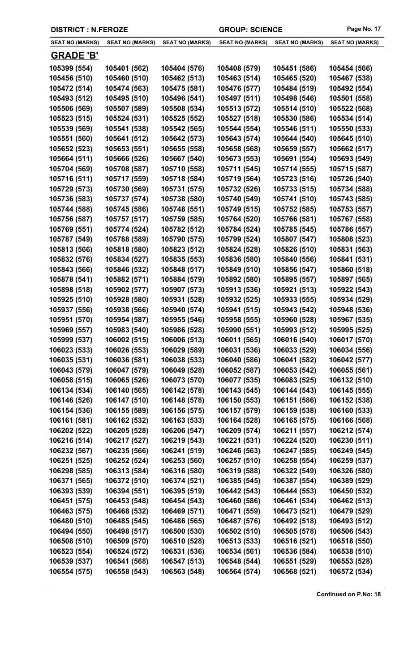|  | <b>DISTRICT : N.FEROZE</b> |
|--|----------------------------|
|--|----------------------------|

| <b>SEAT NO (MARKS)</b>       | SEAT NO (MARKS)              | <b>SEAT NO (MARKS)</b>       | <b>SEAT NO (MARKS)</b>       | <b>SEAT NO (MARKS)</b>       | <b>SEAT NO (MARKS)</b>       |
|------------------------------|------------------------------|------------------------------|------------------------------|------------------------------|------------------------------|
| <b>GRADE 'B'</b>             |                              |                              |                              |                              |                              |
| 105399 (554)                 | 105401 (562)                 | 105404 (576)                 | 105408 (579)                 | 105451 (586)                 | 105454 (566)                 |
| 105456 (510)                 | 105460 (510)                 | 105462 (513)                 | 105463 (514)                 | 105465 (520)                 | 105467 (538)                 |
| 105472 (514)                 | 105474 (563)                 | 105475 (581)                 | 105476 (577)                 | 105484 (519)                 | 105492 (554)                 |
| 105493 (512)                 | 105495 (510)                 | 105496 (541)                 | 105497 (511)                 | 105498 (546)                 | 105501 (558)                 |
| 105506 (569)                 | 105507 (589)                 | 105508 (534)                 | 105513 (572)                 | 105514 (510)                 | 105522 (568)                 |
| 105523 (515)                 | 105524 (531)                 | 105525 (552)                 | 105527 (518)                 | 105530 (586)                 | 105534 (514)                 |
| 105539 (569)                 | 105541 (538)                 | 105542 (565)                 | 105544 (554)                 | 105546 (511)                 | 105550 (533)                 |
| 105551 (560)                 | 105641 (512)                 | 105642 (573)                 | 105643 (574)                 | 105644 (540)                 | 105645 (510)                 |
| 105652 (523)                 | 105653 (551)                 | 105655 (558)                 | 105658 (568)                 | 105659 (557)                 | 105662 (517)                 |
| 105664 (511)                 | 105666 (526)                 | 105667 (540)                 | 105673 (553)                 | 105691 (554)                 | 105693 (549)                 |
| 105704 (569)                 | 105708 (587)                 | 105710 (558)                 | 105711 (545)                 | 105714 (555)                 | 105715 (587)                 |
| 105716 (511)                 | 105717 (559)                 | 105718 (584)                 | 105719 (564)                 | 105723 (516)                 | 105726 (540)                 |
| 105729 (573)                 | 105730 (569)                 | 105731 (575)                 | 105732 (526)                 | 105733 (515)                 | 105734 (588)                 |
| 105736 (583)                 | 105737 (574)                 | 105738 (580)                 | 105740 (549)                 | 105741 (510)                 | 105743 (585)                 |
| 105744 (588)                 | 105745 (586)                 | 105748 (551)                 | 105749 (515)                 | 105752 (585)                 | 105753 (557)                 |
| 105756 (587)                 | 105757 (517)                 | 105759 (585)                 | 105764 (520)                 | 105766 (581)                 | 105767 (558)                 |
| 105769 (551)                 | 105774 (524)                 | 105782 (512)                 | 105784 (524)                 | 105785 (545)                 | 105786 (557)                 |
| 105787 (549)                 | 105788 (589)                 | 105790 (575)                 | 105799 (524)                 | 105807 (547)                 | 105808 (523)                 |
| 105813 (566)                 | 105818 (580)                 | 105823 (512)                 | 105824 (528)                 | 105826 (510)                 | 105831 (563)                 |
| 105832 (576)                 | 105834 (527)                 | 105835 (553)                 | 105836 (580)                 | 105840 (556)                 | 105841 (531)                 |
| 105843 (566)                 | 105846 (532)                 | 105848 (517)                 | 105849 (510)                 | 105856 (547)                 | 105860 (518)                 |
| 105878 (541)                 | 105882 (571)                 | 105884 (579)                 | 105892 (580)                 | 105895 (557)                 | 105897 (565)                 |
| 105898 (518)                 | 105902 (577)                 | 105907 (573)                 | 105913 (536)                 | 105921 (513)                 | 105922 (543)                 |
| 105925 (510)                 | 105928 (580)                 | 105931 (528)                 | 105932 (525)                 | 105933 (555)                 | 105934 (529)                 |
| 105937 (556)                 | 105938 (566)                 | 105940 (574)                 | 105941 (515)                 | 105943 (542)                 | 105948 (536)                 |
| 105951 (570)                 | 105954 (587)                 | 105955 (546)                 | 105958 (555)                 | 105960 (528)                 | 105967 (535)                 |
| 105969 (557)                 | 105983 (540)                 | 105986 (528)                 | 105990 (551)                 | 105993 (512)                 | 105995 (525)                 |
| 105999 (537)                 | 106002 (515)                 | 106006 (513)                 | 106011 (565)                 | 106016 (540)                 | 106017 (570)                 |
| 106023 (533)                 | 106026 (553)                 | 106029 (589)                 | 106031 (536)                 | 106033 (529)                 | 106034 (556)                 |
| 106035 (531)                 | 106036 (581)                 | 106038 (533)                 | 106040 (586)                 | 106041 (582)                 | 106042 (577)                 |
| 106043 (579)                 | 106047 (579)                 | 106049 (528)                 | 106052 (587)                 | 106053 (542)                 | 106055 (561)                 |
| 106058 (515)                 | 106065 (526)                 | 106073 (570)                 | 106077 (535)                 | 106083 (525)                 | 106132 (510)                 |
| 106134 (534)                 | 106140 (565)                 | 106142 (578)                 | 106143 (545)                 | 106144 (543)                 | 106145 (555)                 |
| 106146 (526)                 | 106147 (510)                 | 106148 (578)                 | 106150 (553)                 | 106151 (586)                 | 106152 (538)                 |
| 106154 (536)                 | 106155 (589)                 | 106156 (575)                 | 106157 (579)                 | 106159 (538)                 | 106160 (533)                 |
| 106161 (581)                 | 106162 (532)                 | 106163 (533)                 | 106164 (528)                 | 106165 (575)                 | 106166 (568)                 |
| 106202 (522)                 | 106205 (528)                 | 106206 (547)                 | 106209 (574)                 | 106211 (557)                 | 106212 (574)                 |
| 106216 (514)                 | 106217 (527)                 | 106219 (543)                 | 106221 (531)                 | 106224 (520)                 | 106230 (511)                 |
| 106232 (567)                 | 106235 (566)                 | 106241 (519)                 | 106246 (563)                 | 106247 (585)                 | 106249 (545)                 |
| 106251 (525)                 | 106252 (524)                 | 106253 (560)                 | 106257 (510)                 | 106258 (554)                 | 106259 (537)                 |
| 106298 (585)                 | 106313 (584)                 | 106316 (580)                 | 106319 (588)                 | 106322 (549)                 | 106326 (580)                 |
| 106371 (565)                 | 106372 (510)                 | 106374 (521)                 | 106385 (545)                 | 106387 (554)                 | 106389 (529)                 |
| 106393 (539)                 | 106394 (551)                 | 106395 (519)                 | 106442 (543)                 | 106444 (553)                 | 106450 (532)                 |
| 106451 (575)                 | 106453 (548)                 | 106454 (543)                 | 106460 (586)                 | 106461 (534)                 | 106462 (513)                 |
| 106463 (575)                 | 106468 (532)                 | 106469 (571)                 | 106471 (559)                 | 106473 (521)                 | 106479 (529)                 |
| 106480 (510)                 | 106485 (545)                 | 106486 (565)                 | 106487 (576)                 | 106492 (518)                 | 106493 (512)                 |
| 106494 (550)<br>106508 (510) | 106498 (517)<br>106509 (570) | 106500 (530)<br>106510 (528) | 106502 (510)<br>106513 (533) | 106505 (578)<br>106516 (521) | 106506 (543)<br>106518 (550) |
| 106523 (554)                 | 106524 (572)                 | 106531 (536)                 | 106534 (561)                 | 106536 (584)                 | 106538 (510)                 |
| 106539 (537)                 | 106541 (568)                 | 106547 (513)                 | 106548 (544)                 | 106551 (529)                 | 106553 (528)                 |
| 106554 (575)                 | 106558 (543)                 | 106563 (548)                 | 106564 (574)                 | 106568 (521)                 | 106572 (534)                 |
|                              |                              |                              |                              |                              |                              |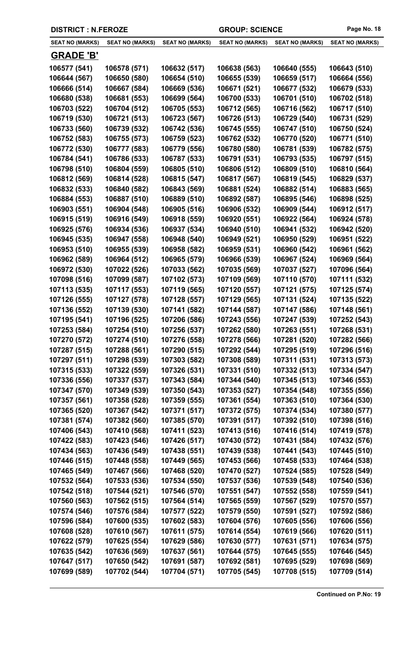| <b>DISTRICT : N.FEROZE</b>   |                              |                              | <b>GROUP: SCIENCE</b>        |                              | Page No. 18                  |
|------------------------------|------------------------------|------------------------------|------------------------------|------------------------------|------------------------------|
| <b>SEAT NO (MARKS)</b>       | <b>SEAT NO (MARKS)</b>       | <b>SEAT NO (MARKS)</b>       | <b>SEAT NO (MARKS)</b>       | <b>SEAT NO (MARKS)</b>       | <b>SEAT NO (MARKS)</b>       |
| <b>GRADE 'B'</b>             |                              |                              |                              |                              |                              |
| 106577 (541)                 | 106578 (571)                 | 106632 (517)                 | 106638 (563)                 | 106640 (555)                 | 106643 (510)                 |
| 106644 (567)                 | 106650 (580)                 | 106654 (510)                 | 106655 (539)                 | 106659 (517)                 | 106664 (556)                 |
| 106666 (514)                 | 106667 (584)                 | 106669 (536)                 | 106671 (521)                 | 106677 (532)                 | 106679 (533)                 |
| 106680 (538)                 | 106681 (553)                 | 106699 (564)                 | 106700 (533)                 | 106701 (510)                 | 106702 (518)                 |
| 106703 (522)                 | 106704 (512)                 | 106705 (553)                 | 106712 (565)                 | 106716 (562)                 | 106717 (510)                 |
| 106719 (530)                 | 106721 (513)                 | 106723 (567)                 | 106726 (513)                 | 106729 (540)                 | 106731 (529)                 |
| 106733 (560)                 | 106739 (532)                 | 106742 (536)                 | 106745 (555)                 | 106747 (510)                 | 106750 (524)                 |
| 106752 (583)                 | 106755 (573)                 | 106759 (523)                 | 106762 (532)                 | 106770 (520)                 | 106771 (510)                 |
| 106772 (530)                 | 106777 (583)                 | 106779 (556)                 | 106780 (580)                 | 106781 (539)                 | 106782 (575)                 |
| 106784 (541)                 | 106786 (533)                 | 106787 (533)                 | 106791 (531)                 | 106793 (535)                 | 106797 (515)                 |
| 106798 (510)                 | 106804 (559)                 | 106805 (510)                 | 106806 (512)                 | 106809 (510)                 | 106810 (564)                 |
| 106812 (569)                 | 106814 (528)                 | 106815 (547)                 | 106817 (567)                 | 106819 (545)                 | 106829 (537)                 |
| 106832 (533)                 | 106840 (582)                 | 106843 (569)                 | 106881 (524)                 | 106882 (514)                 | 106883 (565)                 |
| 106884 (553)                 | 106887 (510)                 | 106889 (510)                 | 106892 (587)                 | 106895 (546)                 | 106898 (525)                 |
| 106903 (551)                 | 106904 (548)                 | 106905 (516)                 | 106906 (532)                 | 106909 (544)                 | 106912 (517)                 |
| 106915 (519)                 | 106916 (549)                 | 106918 (559)                 | 106920 (551)                 | 106922 (564)                 | 106924 (578)                 |
| 106925 (576)                 | 106934 (536)                 | 106937 (534)                 | 106940 (510)                 | 106941 (532)                 | 106942 (520)                 |
| 106945 (535)                 | 106947 (558)                 | 106948 (540)                 | 106949 (521)                 | 106950 (529)                 | 106951 (522)                 |
| 106953 (510)                 | 106955 (539)                 | 106958 (582)                 | 106959 (531)                 | 106960 (542)                 | 106961 (562)                 |
| 106962 (589)                 | 106964 (512)                 | 106965 (579)                 | 106966 (539)                 | 106967 (524)                 | 106969 (564)                 |
| 106972 (530)                 | 107022 (526)                 | 107033 (562)                 | 107035 (569)                 | 107037 (527)                 | 107096 (564)                 |
| 107098 (516)                 | 107099 (587)                 | 107102 (573)                 | 107109 (569)                 | 107110 (570)                 | 107111 (532)                 |
| 107113 (535)                 | 107117 (553)                 | 107119 (565)                 | 107120 (557)                 | 107121 (575)                 | 107125 (574)                 |
| 107126 (555)                 | 107127 (578)                 | 107128 (557)                 | 107129 (565)                 | 107131 (524)                 | 107135 (522)                 |
| 107136 (552)                 | 107139 (530)                 | 107141 (582)                 | 107144 (587)                 | 107147 (586)                 | 107148 (561)                 |
| 107195 (541)                 | 107196 (525)                 | 107206 (586)                 | 107243 (556)                 | 107247 (539)                 | 107252 (543)                 |
| 107253 (584)                 | 107254 (510)                 | 107256 (537)                 | 107262 (580)                 | 107263 (551)                 | 107268 (531)                 |
| 107270 (572)                 | 107274 (510)                 | 107276 (558)                 | 107278 (566)                 | 107281 (520)                 | 107282 (566)                 |
| 107287 (515)                 | 107288 (561)                 | 107290 (515)                 | 107292 (544)                 | 107295 (519)                 | 107296 (516)                 |
| 107297 (511)                 | 107298 (539)                 | 107303 (582)                 | 107308 (589)                 | 107311 (531)                 | 107313 (573)                 |
| 107315 (533)                 | 107322 (559)                 | 107326 (531)                 | 107331 (510)                 | 107332 (513)                 | 107334 (547)                 |
| 107336 (556)                 | 107337 (537)                 | 107343 (584)                 | 107344 (540)                 | 107345 (513)                 | 107346 (553)                 |
| 107347 (570)                 | 107349 (539)                 | 107350 (543)                 | 107353 (527)                 | 107354 (548)                 | 107355 (556)                 |
| 107357 (561)                 | 107358 (528)                 | 107359 (555)                 | 107361 (554)                 | 107363 (510)                 | 107364 (530)                 |
| 107365 (520)                 | 107367 (542)                 | 107371 (517)                 | 107372 (575)                 | 107374 (534)                 | 107380 (577)                 |
| 107381 (574)                 | 107382 (560)                 | 107385 (570)                 | 107391 (517)                 | 107392 (510)                 | 107398 (516)                 |
| 107406 (543)                 | 107410 (568)                 | 107411 (523)                 | 107413 (516)                 | 107416 (514)                 | 107419 (578)                 |
| 107422 (583)                 | 107423 (546)                 | 107426 (517)                 | 107430 (572)                 | 107431 (584)                 | 107432 (576)                 |
| 107434 (563)                 | 107436 (549)                 | 107438 (551)                 | 107439 (538)                 | 107441 (543)                 | 107445 (510)                 |
| 107446 (515)<br>107465 (549) | 107448 (558)<br>107467 (566) | 107449 (565)<br>107468 (520) | 107453 (566)<br>107470 (527) | 107458 (533)<br>107524 (585) | 107464 (538)<br>107528 (549) |
| 107532 (564)                 | 107533 (536)                 | 107534 (550)                 | 107537 (536)                 | 107539 (548)                 | 107540 (536)                 |
| 107542 (518)                 | 107544 (521)                 | 107546 (570)                 | 107551 (547)                 | 107552 (558)                 | 107559 (541)                 |
| 107560 (563)                 | 107562 (515)                 | 107564 (514)                 | 107565 (559)                 | 107567 (529)                 | 107570 (557)                 |
| 107574 (546)                 | 107576 (584)                 | 107577 (522)                 | 107579 (550)                 | 107591 (527)                 | 107592 (586)                 |
| 107596 (584)                 | 107600 (535)                 | 107602 (583)                 | 107604 (576)                 | 107605 (556)                 | 107606 (556)                 |
| 107608 (528)                 | 107610 (567)                 | 107611 (575)                 | 107614 (554)                 | 107619 (566)                 | 107620 (511)                 |
| 107622 (579)                 | 107625 (554)                 | 107629 (586)                 | 107630 (577)                 | 107631 (571)                 | 107634 (575)                 |
| 107635 (542)                 | 107636 (569)                 | 107637 (561)                 | 107644 (575)                 | 107645 (555)                 | 107646 (545)                 |
| 107647 (517)                 | 107650 (542)                 | 107691 (587)                 | 107692 (581)                 | 107695 (529)                 | 107698 (569)                 |
| 107699 (589)                 | 107702 (544)                 | 107704 (571)                 | 107705 (545)                 | 107708 (515)                 | 107709 (514)                 |
|                              |                              |                              |                              |                              |                              |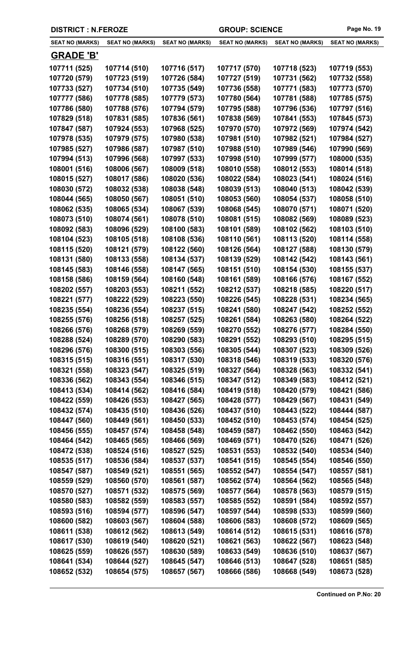| <b>DISTRICT : N.FEROZE</b> |                        |                        | <b>GROUP: SCIENCE</b>  |                        | Page No. 19            |
|----------------------------|------------------------|------------------------|------------------------|------------------------|------------------------|
| <b>SEAT NO (MARKS)</b>     | <b>SEAT NO (MARKS)</b> | <b>SEAT NO (MARKS)</b> | <b>SEAT NO (MARKS)</b> | <b>SEAT NO (MARKS)</b> | <b>SEAT NO (MARKS)</b> |
| <b>GRADE 'B'</b>           |                        |                        |                        |                        |                        |
| 107711 (525)               | 107714 (510)           | 107716 (517)           | 107717 (570)           | 107718 (523)           | 107719 (553)           |
| 107720 (579)               | 107723 (519)           | 107726 (584)           | 107727 (519)           | 107731 (562)           | 107732 (558)           |
| 107733 (527)               | 107734 (510)           | 107735 (549)           | 107736 (558)           | 107771 (583)           | 107773 (570)           |
| 107777 (586)               | 107778 (585)           | 107779 (573)           | 107780 (564)           | 107781 (588)           | 107785 (575)           |
| 107786 (580)               | 107788 (576)           | 107794 (579)           | 107795 (588)           | 107796 (536)           | 107797 (516)           |
| 107829 (518)               | 107831 (585)           | 107836 (561)           | 107838 (569)           | 107841 (553)           | 107845 (573)           |
| 107847 (587)               | 107924 (553)           | 107968 (525)           | 107970 (570)           | 107972 (569)           | 107974 (542)           |
| 107978 (535)               | 107979 (575)           | 107980 (538)           | 107981 (510)           | 107982 (521)           | 107984 (527)           |
| 107985 (527)               | 107986 (587)           | 107987 (510)           | 107988 (510)           | 107989 (546)           | 107990 (569)           |
| 107994 (513)               | 107996 (568)           | 107997 (533)           | 107998 (510)           | 107999 (577)           | 108000 (535)           |
| 108001 (516)               | 108006 (567)           | 108009 (518)           | 108010 (558)           | 108012 (553)           | 108014 (518)           |
| 108015 (527)               | 108017 (586)           | 108020 (536)           | 108022 (584)           | 108023 (541)           | 108024 (516)           |
| 108030 (572)               | 108032 (538)           | 108038 (548)           | 108039 (513)           | 108040 (513)           | 108042 (539)           |
| 108044 (565)               | 108050 (567)           | 108051 (510)           | 108053 (560)           | 108054 (537)           | 108058 (510)           |
| 108062 (535)               | 108065 (534)           | 108067 (539)           | 108068 (545)           | 108070 (571)           | 108071 (520)           |
| 108073 (510)               | 108074 (561)           | 108078 (510)           | 108081 (515)           | 108082 (569)           | 108089 (523)           |
| 108092 (583)               | 108096 (529)           | 108100 (583)           | 108101 (589)           | 108102 (562)           | 108103 (510)           |
| 108104 (523)               | 108105 (518)           | 108108 (536)           | 108110 (561)           | 108113 (520)           | 108114 (558)           |
| 108115 (520)               | 108121 (579)           | 108122 (560)           | 108126 (564)           | 108127 (588)           | 108130 (579)           |
| 108131 (580)               | 108133 (558)           | 108134 (537)           | 108139 (529)           | 108142 (542)           | 108143 (561)           |
| 108145 (583)               | 108146 (558)           | 108147 (565)           | 108151 (510)           | 108154 (530)           | 108155 (537)           |
| 108158 (586)               | 108159 (564)           | 108160 (548)           | 108161 (589)           | 108166 (576)           | 108167 (552)           |
| 108202 (557)               | 108203 (553)           | 108211 (552)           | 108212 (537)           | 108218 (585)           | 108220 (517)           |
| 108221 (577)               | 108222 (529)           | 108223 (550)           | 108226 (545)           | 108228 (531)           | 108234 (565)           |
| 108235 (554)               | 108236 (554)           | 108237 (515)           | 108241 (580)           | 108247 (542)           | 108252 (552)           |
| 108255 (576)               | 108256 (518)           | 108257 (525)           | 108261 (584)           | 108263 (580)           | 108264 (522)           |
| 108266 (576)               | 108268 (579)           | 108269 (559)           | 108270 (552)           | 108276 (577)           | 108284 (550)           |
| 108288 (524)               | 108289 (570)           | 108290 (583)           | 108291 (552)           | 108293 (510)           | 108295 (515)           |
| 108296 (576)               | 108300 (515)           | 108303 (556)           | 108305 (544)           | 108307 (523)           | 108309 (526)           |
| 108315 (515)               | 108316 (551)           | 108317 (530)           | 108318 (546)           | 108319 (533)           | 108320 (576)           |
| 108321 (558)               | 108323 (547)           | 108325 (519)           | 108327 (564)           | 108328 (563)           | 108332 (541)           |
| 108336 (562)               | 108343 (554)           | 108346 (515)           | 108347 (512)           | 108349 (583)           | 108412 (521)           |
| 108413 (534)               | 108414 (562)           | 108416 (584)           | 108419 (518)           | 108420 (579)           | 108421 (586)           |
| 108422 (559)               | 108426 (553)           | 108427 (565)           | 108428 (577)           | 108429 (567)           | 108431 (549)           |
| 108432 (574)               | 108435 (510)           | 108436 (526)           | 108437 (510)           | 108443 (522)           | 108444 (587)           |
| 108447 (560)               | 108449 (561)           | 108450 (533)           | 108452 (510)           | 108453 (574)           | 108454 (525)           |
| 108456 (555)               | 108457 (574)           | 108458 (548)           | 108459 (587)           | 108462 (550)           | 108463 (542)           |
| 108464 (542)               | 108465 (565)           | 108466 (569)           | 108469 (571)           | 108470 (526)           | 108471 (526)           |
| 108472 (538)               | 108524 (516)           | 108527 (525)           | 108531 (553)           | 108532 (540)           | 108534 (540)           |
| 108535 (517)               | 108536 (584)           | 108537 (537)           | 108541 (515)           | 108545 (554)           | 108546 (550)           |
| 108547 (587)               | 108549 (521)           | 108551 (565)           | 108552 (547)           | 108554 (547)           | 108557 (581)           |
| 108559 (529)               | 108560 (570)           | 108561 (587)           | 108562 (574)           | 108564 (562)           | 108565 (548)           |
| 108570 (527)               | 108571 (532)           | 108575 (569)           | 108577 (564)           | 108578 (563)           | 108579 (515)           |
| 108580 (583)               | 108582 (559)           | 108583 (557)           | 108585 (552)           | 108591 (584)           | 108592 (557)           |
| 108593 (516)               | 108594 (577)           | 108596 (547)           | 108597 (544)           | 108598 (533)           | 108599 (560)           |
| 108600 (582)               | 108603 (567)           | 108604 (588)           | 108606 (583)           | 108608 (572)           | 108609 (565)           |
| 108611 (538)               | 108612 (562)           | 108613 (549)           | 108614 (512)           | 108615 (531)           | 108616 (578)           |
| 108617 (530)               | 108619 (540)           | 108620 (521)           | 108621 (563)           | 108622 (567)           | 108623 (548)           |
| 108625 (559)               | 108626 (557)           | 108630 (589)           | 108633 (549)           | 108636 (510)           | 108637 (567)           |
| 108641 (534)               | 108644 (527)           | 108645 (547)           | 108646 (513)           | 108647 (528)           | 108651 (585)           |
| 108652 (532)               | 108654 (575)           | 108657 (567)           | 108666 (586)           | 108668 (549)           | 108673 (528)           |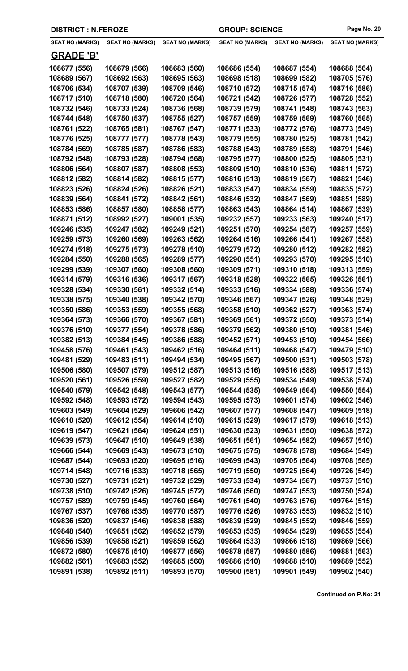| <b>DISTRICT : N.FEROZE</b> |                        |                        | <b>GROUP: SCIENCE</b>  |                        | Page No. 20            |
|----------------------------|------------------------|------------------------|------------------------|------------------------|------------------------|
| <b>SEAT NO (MARKS)</b>     | <b>SEAT NO (MARKS)</b> | <b>SEAT NO (MARKS)</b> | <b>SEAT NO (MARKS)</b> | <b>SEAT NO (MARKS)</b> | <b>SEAT NO (MARKS)</b> |
| <b>GRADE 'B'</b>           |                        |                        |                        |                        |                        |
| 108677 (556)               | 108679 (566)           | 108683 (560)           | 108686 (554)           | 108687 (554)           | 108688 (564)           |
| 108689 (567)               | 108692 (563)           | 108695 (563)           | 108698 (518)           | 108699 (582)           | 108705 (576)           |
| 108706 (534)               | 108707 (539)           | 108709 (546)           | 108710 (572)           | 108715 (574)           | 108716 (586)           |
| 108717 (510)               | 108718 (580)           | 108720 (564)           | 108721 (542)           | 108726 (577)           | 108728 (552)           |
| 108732 (546)               | 108733 (524)           | 108736 (568)           | 108739 (579)           | 108741 (548)           | 108743 (563)           |
| 108744 (548)               | 108750 (537)           | 108755 (527)           | 108757 (559)           | 108759 (569)           | 108760 (565)           |
| 108761 (522)               | 108765 (581)           | 108767 (547)           | 108771 (533)           | 108772 (576)           | 108773 (549)           |
| 108776 (525)               | 108777 (577)           | 108778 (543)           | 108779 (555)           | 108780 (525)           | 108781 (542)           |
| 108784 (569)               | 108785 (587)           | 108786 (583)           | 108788 (543)           | 108789 (558)           | 108791 (546)           |
| 108792 (548)               | 108793 (528)           | 108794 (568)           | 108795 (577)           | 108800 (525)           | 108805 (531)           |
| 108806 (564)               | 108807 (587)           | 108808 (553)           | 108809 (510)           | 108810 (536)           | 108811 (572)           |
| 108812 (582)               | 108814 (582)           | 108815 (577)           | 108816 (513)           | 108819 (567)           | 108821 (546)           |
| 108823 (526)               | 108824 (526)           | 108826 (521)           | 108833 (547)           | 108834 (559)           | 108835 (572)           |
| 108839 (564)               | 108841 (572)           | 108842 (561)           | 108846 (532)           | 108847 (569)           | 108851 (589)           |
| 108853 (586)               | 108857 (580)           | 108858 (577)           | 108863 (543)           | 108864 (514)           | 108867 (539)           |
| 108871 (512)               | 108992 (527)           | 109001 (535)           | 109232 (557)           | 109233 (563)           | 109240 (517)           |
| 109246 (535)               | 109247 (582)           | 109249 (521)           | 109251 (570)           | 109254 (587)           | 109257 (559)           |
| 109259 (573)               | 109260 (569)           | 109263 (562)           | 109264 (516)           | 109266 (541)           | 109267 (558)           |
| 109274 (518)               | 109275 (573)           | 109278 (510)           | 109279 (572)           | 109280 (512)           | 109282 (582)           |
| 109284 (550)               | 109288 (565)           | 109289 (577)           | 109290 (551)           | 109293 (570)           | 109295 (510)           |
| 109299 (539)               | 109307 (560)           | 109308 (560)           | 109309 (571)           | 109310 (518)           | 109313 (559)           |
| 109314 (579)               | 109316 (536)           | 109317 (567)           | 109318 (528)           | 109322 (565)           | 109326 (561)           |
| 109328 (534)               | 109330 (561)           | 109332 (514)           | 109333 (516)           | 109334 (588)           | 109336 (574)           |
| 109338 (575)               | 109340 (538)           | 109342 (570)           | 109346 (567)           | 109347 (526)           | 109348 (529)           |
| 109350 (586)               | 109353 (559)           | 109355 (568)           | 109358 (510)           | 109362 (527)           | 109363 (574)           |
| 109364 (573)               | 109366 (570)           | 109367 (581)           | 109369 (561)           | 109372 (550)           | 109373 (514)           |
| 109376 (510)               | 109377 (554)           | 109378 (586)           | 109379 (562)           | 109380 (510)           | 109381 (546)           |
| 109382 (513)               | 109384 (545)           | 109386 (588)           | 109452 (571)           | 109453 (510)           | 109454 (566)           |
| 109458 (576)               | 109461 (543)           | 109462 (516)           | 109464 (511)           | 109468 (547)           | 109479 (510)           |
| 109481 (529)               | 109483 (511)           | 109494 (534)           | 109495 (567)           | 109500 (531)           | 109503 (578)           |
| 109506 (580)               | 109507 (579)           | 109512 (587)           | 109513 (516)           | 109516 (588)           | 109517 (513)           |
| 109520 (561)               | 109526 (559)           | 109527 (582)           | 109529 (555)           | 109534 (549)           | 109538 (574)           |
| 109540 (579)               | 109542 (548)           | 109543 (577)           | 109544 (535)           | 109549 (564)           | 109550 (554)           |
| 109592 (548)               | 109593 (572)           | 109594 (543)           | 109595 (573)           | 109601 (574)           | 109602 (546)           |
| 109603 (549)               | 109604 (529)           | 109606 (542)           | 109607 (577)           | 109608 (547)           | 109609 (518)           |
| 109610 (520)               | 109612 (554)           | 109614 (510)           | 109615 (529)           | 109617 (579)           | 109618 (513)           |
| 109619 (547)               | 109621 (564)           | 109624 (551)           | 109630 (523)           | 109631 (550)           | 109638 (572)           |
| 109639 (573)               | 109647 (510)           | 109649 (538)           | 109651 (561)           | 109654 (582)           | 109657 (510)           |
| 109666 (544)               | 109669 (543)           | 109673 (510)           | 109675 (575)           | 109678 (578)           | 109684 (549)           |
| 109687 (544)               | 109693 (520)           | 109695 (516)           | 109699 (543)           | 109705 (564)           | 109708 (565)           |
| 109714 (548)               | 109716 (533)           | 109718 (565)           | 109719 (550)           | 109725 (564)           | 109726 (549)           |
| 109730 (527)               | 109731 (521)           | 109732 (529)           | 109733 (534)           | 109734 (567)           | 109737 (510)           |
| 109738 (510)               | 109742 (526)           | 109745 (572)           | 109746 (560)           | 109747 (553)           | 109750 (524)           |
| 109757 (589)               | 109759 (545)           | 109760 (564)           | 109761 (540)           | 109763 (576)           | 109764 (515)           |
| 109767 (537)               | 109768 (535)           | 109770 (587)           | 109776 (526)           | 109783 (553)           | 109832 (510)           |
| 109836 (520)               | 109837 (546)           | 109838 (588)           | 109839 (529)           | 109845 (552)           | 109846 (559)           |
| 109848 (540)               | 109851 (562)           | 109852 (579)           | 109853 (535)           | 109854 (529)           | 109855 (554)           |
| 109856 (539)               | 109858 (521)           | 109859 (562)           | 109864 (533)           | 109866 (518)           | 109869 (566)           |
| 109872 (580)               | 109875 (510)           | 109877 (556)           | 109878 (587)           | 109880 (586)           | 109881 (563)           |
| 109882 (561)               | 109883 (552)           | 109885 (560)           | 109886 (510)           | 109888 (510)           | 109889 (552)           |
| 109891 (538)               | 109892 (511)           | 109893 (570)           | 109900 (581)           | 109901 (549)           | 109902 (540)           |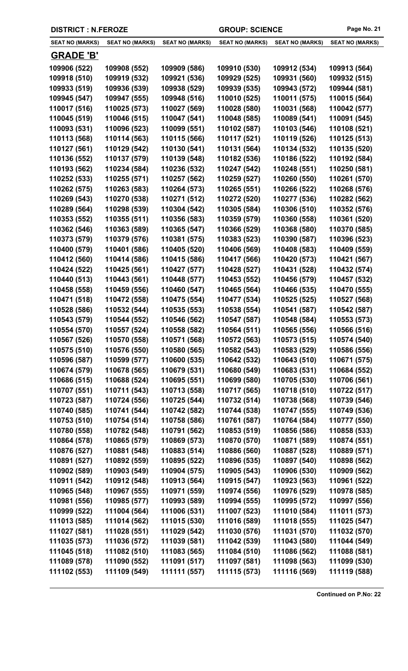| <b>DISTRICT : N.FEROZE</b> |                        |                        | <b>GROUP: SCIENCE</b>  |                        | Page No. 21            |
|----------------------------|------------------------|------------------------|------------------------|------------------------|------------------------|
| <b>SEAT NO (MARKS)</b>     | <b>SEAT NO (MARKS)</b> | <b>SEAT NO (MARKS)</b> | <b>SEAT NO (MARKS)</b> | <b>SEAT NO (MARKS)</b> | <b>SEAT NO (MARKS)</b> |
| <b>GRADE 'B'</b>           |                        |                        |                        |                        |                        |
| 109906 (522)               | 109908 (552)           | 109909 (586)           | 109910 (530)           | 109912 (534)           | 109913 (564)           |
| 109918 (510)               | 109919 (532)           | 109921 (536)           | 109929 (525)           | 109931 (560)           | 109932 (515)           |
| 109933 (519)               | 109936 (539)           | 109938 (529)           | 109939 (535)           | 109943 (572)           | 109944 (581)           |
| 109945 (547)               | 109947 (555)           | 109948 (516)           | 110010 (525)           | 110011 (575)           | 110015 (564)           |
| 110017 (516)               | 110025 (573)           | 110027 (569)           | 110028 (580)           | 110031 (568)           | 110042 (577)           |
| 110045 (519)               | 110046 (515)           | 110047 (541)           | 110048 (585)           | 110089 (541)           | 110091 (545)           |
| 110093 (531)               | 110096 (523)           | 110099 (551)           | 110102 (587)           | 110103 (546)           | 110108 (521)           |
| 110113 (568)               | 110114 (563)           | 110115 (566)           | 110117 (521)           | 110119 (526)           | 110125 (513)           |
| 110127 (561)               | 110129 (542)           | 110130 (541)           | 110131 (564)           | 110134 (532)           | 110135 (520)           |
| 110136 (552)               | 110137 (579)           | 110139 (548)           | 110182 (536)           | 110186 (522)           | 110192 (584)           |
| 110193 (562)               | 110234 (584)           | 110236 (532)           | 110247 (542)           | 110248 (551)           | 110250 (581)           |
| 110252 (533)               | 110255 (571)           | 110257 (562)           | 110259 (527)           | 110260 (550)           | 110261 (570)           |
| 110262 (575)               | 110263 (583)           | 110264 (573)           | 110265 (551)           | 110266 (522)           | 110268 (576)           |
| 110269 (543)               | 110270 (538)           | 110271 (512)           | 110272 (520)           | 110277 (536)           | 110282 (562)           |
| 110289 (564)               | 110298 (539)           | 110304 (542)           | 110305 (584)           | 110306 (510)           | 110352 (576)           |
| 110353 (552)               | 110355 (511)           | 110356 (583)           | 110359 (579)           | 110360 (558)           | 110361 (520)           |
| 110362 (546)               | 110363 (589)           | 110365 (547)           | 110366 (529)           | 110368 (580)           | 110370 (585)           |
| 110373 (579)               | 110379 (576)           | 110381 (575)           | 110383 (523)           | 110390 (587)           | 110396 (523)           |
| 110400 (579)               | 110401 (586)           | 110405 (520)           | 110406 (569)           | 110408 (583)           | 110409 (559)           |
| 110412 (560)               | 110414 (586)           | 110415 (586)           | 110417 (566)           | 110420 (573)           | 110421 (567)           |
| 110424 (522)               | 110425 (561)           | 110427 (577)           | 110428 (527)           | 110431 (528)           | 110432 (574)           |
| 110440 (513)               | 110443 (561)           | 110448 (577)           | 110453 (552)           | 110456 (579)           | 110457 (532)           |
| 110458 (558)               | 110459 (556)           | 110460 (547)           | 110465 (564)           | 110466 (535)           | 110470 (555)           |
| 110471 (518)               | 110472 (558)           | 110475 (554)           | 110477 (534)           | 110525 (525)           | 110527 (568)           |
| 110528 (586)               | 110532 (544)           | 110535 (553)           | 110538 (554)           | 110541 (587)           | 110542 (587)           |
| 110543 (579)               | 110544 (552)           | 110546 (562)           | 110547 (587)           | 110548 (584)           | 110553 (573)           |
| 110554 (570)               | 110557 (524)           | 110558 (582)           | 110564 (511)           | 110565 (556)           | 110566 (516)           |
|                            |                        |                        |                        |                        |                        |

| 110471 (518) | 110472 (558) | 110475 (554) | 110477 (534) | 110525 (525) | 110527 (568) |
|--------------|--------------|--------------|--------------|--------------|--------------|
| 110528 (586) | 110532 (544) | 110535 (553) | 110538 (554) | 110541 (587) | 110542 (587) |
| 110543 (579) | 110544 (552) | 110546 (562) | 110547 (587) | 110548 (584) | 110553 (573) |
| 110554 (570) | 110557 (524) | 110558 (582) | 110564 (511) | 110565 (556) | 110566 (516) |
| 110567 (526) | 110570 (558) | 110571 (568) | 110572 (563) | 110573 (515) | 110574 (540) |
| 110575 (510) | 110576 (550) | 110580 (565) | 110582 (543) | 110583 (529) | 110586 (556) |
| 110596 (587) | 110599 (577) | 110600 (535) | 110642 (532) | 110643 (510) | 110671 (575) |
| 110674 (579) | 110678 (565) | 110679 (531) | 110680 (549) | 110683 (531) | 110684 (552) |
| 110686 (515) | 110688 (524) | 110695 (551) | 110699 (580) | 110705 (530) | 110706 (561) |
| 110707 (551) | 110711 (543) | 110713 (558) | 110717 (565) | 110718 (510) | 110722 (517) |
| 110723 (587) | 110724 (556) | 110725 (544) | 110732 (514) | 110738 (568) | 110739 (546) |
| 110740 (585) | 110741 (544) | 110742 (582) | 110744 (538) | 110747 (555) | 110749 (536) |
| 110753 (510) | 110754 (514) | 110758 (586) | 110761 (587) | 110764 (584) | 110777 (550) |
| 110780 (558) | 110782 (548) | 110791 (562) | 110853 (519) | 110856 (586) | 110858 (533) |
| 110864 (578) | 110865 (579) | 110869 (573) | 110870 (570) | 110871 (589) | 110874 (551) |
| 110876 (527) | 110881 (548) | 110883 (514) | 110886 (560) | 110887 (528) | 110889 (571) |
| 110891 (527) | 110892 (559) | 110895 (522) | 110896 (535) | 110897 (540) | 110898 (562) |
| 110902 (589) | 110903 (549) | 110904 (575) | 110905 (543) | 110906 (530) | 110909 (562) |
| 110911 (542) | 110912 (548) | 110913 (564) | 110915 (547) | 110923 (563) | 110961 (522) |
| 110965 (548) | 110967 (555) | 110971 (559) | 110974 (556) | 110976 (529) | 110978 (585) |
| 110981 (556) | 110985 (577) | 110993 (589) | 110994 (555) | 110995 (572) | 110997 (556) |
| 110999 (522) | 111004 (564) | 111006 (531) | 111007 (523) | 111010 (584) | 111011 (573) |
| 111013 (585) | 111014 (562) | 111015 (530) | 111016 (589) | 111018 (555) | 111025 (547) |
| 111027 (581) | 111028 (551) | 111029 (542) | 111030 (576) | 111031 (570) | 111032 (570) |
| 111035 (573) | 111036 (572) | 111039 (581) | 111042 (539) | 111043 (580) | 111044 (549) |
| 111045 (518) | 111082 (510) | 111083 (565) | 111084 (510) | 111086 (562) | 111088 (581) |
| 111089 (578) | 111090 (552) | 111091 (517) | 111097 (581) | 111098 (563) | 111099 (530) |
| 111102 (553) | 111109 (549) | 111111 (557) | 111115 (573) | 111116 (569) | 111119 (588) |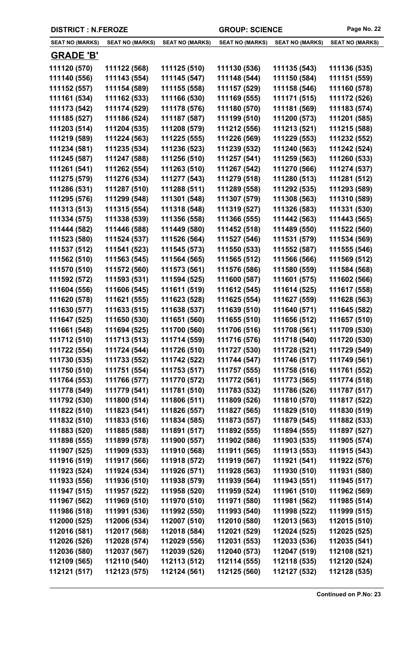| <b>SEAT NO (MARKS)</b> | SEAT NO (MARKS) | <b>SEAT NO (MARKS)</b> | <b>SEAT NO (MARKS)</b> | <b>SEAT NO (MARKS)</b> | <b>SEAT NO (MARKS)</b> |
|------------------------|-----------------|------------------------|------------------------|------------------------|------------------------|
| <b>GRADE 'B'</b>       |                 |                        |                        |                        |                        |
| 111120 (570)           | 111122 (568)    | 111125 (510)           | 111130 (536)           | 111135 (543)           | 111136 (535)           |
| 111140 (556)           | 111143 (554)    | 111145 (547)           | 111148 (544)           | 111150 (584)           | 111151 (559)           |
| 111152 (557)           | 111154 (589)    | 111155 (558)           | 111157 (529)           | 111158 (546)           | 111160 (578)           |
| 111161 (534)           | 111162 (533)    | 111166 (530)           | 111169 (555)           | 111171 (515)           | 111172 (526)           |
| 111173 (542)           | 111174 (529)    | 111178 (576)           | 111180 (570)           | 111181 (569)           | 111183 (574)           |
| 111185 (527)           | 111186 (524)    | 111187 (587)           | 111199 (510)           | 111200 (573)           | 111201 (585)           |
| 111203 (514)           | 111204 (535)    | 111208 (579)           | 111212 (556)           | 111213 (521)           | 111215 (588)           |
| 111219 (589)           | 111224 (563)    | 111225 (555)           | 111226 (569)           | 111229 (553)           | 111232 (552)           |
| 111234 (581)           | 111235 (534)    | 111236 (523)           | 111239 (532)           | 111240 (563)           | 111242 (524)           |
| 111245 (587)           | 111247 (588)    | 111256 (510)           | 111257 (541)           | 111259 (563)           | 111260 (533)           |
| 111261 (541)           | 111262 (554)    | 111263 (510)           | 111267 (542)           | 111270 (566)           | 111274 (537)           |
| 111275 (579)           | 111276 (534)    | 111277 (543)           | 111279 (518)           | 111280 (513)           | 111281 (512)           |
| 111286 (531)           | 111287 (510)    | 111288 (511)           | 111289 (558)           | 111292 (535)           | 111293 (589)           |
| 111295 (576)           | 111299 (548)    | 111301 (548)           | 111307 (579)           | 111308 (563)           | 111310 (589)           |
| 111313 (513)           | 111315 (554)    | 111318 (548)           | 111319 (527)           | 111326 (583)           | 111331 (530)           |
| 111334 (575)           | 111338 (539)    | 111356 (558)           | 111366 (555)           | 111442 (563)           | 111443 (565)           |
| 111444 (582)           | 111446 (588)    | 111449 (580)           | 111452 (518)           | 111489 (550)           | 111522 (560)           |
| 111523 (580)           | 111524 (537)    | 111526 (564)           | 111527 (546)           | 111531 (579)           | 111534 (569)           |
| 111537 (512)           | 111541 (523)    | 111545 (573)           | 111550 (533)           | 111552 (587)           | 111555 (546)           |
| 111562 (510)           | 111563 (545)    | 111564 (565)           | 111565 (512)           | 111566 (566)           | 111569 (512)           |
| 111570 (510)           | 111572 (560)    | 111573 (561)           | 111576 (586)           | 111580 (559)           | 111584 (568)           |
| 111592 (572)           | 111593 (531)    | 111594 (525)           | 111600 (587)           | 111601 (575)           | 111602 (566)           |
| 111604 (556)           | 111606 (545)    | 111611 (519)           | 111612 (545)           | 111614 (525)           | 111617 (558)           |
| 111620 (578)           | 111621 (555)    | 111623 (528)           | 111625 (554)           | 111627 (559)           | 111628 (563)           |
| 111630 (577)           | 111633 (515)    | 111638 (537)           | 111639 (510)           | 111640 (571)           | 111645 (582)           |
| 111647 (525)           | 111650 (530)    | 111651 (560)           | 111655 (510)           | 111656 (512)           | 111657 (510)           |
| 111661 (548)           | 111694 (525)    | 111700 (560)           | 111706 (516)           | 111708 (561)           | 111709 (530)           |
| 111712 (510)           | 111713 (513)    | 111714 (559)           | 111716 (576)           | 111718 (540)           | 111720 (530)           |
| 111722 (554)           | 111724 (544)    | 111726 (510)           | 111727 (530)           | 111728 (521)           | 111729 (549)           |
| 111730 (535)           | 111733 (552)    | 111742 (522)           | 111744 (547)           | 111746 (517)           | 111749 (561)           |
| 111750 (510)           | 111751 (554)    | 111753 (517)           | 111757 (555)           | 111758 (516)           | 111761 (552)           |
| 111764 (553)           | 111766 (577)    | 111770 (572)           | 111772 (561)           | 111773 (565)           | 111774 (518)           |
| 111778 (549)           | 111779 (541)    | 111781 (510)           | 111783 (532)           | 111786 (526)           | 111787 (517)           |
| 111792 (530)           | 111800 (514)    | 111806 (511)           | 111809 (526)           | 111810 (570)           | 111817 (522)           |
| 111822 (510)           | 111823 (541)    | 111826 (557)           | 111827 (565)           | 111829 (510)           | 111830 (519)           |
| 111832 (510)           | 111833 (516)    | 111834 (585)           | 111873 (557)           | 111879 (545)           | 111882 (533)           |
| 111883 (520)           | 111885 (588)    | 111891 (517)           | 111892 (555)           | 111894 (555)           | 111897 (527)           |
| 111898 (555)           | 111899 (578)    | 111900 (557)           | 111902 (586)           | 111903 (535)           | 111905 (574)           |
| 111907 (525)           | 111909 (533)    | 111910 (568)           | 111911 (565)           | 111913 (553)           | 111915 (543)           |
| 111916 (519)           | 111917 (566)    | 111918 (572)           | 111919 (567)           | 111921 (541)           | 111922 (576)           |
| 111923 (524)           | 111924 (534)    | 111926 (571)           | 111928 (563)           | 111930 (510)           | 111931 (580)           |
| 111933 (556)           | 111936 (510)    | 111938 (579)           | 111939 (564)           | 111943 (551)           | 111945 (517)           |
| 111947 (515)           | 111957 (522)    | 111958 (520)           | 111959 (524)           | 111961 (510)           | 111962 (569)           |
| 111967 (562)           | 111969 (510)    | 111970 (510)           | 111971 (580)           | 111981 (562)           | 111985 (514)           |
| 111986 (518)           | 111991 (536)    | 111992 (550)           | 111993 (540)           | 111998 (522)           | 111999 (515)           |
| 112000 (525)           | 112006 (534)    | 112007 (510)           | 112010 (580)           | 112013 (563)           | 112015 (510)           |
| 112016 (581)           | 112017 (568)    | 112018 (584)           | 112021 (529)           | 112024 (525)           | 112025 (525)           |
| 112026 (526)           | 112028 (574)    | 112029 (556)           | 112031 (553)           | 112033 (536)           | 112035 (541)           |
| 112036 (580)           | 112037 (567)    | 112039 (526)           | 112040 (573)           | 112047 (519)           | 112108 (521)           |
| 112109 (565)           | 112110 (540)    | 112113 (512)           | 112114 (555)           | 112118 (535)           | 112120 (524)           |

**112121 (517) 112123 (575) 112124 (561) 112125 (560) 112127 (532) 112128 (535)**

**DISTRICT : N.FEROZE GROUP: SCIENCE Page No. 22**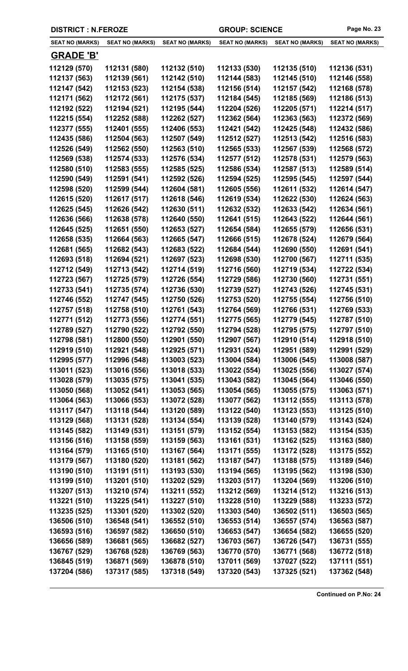| <b>SEAT NO (MARKS)</b> | <b>SEAT NO (MARKS)</b> | <b>SEAT NO (MARKS)</b> | <b>SEAT NO (MARKS)</b> | <b>SEAT NO (MARKS)</b> | <b>SEAT NO (MARKS)</b> |
|------------------------|------------------------|------------------------|------------------------|------------------------|------------------------|
| <b>GRADE 'B'</b>       |                        |                        |                        |                        |                        |
| 112129 (570)           | 112131 (580)           | 112132 (510)           | 112133 (530)           | 112135 (510)           | 112136 (531)           |
| 112137 (563)           | 112139 (561)           | 112142 (510)           | 112144 (583)           | 112145 (510)           | 112146 (558)           |
| 112147 (542)           | 112153 (523)           | 112154 (538)           | 112156 (514)           | 112157 (542)           | 112168 (578)           |
| 112171 (562)           | 112172 (561)           | 112175 (537)           | 112184 (545)           | 112185 (569)           | 112186 (513)           |
| 112192 (522)           | 112194 (521)           | 112195 (544)           | 112204 (526)           | 112205 (571)           | 112214 (517)           |
| 112215 (554)           | 112252 (588)           | 112262 (527)           | 112362 (564)           | 112363 (563)           | 112372 (569)           |
| 112377 (555)           | 112401 (555)           | 112406 (553)           | 112421 (542)           | 112425 (548)           | 112432 (586)           |
| 112435 (586)           | 112504 (563)           | 112507 (549)           | 112512 (527)           | 112513 (542)           | 112516 (583)           |
| 112526 (549)           | 112562 (550)           | 112563 (510)           | 112565 (533)           | 112567 (539)           | 112568 (572)           |
| 112569 (538)           | 112574 (533)           | 112576 (534)           | 112577 (512)           | 112578 (531)           | 112579 (563)           |
| 112580 (510)           | 112583 (555)           | 112585 (525)           | 112586 (534)           | 112587 (513)           | 112589 (514)           |
| 112590 (549)           | 112591 (541)           | 112592 (526)           | 112594 (525)           | 112595 (545)           | 112597 (544)           |
| 112598 (520)           | 112599 (544)           | 112604 (581)           | 112605 (556)           | 112611 (532)           | 112614 (547)           |
| 112615 (520)           | 112617 (517)           | 112618 (546)           | 112619 (534)           | 112622 (530)           | 112624 (563)           |
| 112625 (545)           | 112626 (542)           | 112630 (511)           | 112632 (532)           | 112633 (542)           | 112634 (561)           |
| 112636 (566)           | 112638 (578)           | 112640 (550)           | 112641 (515)           | 112643 (522)           | 112644 (561)           |
| 112645 (525)           | 112651 (550)           | 112653 (527)           | 112654 (584)           | 112655 (579)           | 112656 (531)           |
| 112658 (535)           | 112664 (563)           | 112665 (547)           | 112666 (515)           | 112678 (524)           | 112679 (564)           |
| 112681 (565)           | 112682 (543)           | 112683 (522)           | 112684 (544)           | 112690 (550)           | 112691 (541)           |
| 112693 (518)           | 112694 (521)           | 112697 (523)           | 112698 (530)           | 112700 (567)           | 112711 (535)           |
| 112712 (549)           | 112713 (542)           | 112714 (519)           | 112716 (560)           | 112719 (534)           | 112722 (534)           |
| 112723 (567)           | 112725 (579)           | 112726 (554)           | 112729 (586)           | 112730 (560)           | 112731 (551)           |
| 112733 (541)           | 112735 (574)           | 112736 (530)           | 112739 (527)           | 112743 (526)           | 112745 (531)           |
| 112746 (552)           | 112747 (545)           | 112750 (526)           | 112753 (520)           | 112755 (554)           | 112756 (510)           |
| 112757 (518)           | 112758 (510)           | 112761 (543)           | 112764 (569)           | 112766 (531)           | 112769 (533)           |
| 112771 (512)           | 112773 (556)           | 112774 (551)           | 112775 (565)           | 112779 (545)           | 112787 (510)           |
| 112789 (527)           | 112790 (522)           | 112792 (550)           | 112794 (528)           | 112795 (575)           | 112797 (510)           |
| 112798 (581)           | 112800 (550)           | 112901 (550)           | 112907 (567)           | 112910 (514)           | 112918 (510)           |
| 112919 (510)           | 112921 (548)           | 112925 (571)           | 112931 (524)           | 112951 (589)           | 112991 (529)           |
| 112995 (577)           | 112996 (548)           | 113003 (523)           | 113004 (584)           | 113006 (545)           | 113008 (587)           |
| 113011 (523)           | 113016 (556)           | 113018 (533)           | 113022 (554)           | 113025 (556)           | 113027 (574)           |
| 113028 (579)           | 113035 (575)           | 113041 (535)           | 113043 (582)           | 113045 (564)           | 113046 (550)           |
| 113050 (568)           | 113052 (541)           | 113053 (565)           | 113054 (565)           | 113055 (575)           | 113063 (571)           |
| 113064 (563)           | 113066 (553)           | 113072 (528)           | 113077 (562)           | 113112 (555)           | 113113 (578)           |
| 113117 (547)           | 113118 (544)           | 113120 (589)           | 113122 (540)           | 113123 (553)           | 113125 (510)           |
| 113129 (568)           | 113131 (528)           | 113134 (554)           | 113139 (528)           | 113140 (579)           | 113143 (524)           |
| 113145 (582)           | 113149 (531)           | 113151 (579)           | 113152 (554)           | 113153 (582)           | 113154 (535)           |
|                        |                        |                        |                        |                        |                        |
| 113156 (516)           | 113158 (559)           | 113159 (563)           | 113161 (531)           | 113162 (525)           | 113163 (580)           |
| 113164 (579)           | 113165 (510)           | 113167 (564)           | 113171 (555)           | 113172 (528)           | 113175 (552)           |
| 113179 (567)           | 113180 (520)           | 113181 (562)           | 113187 (547)           | 113188 (575)           | 113189 (546)           |
| 113190 (510)           | 113191 (511)           | 113193 (530)           | 113194 (565)           | 113195 (562)           | 113198 (530)           |
| 113199 (510)           | 113201 (510)           | 113202 (529)           | 113203 (517)           | 113204 (569)           | 113206 (510)           |
| 113207 (513)           | 113210 (574)           | 113211 (552)           | 113212 (569)           | 113214 (512)           | 113216 (513)           |
| 113221 (510)           | 113225 (541)           | 113227 (510)           | 113228 (510)           | 113229 (588)           | 113233 (572)           |
| 113235 (525)           | 113301 (520)           | 113302 (520)           | 113303 (540)           | 136502 (511)           | 136503 (565)           |
| 136506 (510)           | 136548 (541)           | 136552 (510)           | 136553 (514)           | 136557 (574)           | 136563 (587)           |
| 136593 (516)           | 136597 (582)           | 136650 (510)           | 136653 (547)           | 136654 (582)           | 136655 (520)           |
| 136656 (589)           | 136681 (565)           | 136682 (527)           | 136703 (567)           | 136726 (547)           | 136731 (555)           |
| 136767 (529)           | 136768 (528)           | 136769 (563)           | 136770 (570)           | 136771 (568)           | 136772 (518)           |
| 136845 (519)           | 136871 (569)           | 136878 (510)           | 137011 (569)           | 137027 (522)           | 137111 (551)           |

**137204 (586) 137317 (585) 137318 (549) 137320 (543) 137325 (521) 137362 (548)**

**DISTRICT : N.FEROZE GROUP: SCIENCE Page No. 23**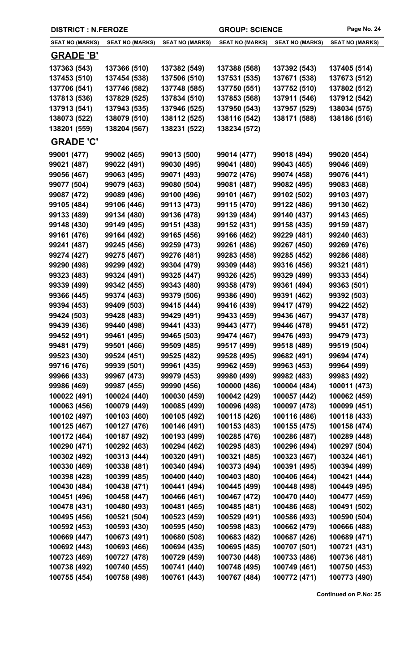| <b>DISTRICT : N.FEROZE</b> |                        |                        | <b>GROUP: SCIENCE</b>  |                        | Page No. 24            |
|----------------------------|------------------------|------------------------|------------------------|------------------------|------------------------|
| <b>SEAT NO (MARKS)</b>     | <b>SEAT NO (MARKS)</b> | <b>SEAT NO (MARKS)</b> | <b>SEAT NO (MARKS)</b> | <b>SEAT NO (MARKS)</b> | <b>SEAT NO (MARKS)</b> |
| <b>GRADE 'B'</b>           |                        |                        |                        |                        |                        |
| 137363 (543)               | 137366 (510)           | 137382 (549)           | 137388 (568)           | 137392 (543)           | 137405 (514)           |
| 137453 (510)               | 137454 (538)           | 137506 (510)           | 137531 (535)           | 137671 (538)           | 137673 (512)           |
| 137706 (541)               | 137746 (582)           | 137748 (585)           | 137750 (551)           | 137752 (510)           | 137802 (512)           |
| 137813 (536)               | 137829 (525)           | 137834 (510)           | 137853 (568)           | 137911 (546)           | 137912 (542)           |
| 137913 (541)               | 137943 (535)           | 137946 (525)           | 137950 (543)           | 137957 (529)           | 138034 (575)           |
| 138073 (522)               | 138079 (510)           | 138112 (525)           | 138116 (542)           | 138171 (588)           | 138186 (516)           |
| 138201 (559)               | 138204 (567)           | 138231 (522)           | 138234 (572)           |                        |                        |
| <b>GRADE 'C'</b>           |                        |                        |                        |                        |                        |
| 99001 (477)                | 99002 (465)            | 99013 (500)            | 99014 (477)            | 99018 (494)            | 99020 (454)            |
| 99021 (487)                | 99022 (491)            | 99030 (495)            | 99041 (480)            | 99043 (465)            | 99046 (469)            |
| 99056 (467)                | 99063 (495)            | 99071 (493)            | 99072 (476)            | 99074 (458)            | 99076 (441)            |
| 99077 (504)                | 99079 (463)            | 99080 (504)            | 99081 (487)            | 99082 (495)            | 99083 (468)            |
| 99087 (472)                | 99089 (496)            | 99100 (496)            | 99101 (467)            | 99102 (502)            | 99103 (497)            |
| 99105 (484)                | 99106 (446)            | 99113 (473)            | 99115 (470)            | 99122 (486)            | 99130 (462)            |
| 99133 (489)                | 99134 (480)            | 99136 (478)            | 99139 (484)            | 99140 (437)            | 99143 (465)            |
| 99148 (430)                | 99149 (495)            | 99151 (438)            | 99152 (431)            | 99158 (435)            | 99159 (487)            |
| 99161 (476)                | 99164 (492)            | 99165 (456)            | 99166 (462)            | 99229 (481)            | 99240 (463)            |
| 99241 (487)                | 99245 (456)            | 99259 (473)            | 99261 (486)            | 99267 (450)            | 99269 (476)            |
| 99274 (427)                | 99275 (467)            | 99276 (481)            | 99283 (458)            | 99285 (452)            | 99286 (488)            |
| 99290 (498)                | 99299 (492)            | 99304 (479)            | 99309 (448)            | 99316 (456)            | 99321 (481)            |
| 99323 (483)                | 99324 (491)            | 99325 (447)            | 99326 (425)            | 99329 (499)            | 99333 (454)            |
| 99339 (499)                | 99342 (455)            | 99343 (480)            | 99358 (479)            | 99361 (494)            | 99363 (501)            |
| 99366 (445)                | 99374 (463)            | 99379 (506)            | 99386 (490)            | 99391 (462)            | 99392 (503)            |
| 99394 (453)                | 99409 (503)            | 99415 (444)            | 99416 (439)            | 99417 (479)            | 99422 (452)            |
| 99424 (503)                | 99428 (483)            | 99429 (491)            | 99433 (459)            | 99436 (467)            | 99437 (478)            |
| 99439 (436)                | 99440 (498)            | 99441 (433)            | 99443 (477)            | 99446 (478)            | 99451 (472)            |
| 99452 (491)                | 99461 (495)            | 99465 (503)            | 99474 (467)            | 99476 (493)            | 99479 (473)            |
| 99481 (479)                | 99501 (466)            | 99509 (485)            | 99517 (499)            | 99518 (489)            | 99519 (504)            |
| 99523 (430)                | 99524 (451)            | 99525 (482)            | 99528 (495)            | 99682 (491)            | 99694 (474)            |
| 99716 (476)                | 99939 (501)            | 99961 (435)            | 99962 (459)            | 99963 (453)            | 99964 (499)            |
| 99966 (433)                | 99967 (473)            | 99979 (453)            | 99980 (499)            | 99982 (483)            | 99983 (492)            |
| 99986 (469)                | 99987 (455)            | 99990 (456)            | 100000 (486)           | 100004 (484)           | 100011 (473)           |
| 100022 (491)               | 100024 (440)           | 100030 (459)           | 100042 (429)           | 100057 (442)           | 100062 (459)           |
| 100063 (456)               | 100079 (449)           | 100085 (499)           | 100096 (498)           | 100097 (478)           | 100099 (451)           |
| 100102 (497)               | 100103 (460)           | 100105 (492)           | 100115 (426)           | 100116 (486)           | 100118 (433)           |
| 100125 (467)               | 100127 (476)           | 100146 (491)           | 100153 (483)           | 100155 (475)           | 100158 (474)           |
| 100172 (464)               | 100187 (492)           | 100193 (499)           | 100285 (476)           | 100286 (487)           | 100289 (448)           |
| 100290 (471)               | 100292 (463)           | 100294 (462)           | 100295 (483)           | 100296 (494)           | 100297 (504)           |
| 100302 (492)               | 100313 (444)           | 100320 (491)           | 100321 (485)           | 100323 (467)           | 100324 (461)           |
| 100330 (469)               | 100338 (481)           | 100340 (494)           | 100373 (494)           | 100391 (495)           | 100394 (499)           |
| 100398 (428)               | 100399 (485)           | 100400 (440)           | 100403 (480)           | 100406 (464)           | 100421 (444)           |
| 100430 (484)               | 100438 (471)           | 100441 (494)           | 100445 (499)           | 100448 (498)           | 100449 (495)           |
| 100451 (496)               | 100458 (447)           | 100466 (461)           | 100467 (472)           | 100470 (440)           | 100477 (459)           |
| 100478 (431)               | 100480 (493)           | 100481 (465)           | 100485 (481)           | 100486 (468)           | 100491 (502)           |
| 100495 (456)               | 100521 (504)           | 100523 (459)           | 100529 (491)           | 100586 (493)           | 100590 (504)           |
| 100592 (453)               | 100593 (430)           | 100595 (450)           | 100598 (483)           | 100662 (479)           | 100666 (488)           |
| 100669 (447)               | 100673 (491)           | 100680 (508)           | 100683 (482)           | 100687 (426)           | 100689 (471)           |
| 100692 (448)               | 100693 (466)           | 100694 (435)           | 100695 (485)           | 100707 (501)           | 100721 (431)           |
| 100723 (469)               | 100727 (478)           | 100729 (459)           | 100730 (448)           | 100733 (486)           | 100736 (481)           |
| 100738 (492)               | 100740 (455)           | 100741 (440)           | 100748 (495)           | 100749 (461)           | 100750 (453)           |
| 100755 (454)               | 100758 (498)           | 100761 (443)           | 100767 (484)           | 100772 (471)           | 100773 (490)           |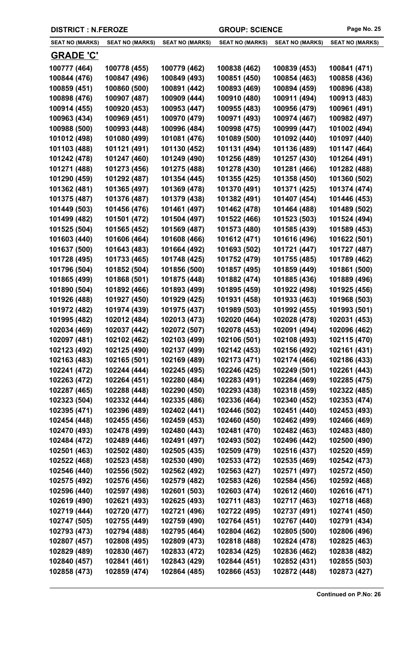|  | <b>DISTRICT : N.FEROZE</b> |
|--|----------------------------|
|--|----------------------------|

| <b>SEAT NO (MARKS)</b>       | <b>SEAT NO (MARKS)</b>       | <b>SEAT NO (MARKS)</b>       | <b>SEAT NO (MARKS)</b>       | <b>SEAT NO (MARKS)</b>       | <b>SEAT NO (MARKS)</b>       |
|------------------------------|------------------------------|------------------------------|------------------------------|------------------------------|------------------------------|
| <b>GRADE 'C'</b>             |                              |                              |                              |                              |                              |
| 100777 (464)                 | 100778 (455)                 | 100779 (462)                 | 100838 (462)                 | 100839 (453)                 | 100841 (471)                 |
| 100844 (476)                 | 100847 (496)                 | 100849 (493)                 | 100851 (450)                 | 100854 (463)                 | 100858 (436)                 |
| 100859 (451)                 | 100860 (500)                 | 100891 (442)                 | 100893 (469)                 | 100894 (459)                 | 100896 (438)                 |
| 100898 (476)                 | 100907 (487)                 | 100909 (444)                 | 100910 (480)                 | 100911 (494)                 | 100913 (483)                 |
| 100914 (455)                 | 100920 (453)                 | 100953 (447)                 | 100955 (483)                 | 100956 (479)                 | 100961 (491)                 |
| 100963 (434)                 | 100969 (451)                 | 100970 (479)                 | 100971 (493)                 | 100974 (467)                 | 100982 (497)                 |
| 100988 (500)                 | 100993 (448)                 | 100996 (484)                 | 100998 (475)                 | 100999 (447)                 | 101002 (494)                 |
| 101012 (498)                 | 101080 (499)                 | 101081 (476)                 | 101089 (500)                 | 101092 (440)                 | 101097 (440)                 |
| 101103 (488)                 | 101121 (491)                 | 101130 (452)                 | 101131 (494)                 | 101136 (489)                 | 101147 (464)                 |
| 101242 (478)                 | 101247 (460)                 | 101249 (490)                 | 101256 (489)                 | 101257 (430)                 | 101264 (491)                 |
| 101271 (488)                 | 101273 (456)                 | 101275 (488)                 | 101278 (430)                 | 101281 (466)                 | 101282 (488)                 |
| 101290 (459)                 | 101292 (487)                 | 101354 (445)                 | 101355 (425)                 | 101358 (450)                 | 101360 (502)                 |
| 101362 (481)                 | 101365 (497)                 | 101369 (478)                 | 101370 (491)                 | 101371 (425)                 | 101374 (474)                 |
| 101375 (487)                 | 101376 (487)                 | 101379 (438)                 | 101382 (491)                 | 101407 (454)                 | 101446 (453)                 |
| 101449 (503)                 | 101456 (476)                 | 101461 (497)                 | 101462 (478)                 | 101464 (488)                 | 101489 (502)                 |
| 101499 (482)                 | 101501 (472)                 | 101504 (497)                 | 101522 (466)                 | 101523 (503)                 | 101524 (494)                 |
| 101525 (504)                 | 101565 (452)                 | 101569 (487)                 | 101573 (480)                 | 101585 (439)                 | 101589 (453)                 |
| 101603 (440)                 | 101606 (464)                 | 101608 (466)                 | 101612 (471)                 | 101616 (496)                 | 101622 (501)                 |
| 101637 (500)                 | 101643 (483)                 | 101664 (492)                 | 101693 (502)                 | 101721 (447)                 | 101727 (487)                 |
| 101728 (495)                 | 101733 (465)                 | 101748 (425)                 | 101752 (479)                 | 101755 (485)                 | 101789 (462)                 |
| 101796 (504)                 | 101852 (504)                 | 101856 (500)                 | 101857 (495)                 | 101859 (449)                 | 101861 (500)                 |
| 101865 (499)                 | 101868 (501)                 | 101875 (448)                 | 101882 (474)                 | 101885 (436)                 | 101889 (496)                 |
| 101890 (504)                 | 101892 (466)                 | 101893 (499)                 | 101895 (459)                 | 101922 (498)                 | 101925 (456)                 |
| 101926 (488)                 | 101927 (450)                 | 101929 (425)                 | 101931 (458)                 | 101933 (463)                 | 101968 (503)                 |
| 101972 (482)                 | 101974 (439)                 | 101975 (437)                 | 101989 (503)                 | 101992 (455)                 | 101993 (501)                 |
| 101995 (482)                 | 102012 (484)                 | 102013 (473)                 | 102020 (464)                 | 102028 (478)                 | 102031 (453)                 |
| 102034 (469)                 | 102037 (442)                 | 102072 (507)                 | 102078 (453)                 | 102091 (494)                 | 102096 (462)                 |
| 102097 (481)                 | 102102 (462)                 | 102103 (499)                 | 102106 (501)                 | 102108 (493)                 | 102115 (470)                 |
| 102123 (492)                 | 102125 (490)                 | 102137 (499)                 | 102142 (453)                 | 102156 (492)                 | 102161 (431)                 |
| 102163 (483)                 | 102165 (501)                 | 102169 (489)                 | 102173 (471)                 | 102174 (466)                 | 102186 (433)                 |
| 102241 (472)                 | 102244 (444)                 | 102245 (495)                 | 102246 (425)                 | 102249 (501)                 | 102261 (443)                 |
| 102263 (472)                 | 102264 (451)                 | 102280 (484)                 | 102283 (491)                 | 102284 (469)                 | 102285 (475)                 |
| 102287 (465)                 | 102288 (448)                 | 102290 (450)                 | 102293 (438)                 | 102318 (459)                 | 102322 (485)                 |
| 102323 (504)                 | 102332 (444)                 | 102335 (486)                 | 102336 (464)                 | 102340 (452)                 | 102353 (474)                 |
| 102395 (471)                 | 102396 (489)                 | 102402 (441)                 | 102446 (502)                 | 102451 (440)                 | 102453 (493)                 |
| 102454 (448)                 | 102455 (456)                 | 102459 (453)                 | 102460 (450)                 | 102462 (499)                 | 102466 (469)                 |
| 102470 (493)                 | 102478 (499)                 | 102480 (443)                 | 102481 (470)                 | 102482 (463)                 | 102483 (480)                 |
| 102484 (472)                 | 102489 (446)                 | 102491 (497)                 | 102493 (502)                 | 102496 (442)                 | 102500 (490)                 |
| 102501 (463)                 | 102502 (480)                 | 102505 (435)                 | 102509 (479)                 | 102516 (437)                 | 102520 (459)                 |
| 102522 (468)                 | 102523 (458)                 | 102530 (490)                 | 102533 (472)                 | 102535 (469)                 | 102542 (473)                 |
| 102546 (440)                 | 102556 (502)                 | 102562 (492)                 | 102563 (427)                 | 102571 (497)                 | 102572 (450)                 |
| 102575 (492)                 | 102576 (456)                 | 102579 (482)                 | 102583 (426)                 | 102584 (456)                 | 102592 (468)                 |
| 102596 (440)                 | 102597 (498)                 | 102601 (503)                 | 102603 (474)                 | 102612 (460)                 | 102616 (471)                 |
| 102619 (490)                 | 102621 (493)                 | 102625 (493)                 | 102711 (483)                 | 102717 (463)                 | 102718 (468)                 |
| 102719 (444)                 | 102720 (477)                 | 102721 (496)                 | 102722 (495)<br>102764 (451) | 102737 (491)                 | 102741 (450)                 |
| 102747 (505)<br>102793 (473) | 102755 (449)<br>102794 (488) | 102759 (490)<br>102795 (464) | 102804 (462)                 | 102767 (440)<br>102805 (500) | 102791 (434)<br>102806 (496) |
| 102807 (457)                 | 102808 (495)                 | 102809 (473)                 | 102818 (488)                 | 102824 (478)                 | 102825 (463)                 |
| 102829 (489)                 | 102830 (467)                 | 102833 (472)                 | 102834 (425)                 | 102836 (462)                 | 102838 (482)                 |
| 102840 (457)                 | 102841 (461)                 | 102843 (429)                 | 102844 (451)                 | 102852 (431)                 | 102855 (503)                 |
| 102858 (473)                 | 102859 (474)                 | 102864 (485)                 | 102866 (453)                 | 102872 (448)                 | 102873 (427)                 |
|                              |                              |                              |                              |                              |                              |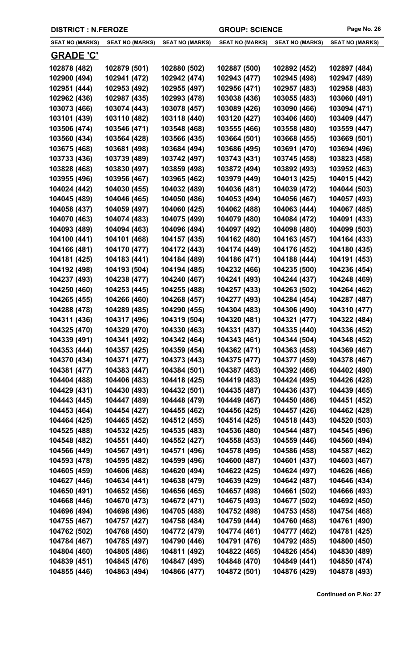| <b>DISTRICT : N.FEROZE</b> |  |
|----------------------------|--|
|----------------------------|--|

÷,

| <b>SEAT NO (MARKS)</b>       | <b>SEAT NO (MARKS)</b>       | <b>SEAT NO (MARKS)</b>       | <b>SEAT NO (MARKS)</b>       | <b>SEAT NO (MARKS)</b>       | <b>SEAT NO (MARKS)</b>       |
|------------------------------|------------------------------|------------------------------|------------------------------|------------------------------|------------------------------|
| <b>GRADE 'C'</b>             |                              |                              |                              |                              |                              |
| 102878 (482)                 | 102879 (501)                 | 102880 (502)                 | 102887 (500)                 | 102892 (452)                 | 102897 (484)                 |
| 102900 (494)                 | 102941 (472)                 | 102942 (474)                 | 102943 (477)                 | 102945 (498)                 | 102947 (489)                 |
| 102951 (444)                 | 102953 (492)                 | 102955 (497)                 | 102956 (471)                 | 102957 (483)                 | 102958 (483)                 |
| 102962 (436)                 | 102987 (435)                 | 102993 (478)                 | 103038 (436)                 | 103055 (483)                 | 103060 (491)                 |
| 103073 (466)                 | 103074 (443)                 | 103078 (457)                 | 103089 (426)                 | 103090 (466)                 | 103094 (471)                 |
| 103101 (439)                 | 103110 (482)                 | 103118 (440)                 | 103120 (427)                 | 103406 (460)                 | 103409 (447)                 |
| 103506 (474)                 | 103546 (471)                 | 103548 (468)                 | 103555 (466)                 | 103558 (480)                 | 103559 (447)                 |
| 103560 (434)                 | 103564 (428)                 | 103566 (435)                 | 103664 (501)                 | 103668 (455)                 | 103669 (501)                 |
| 103675 (468)                 | 103681 (498)                 | 103684 (494)                 | 103686 (495)                 | 103691 (470)                 | 103694 (496)                 |
| 103733 (436)                 | 103739 (489)                 | 103742 (497)                 | 103743 (431)                 | 103745 (458)                 | 103823 (458)                 |
| 103828 (468)                 | 103830 (497)                 | 103859 (498)                 | 103872 (494)                 | 103892 (493)                 | 103952 (463)                 |
| 103955 (496)                 | 103956 (467)                 | 103965 (462)                 | 103979 (449)                 | 104013 (425)                 | 104015 (442)                 |
| 104024 (442)                 | 104030 (455)                 | 104032 (489)                 | 104036 (481)                 | 104039 (472)                 | 104044 (503)                 |
| 104045 (489)                 | 104046 (465)                 | 104050 (486)                 | 104053 (494)                 | 104056 (467)                 | 104057 (493)                 |
| 104058 (437)                 | 104059 (497)                 | 104060 (425)                 | 104062 (488)                 | 104063 (444)                 | 104067 (485)                 |
| 104070 (463)                 | 104074 (483)                 | 104075 (499)                 | 104079 (480)                 | 104084 (472)                 | 104091 (433)                 |
| 104093 (489)                 | 104094 (463)                 | 104096 (494)                 | 104097 (492)                 | 104098 (480)                 | 104099 (503)                 |
| 104100 (441)                 | 104101 (468)                 | 104157 (435)                 | 104162 (480)                 | 104163 (457)                 | 104164 (433)                 |
| 104166 (481)                 | 104170 (477)                 | 104172 (443)                 | 104174 (449)                 | 104176 (452)                 | 104180 (435)                 |
| 104181 (425)                 | 104183 (441)                 | 104184 (489)                 | 104186 (471)                 | 104188 (444)                 | 104191 (453)                 |
| 104192 (498)                 | 104193 (504)                 | 104194 (485)                 | 104232 (466)                 | 104235 (500)                 | 104236 (454)                 |
| 104237 (493)                 | 104238 (477)                 | 104240 (467)                 | 104241 (493)                 | 104244 (437)                 | 104248 (469)                 |
| 104250 (460)                 | 104253 (445)                 | 104255 (488)                 | 104257 (433)                 | 104263 (502)                 | 104264 (462)                 |
| 104265 (455)                 | 104266 (460)                 | 104268 (457)                 | 104277 (493)                 | 104284 (454)                 | 104287 (487)                 |
| 104288 (478)                 | 104289 (485)                 | 104290 (455)                 | 104304 (483)                 | 104306 (490)                 | 104310 (477)                 |
| 104311 (436)                 | 104317 (496)                 | 104319 (504)                 | 104320 (481)                 | 104321 (477)                 | 104322 (484)                 |
| 104325 (470)                 | 104329 (470)                 | 104330 (463)                 | 104331 (437)                 | 104335 (440)                 | 104336 (452)                 |
| 104339 (491)                 | 104341 (492)                 | 104342 (464)                 | 104343 (461)                 | 104344 (504)                 | 104348 (452)                 |
| 104353 (444)                 | 104357 (425)                 | 104359 (454)                 | 104362 (471)                 | 104363 (458)                 | 104369 (467)                 |
| 104370 (434)                 | 104371 (477)                 | 104373 (443)                 | 104375 (477)                 | 104377 (459)                 | 104378 (467)                 |
| 104381 (477)                 | 104383 (447)                 | 104384 (501)                 | 104387 (463)                 | 104392 (466)                 | 104402 (490)                 |
| 104404 (488)                 | 104406 (483)                 | 104418 (425)                 | 104419 (483)                 | 104424 (495)                 | 104426 (428)                 |
| 104429 (431)                 | 104430 (493)                 | 104432 (501)                 | 104435 (487)                 | 104436 (437)                 | 104439 (465)                 |
| 104443 (445)                 | 104447 (489)                 | 104448 (479)                 | 104449 (467)                 | 104450 (486)                 | 104451 (452)                 |
| 104453 (464)                 | 104454 (427)                 | 104455 (462)                 | 104456 (425)                 | 104457 (426)                 | 104462 (428)                 |
| 104464 (425)                 | 104465 (452)                 | 104512 (455)                 | 104514 (425)                 | 104518 (443)                 | 104520 (503)                 |
| 104525 (488)                 | 104532 (425)                 | 104535 (483)                 | 104536 (480)                 | 104544 (487)                 | 104545 (496)                 |
| 104548 (482)                 | 104551 (440)                 | 104552 (427)                 | 104558 (453)                 | 104559 (446)                 | 104560 (494)                 |
| 104566 (449)                 | 104567 (491)                 | 104571 (496)                 | 104578 (495)                 | 104586 (458)                 | 104587 (462)                 |
| 104593 (478)                 | 104595 (482)                 | 104599 (496)                 | 104600 (487)                 | 104601 (437)                 | 104603 (467)                 |
| 104605 (459)                 | 104606 (468)                 | 104620 (494)                 | 104622 (425)                 | 104624 (497)                 | 104626 (466)                 |
| 104627 (446)                 | 104634 (441)                 | 104638 (479)                 | 104639 (429)                 | 104642 (487)                 | 104646 (434)                 |
| 104650 (491)                 | 104652 (456)                 | 104656 (465)                 | 104657 (498)                 | 104661 (502)                 | 104666 (493)                 |
| 104668 (446)                 | 104670 (473)                 | 104672 (471)                 | 104675 (493)                 | 104677 (502)                 | 104692 (450)                 |
| 104696 (494)                 | 104698 (496)                 | 104705 (488)                 | 104752 (498)                 | 104753 (458)                 | 104754 (468)                 |
| 104755 (467)                 | 104757 (427)                 | 104758 (484)                 | 104759 (444)                 | 104760 (468)                 | 104761 (490)                 |
| 104762 (502)<br>104784 (467) | 104768 (450)<br>104785 (497) | 104772 (479)<br>104790 (446) | 104774 (461)<br>104791 (476) | 104777 (462)<br>104792 (485) | 104781 (425)<br>104800 (450) |
| 104804 (460)                 | 104805 (486)                 | 104811 (492)                 | 104822 (465)                 | 104826 (454)                 | 104830 (489)                 |
| 104839 (451)                 | 104845 (476)                 | 104847 (495)                 | 104848 (470)                 | 104849 (441)                 | 104850 (474)                 |
| 104855 (446)                 | 104863 (494)                 | 104866 (477)                 | 104872 (501)                 | 104876 (429)                 | 104878 (493)                 |
|                              |                              |                              |                              |                              |                              |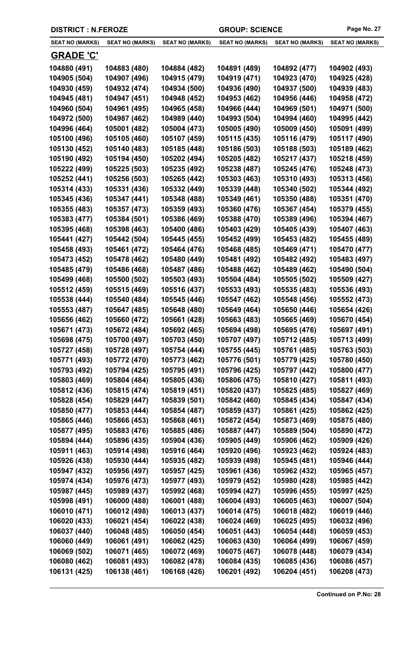|  | <b>DISTRICT : N.FEROZE</b> |
|--|----------------------------|
|--|----------------------------|

| <b>SEAT NO (MARKS)</b>       | <b>SEAT NO (MARKS)</b>       | <b>SEAT NO (MARKS)</b>       | <b>SEAT NO (MARKS)</b>       | <b>SEAT NO (MARKS)</b>       | <b>SEAT NO (MARKS)</b>       |
|------------------------------|------------------------------|------------------------------|------------------------------|------------------------------|------------------------------|
| <b>GRADE 'C'</b>             |                              |                              |                              |                              |                              |
| 104880 (491)                 | 104883 (480)                 | 104884 (482)                 | 104891 (489)                 | 104892 (477)                 | 104902 (493)                 |
| 104905 (504)                 | 104907 (496)                 | 104915 (479)                 | 104919 (471)                 | 104923 (470)                 | 104925 (428)                 |
| 104930 (459)                 | 104932 (474)                 | 104934 (500)                 | 104936 (490)                 | 104937 (500)                 | 104939 (483)                 |
| 104945 (481)                 | 104947 (451)                 | 104948 (452)                 | 104953 (462)                 | 104956 (446)                 | 104958 (472)                 |
| 104960 (504)                 | 104961 (495)                 | 104965 (458)                 | 104966 (444)                 | 104969 (501)                 | 104971 (500)                 |
| 104972 (500)                 | 104987 (462)                 | 104989 (440)                 | 104993 (504)                 | 104994 (460)                 | 104995 (442)                 |
| 104996 (464)                 | 105001 (482)                 | 105004 (473)                 | 105005 (490)                 | 105009 (450)                 | 105091 (499)                 |
| 105100 (496)                 | 105105 (460)                 | 105107 (459)                 | 105115 (435)                 | 105116 (479)                 | 105117 (490)                 |
| 105130 (452)                 | 105140 (483)                 | 105185 (448)                 | 105186 (503)                 | 105188 (503)                 | 105189 (462)                 |
| 105190 (492)                 | 105194 (450)                 | 105202 (494)                 | 105205 (482)                 | 105217 (437)                 | 105218 (459)                 |
| 105222 (499)                 | 105225 (503)                 | 105235 (492)                 | 105238 (487)                 | 105245 (476)                 | 105248 (473)                 |
| 105252 (441)                 | 105256 (503)                 | 105265 (442)                 | 105303 (463)                 | 105310 (493)                 | 105313 (456)                 |
| 105314 (433)                 | 105331 (436)                 | 105332 (449)                 | 105339 (448)                 | 105340 (502)                 | 105344 (492)                 |
| 105345 (436)                 | 105347 (441)                 | 105348 (488)                 | 105349 (461)                 | 105350 (488)                 | 105351 (470)                 |
| 105355 (483)                 | 105357 (473)                 | 105359 (493)                 | 105360 (476)                 | 105367 (454)                 | 105379 (455)                 |
| 105383 (477)                 | 105384 (501)                 | 105386 (469)                 | 105388 (470)                 | 105389 (496)                 | 105394 (467)                 |
| 105395 (468)                 | 105398 (463)                 | 105400 (486)                 | 105403 (429)                 | 105405 (439)                 | 105407 (463)                 |
| 105441 (427)                 | 105442 (504)                 | 105445 (455)                 | 105452 (499)                 | 105453 (482)                 | 105455 (489)                 |
| 105458 (493)                 | 105461 (472)                 | 105464 (476)                 | 105468 (485)                 | 105469 (471)                 | 105470 (477)                 |
| 105473 (452)                 | 105478 (462)                 | 105480 (449)                 | 105481 (492)                 | 105482 (492)                 | 105483 (497)                 |
| 105485 (479)                 | 105486 (468)                 | 105487 (486)                 | 105488 (462)                 | 105489 (462)                 | 105490 (504)                 |
| 105499 (468)                 | 105500 (502)                 | 105503 (493)                 | 105504 (484)                 | 105505 (502)                 | 105509 (427)                 |
| 105512 (459)                 | 105515 (469)                 | 105516 (437)                 | 105533 (493)                 | 105535 (483)                 | 105536 (493)                 |
| 105538 (444)                 | 105540 (484)                 | 105545 (446)                 | 105547 (462)                 | 105548 (456)                 | 105552 (473)                 |
| 105553 (487)                 | 105647 (485)                 | 105648 (480)                 | 105649 (464)                 | 105650 (446)                 | 105654 (426)                 |
| 105656 (462)                 | 105660 (472)                 | 105661 (428)                 | 105663 (483)                 | 105665 (469)                 | 105670 (454)                 |
| 105671 (473)                 | 105672 (484)                 | 105692 (465)                 | 105694 (498)                 | 105695 (476)                 | 105697 (491)                 |
| 105698 (475)                 | 105700 (497)                 | 105703 (450)                 | 105707 (497)                 | 105712 (485)                 | 105713 (499)                 |
| 105727 (458)                 | 105728 (497)                 | 105754 (444)                 | 105755 (445)                 | 105761 (485)                 | 105763 (503)                 |
| 105771 (493)                 | 105772 (470)                 | 105773 (462)                 | 105776 (501)                 | 105779 (425)                 | 105780 (450)                 |
| 105793 (492)                 | 105794 (425)                 | 105795 (491)                 | 105796 (425)                 | 105797 (442)                 | 105800 (477)                 |
| 105803 (469)                 | 105804 (484)                 | 105805 (436)                 | 105806 (475)                 | 105810 (427)                 | 105811 (493)                 |
| 105812 (436)                 | 105815 (474)                 | 105819 (451)                 | 105820 (437)                 | 105825 (485)                 | 105827 (469)                 |
| 105828 (454)                 | 105829 (447)                 | 105839 (501)                 | 105842 (460)                 | 105845 (434)                 | 105847 (434)                 |
| 105850 (477)                 | 105853 (444)                 | 105854 (487)                 | 105859 (437)                 | 105861 (425)                 | 105862 (425)                 |
| 105865 (446)                 | 105866 (453)                 | 105868 (461)                 | 105872 (454)                 | 105873 (469)                 | 105875 (480)                 |
| 105877 (495)<br>105894 (444) | 105883 (476)<br>105896 (435) | 105885 (486)<br>105904 (436) | 105887 (447)<br>105905 (449) | 105889 (504)<br>105906 (462) | 105890 (472)                 |
| 105911 (463)                 | 105914 (498)                 | 105916 (464)                 | 105920 (496)                 | 105923 (462)                 | 105909 (426)<br>105924 (483) |
| 105926 (438)                 | 105930 (444)                 | 105935 (482)                 | 105939 (498)                 | 105945 (481)                 | 105946 (444)                 |
| 105947 (432)                 | 105956 (497)                 | 105957 (425)                 | 105961 (436)                 | 105962 (432)                 | 105965 (457)                 |
| 105974 (434)                 | 105976 (473)                 | 105977 (493)                 | 105979 (452)                 | 105980 (428)                 | 105985 (442)                 |
| 105987 (445)                 | 105989 (437)                 | 105992 (468)                 | 105994 (427)                 | 105996 (455)                 | 105997 (425)                 |
| 105998 (491)                 | 106000 (488)                 | 106001 (488)                 | 106004 (493)                 | 106005 (463)                 | 106007 (504)                 |
| 106010 (471)                 | 106012 (498)                 | 106013 (437)                 | 106014 (475)                 | 106018 (482)                 | 106019 (446)                 |
| 106020 (433)                 | 106021 (454)                 | 106022 (438)                 | 106024 (469)                 | 106025 (495)                 | 106032 (496)                 |
| 106037 (440)                 | 106048 (485)                 | 106050 (454)                 | 106051 (443)                 | 106054 (448)                 | 106059 (453)                 |
| 106060 (449)                 | 106061 (491)                 | 106062 (425)                 | 106063 (430)                 | 106064 (499)                 | 106067 (459)                 |
| 106069 (502)                 | 106071 (465)                 | 106072 (469)                 | 106075 (467)                 | 106078 (448)                 | 106079 (434)                 |
| 106080 (462)                 | 106081 (493)                 | 106082 (478)                 | 106084 (435)                 | 106085 (436)                 | 106086 (457)                 |
| 106131 (425)                 | 106138 (461)                 | 106168 (426)                 | 106201 (492)                 | 106204 (451)                 | 106208 (473)                 |
|                              |                              |                              |                              |                              |                              |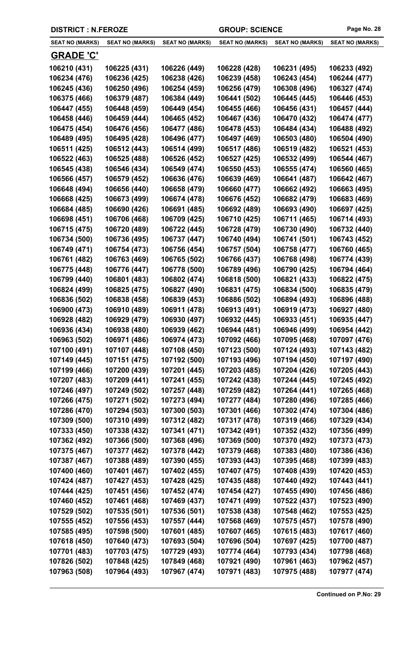|  | <b>DISTRICT : N.FEROZE</b> |
|--|----------------------------|
|--|----------------------------|

| <b>SEAT NO (MARKS)</b>       | <b>SEAT NO (MARKS)</b>       | <b>SEAT NO (MARKS)</b>       | <b>SEAT NO (MARKS)</b>       | <b>SEAT NO (MARKS)</b>       | <b>SEAT NO (MARKS)</b>       |
|------------------------------|------------------------------|------------------------------|------------------------------|------------------------------|------------------------------|
| <u>GRADE 'C'</u>             |                              |                              |                              |                              |                              |
| 106210 (431)                 | 106225 (431)                 | 106226 (449)                 | 106228 (428)                 | 106231 (495)                 | 106233 (492)                 |
| 106234 (476)                 | 106236 (425)                 | 106238 (426)                 | 106239 (458)                 | 106243 (454)                 | 106244 (477)                 |
| 106245 (436)                 | 106250 (496)                 | 106254 (459)                 | 106256 (479)                 | 106308 (496)                 | 106327 (474)                 |
| 106375 (466)                 | 106379 (487)                 | 106384 (449)                 | 106441 (502)                 | 106445 (445)                 | 106446 (453)                 |
| 106447 (455)                 | 106448 (459)                 | 106449 (454)                 | 106455 (466)                 | 106456 (431)                 | 106457 (444)                 |
| 106458 (446)                 | 106459 (444)                 | 106465 (452)                 | 106467 (436)                 | 106470 (432)                 | 106474 (477)                 |
| 106475 (454)                 | 106476 (456)                 | 106477 (486)                 | 106478 (453)                 | 106484 (434)                 | 106488 (492)                 |
| 106489 (495)                 | 106495 (428)                 | 106496 (477)                 | 106497 (469)                 | 106503 (480)                 | 106504 (490)                 |
| 106511 (425)                 | 106512 (443)                 | 106514 (499)                 | 106517 (486)                 | 106519 (482)                 | 106521 (453)                 |
| 106522 (463)                 | 106525 (488)                 | 106526 (452)                 | 106527 (425)                 | 106532 (499)                 | 106544 (467)                 |
| 106545 (438)                 | 106546 (434)                 | 106549 (474)                 | 106550 (453)                 | 106555 (474)                 | 106560 (465)                 |
| 106566 (457)                 | 106579 (452)                 | 106636 (476)                 | 106639 (469)                 | 106641 (487)                 | 106642 (467)                 |
| 106648 (494)                 | 106656 (440)                 | 106658 (479)                 | 106660 (477)                 | 106662 (492)                 | 106663 (495)                 |
| 106668 (425)                 | 106673 (499)                 | 106674 (478)                 | 106676 (452)                 | 106682 (479)                 | 106683 (469)                 |
| 106684 (485)                 | 106690 (426)                 | 106691 (485)                 | 106692 (489)                 | 106693 (490)                 | 106697 (425)                 |
| 106698 (451)                 | 106706 (468)                 | 106709 (425)                 | 106710 (425)                 | 106711 (465)                 | 106714 (493)                 |
| 106715 (475)                 | 106720 (489)                 | 106722 (445)                 | 106728 (479)                 | 106730 (490)                 | 106732 (440)                 |
| 106734 (500)                 | 106736 (495)                 | 106737 (447)                 | 106740 (494)                 | 106741 (501)                 | 106743 (452)                 |
| 106749 (471)                 | 106754 (473)                 | 106756 (454)                 | 106757 (504)                 | 106758 (477)                 | 106760 (465)                 |
| 106761 (482)                 | 106763 (469)                 | 106765 (502)                 | 106766 (437)                 | 106768 (498)                 | 106774 (439)                 |
| 106775 (448)                 | 106776 (447)                 | 106778 (500)                 | 106789 (496)                 | 106790 (425)                 | 106794 (464)                 |
| 106799 (440)                 | 106801 (483)                 | 106802 (474)                 | 106818 (500)                 | 106821 (433)                 | 106822 (475)                 |
| 106824 (499)                 | 106825 (475)                 | 106827 (490)                 | 106831 (475)                 | 106834 (500)                 | 106835 (479)                 |
| 106836 (502)                 | 106838 (458)                 | 106839 (453)                 | 106886 (502)                 | 106894 (493)                 | 106896 (488)                 |
| 106900 (473)                 | 106910 (489)                 | 106911 (478)                 | 106913 (491)                 | 106919 (473)                 | 106927 (480)                 |
| 106928 (482)                 | 106929 (479)                 | 106930 (497)                 | 106932 (445)                 | 106933 (451)                 | 106935 (447)                 |
| 106936 (434)                 | 106938 (480)                 | 106939 (462)                 | 106944 (481)                 | 106946 (499)                 | 106954 (442)                 |
| 106963 (502)                 | 106971 (486)                 | 106974 (473)                 | 107092 (466)                 | 107095 (468)                 | 107097 (476)                 |
| 107100 (491)                 | 107107 (448)                 | 107108 (450)                 | 107123 (500)                 | 107124 (493)                 | 107143 (482)                 |
| 107149 (445)                 | 107151 (475)                 | 107192 (500)                 | 107193 (496)                 | 107194 (450)                 | 107197 (490)                 |
| 107199 (466)                 | 107200 (439)                 | 107201 (445)                 | 107203 (485)                 | 107204 (426)                 | 107205 (443)                 |
| 107207 (483)                 | 107209 (441)                 | 107241 (455)                 | 107242 (438)                 | 107244 (445)                 | 107245 (492)                 |
| 107246 (497)                 | 107249 (502)                 | 107257 (448)                 | 107259 (482)                 | 107264 (441)                 | 107265 (468)                 |
| 107266 (475)                 | 107271 (502)                 | 107273 (494)                 | 107277 (484)                 | 107280 (496)                 | 107285 (466)                 |
| 107286 (470)                 | 107294 (503)                 | 107300 (503)                 | 107301 (466)                 | 107302 (474)                 | 107304 (486)                 |
| 107309 (500)                 | 107310 (499)                 | 107312 (482)                 | 107317 (478)                 | 107319 (466)                 | 107329 (434)                 |
| 107333 (450)                 | 107338 (432)                 | 107341 (471)                 | 107342 (491)                 | 107352 (432)                 | 107356 (499)                 |
| 107362 (492)                 | 107366 (500)                 | 107368 (496)                 | 107369 (500)                 | 107370 (492)                 | 107373 (473)                 |
| 107375 (467)                 | 107377 (462)                 | 107378 (442)                 | 107379 (468)                 | 107383 (480)                 | 107386 (436)                 |
| 107387 (467)                 | 107388 (489)                 | 107390 (455)                 | 107393 (443)                 | 107395 (468)                 | 107399 (483)                 |
| 107400 (460)                 | 107401 (467)                 | 107402 (455)                 | 107407 (475)                 | 107408 (439)                 | 107420 (453)                 |
| 107424 (487)                 | 107427 (453)                 | 107428 (425)                 | 107435 (488)                 | 107440 (492)                 | 107443 (441)                 |
| 107444 (425)                 | 107451 (456)                 | 107452 (474)                 | 107454 (427)                 | 107455 (490)                 | 107456 (486)                 |
| 107460 (452)                 | 107461 (468)                 | 107469 (437)                 | 107471 (499)                 | 107522 (437)                 | 107523 (490)                 |
| 107529 (502)                 | 107535 (501)                 | 107536 (501)                 | 107538 (438)                 | 107548 (462)                 | 107553 (425)                 |
| 107555 (452)                 | 107556 (453)                 | 107557 (444)                 | 107568 (469)                 | 107575 (457)                 | 107578 (490)                 |
| 107585 (495)                 | 107598 (500)                 | 107601 (485)                 | 107607 (465)                 | 107615 (483)                 | 107617 (460)                 |
| 107618 (450)<br>107701 (483) | 107640 (473)<br>107703 (475) | 107693 (504)<br>107729 (493) | 107696 (504)<br>107774 (464) | 107697 (425)<br>107793 (434) | 107700 (487)                 |
| 107826 (502)                 | 107848 (425)                 | 107849 (468)                 | 107921 (490)                 | 107961 (463)                 | 107798 (468)<br>107962 (457) |
| 107963 (508)                 | 107964 (493)                 | 107967 (474)                 | 107971 (483)                 | 107975 (488)                 | 107977 (474)                 |
|                              |                              |                              |                              |                              |                              |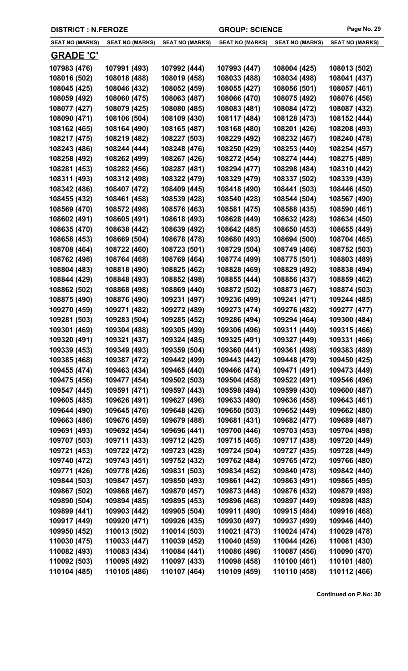|  | <b>DISTRICT : N.FEROZE</b> |
|--|----------------------------|
|--|----------------------------|

| <b>SEAT NO (MARKS)</b> | <b>SEAT NO (MARKS)</b> | <b>SEAT NO (MARKS)</b> | <b>SEAT NO (MARKS)</b> | <b>SEAT NO (MARKS)</b> | <b>SEAT NO (MARKS)</b> |
|------------------------|------------------------|------------------------|------------------------|------------------------|------------------------|
| <b>GRADE 'C'</b>       |                        |                        |                        |                        |                        |
| 107983 (476)           | 107991 (493)           | 107992 (444)           | 107993 (447)           | 108004 (425)           | 108013 (502)           |
| 108016 (502)           | 108018 (488)           | 108019 (458)           | 108033 (488)           | 108034 (498)           | 108041 (437)           |
| 108045 (425)           | 108046 (432)           | 108052 (459)           | 108055 (427)           | 108056 (501)           | 108057 (461)           |
| 108059 (492)           | 108060 (475)           | 108063 (487)           | 108066 (470)           | 108075 (492)           | 108076 (456)           |
| 108077 (427)           | 108079 (425)           | 108080 (485)           | 108083 (481)           | 108084 (472)           | 108087 (432)           |
| 108090 (471)           | 108106 (504)           | 108109 (430)           | 108117 (484)           | 108128 (473)           | 108152 (444)           |
| 108162 (465)           | 108164 (490)           | 108165 (487)           | 108168 (480)           | 108201 (426)           | 108208 (493)           |
| 108217 (475)           | 108219 (482)           | 108227 (503)           | 108229 (492)           | 108232 (467)           | 108240 (478)           |
| 108243 (486)           | 108244 (444)           | 108248 (476)           | 108250 (429)           | 108253 (440)           | 108254 (457)           |
| 108258 (492)           | 108262 (499)           | 108267 (426)           | 108272 (454)           | 108274 (444)           | 108275 (489)           |
| 108281 (453)           | 108282 (456)           | 108287 (481)           | 108294 (477)           | 108298 (484)           | 108310 (442)           |
| 108311 (493)           | 108312 (498)           | 108322 (479)           | 108329 (479)           | 108337 (502)           | 108339 (439)           |
| 108342 (486)           | 108407 (472)           | 108409 (445)           | 108418 (490)           | 108441 (503)           | 108446 (450)           |
| 108455 (432)           | 108461 (458)           | 108539 (428)           | 108540 (428)           | 108544 (504)           | 108567 (490)           |
| 108569 (470)           | 108572 (498)           | 108576 (463)           | 108581 (475)           | 108588 (435)           | 108590 (461)           |
| 108602 (491)           | 108605 (491)           | 108618 (493)           | 108628 (449)           | 108632 (428)           | 108634 (450)           |
| 108635 (470)           | 108638 (442)           | 108639 (492)           | 108642 (485)           | 108650 (453)           | 108655 (449)           |
| 108658 (453)           | 108669 (504)           | 108678 (478)           | 108680 (493)           | 108694 (500)           | 108704 (465)           |
| 108708 (464)           | 108722 (460)           | 108723 (501)           | 108729 (504)           | 108749 (466)           | 108752 (503)           |
| 108762 (498)           | 108764 (468)           | 108769 (464)           | 108774 (499)           | 108775 (501)           | 108803 (489)           |
| 108804 (483)           | 108818 (490)           | 108825 (462)           | 108828 (469)           | 108829 (492)           | 108838 (494)           |
| 108844 (429)           | 108848 (493)           | 108852 (498)           | 108855 (444)           | 108856 (437)           | 108859 (462)           |
| 108862 (502)           | 108868 (498)           | 108869 (440)           | 108872 (502)           | 108873 (467)           | 108874 (503)           |
| 108875 (490)           | 108876 (490)           | 109231 (497)           | 109236 (499)           | 109241 (471)           | 109244 (485)           |
| 109270 (459)           | 109271 (482)           | 109272 (489)           | 109273 (474)           | 109276 (482)           | 109277 (477)           |
| 109281 (503)           | 109283 (504)           | 109285 (452)           | 109286 (494)           | 109294 (464)           | 109300 (484)           |
| 109301 (469)           | 109304 (488)           | 109305 (499)           | 109306 (496)           | 109311 (449)           | 109315 (466)           |
| 109320 (491)           | 109321 (437)           | 109324 (485)           | 109325 (491)           | 109327 (449)           | 109331 (466)           |
| 109339 (453)           | 109349 (493)           | 109359 (504)           | 109360 (441)           | 109361 (498)           | 109383 (489)           |
| 109385 (468)           | 109387 (472)           | 109442 (499)           | 109443 (442)           | 109448 (479)           | 109450 (425)           |
| 109455 (474)           | 109463 (434)           | 109465 (440)           | 109466 (474)           | 109471 (491)           | 109473 (449)           |
| 109475 (456)           | 109477 (454)           | 109502 (503)           | 109504 (458)           | 109522 (491)           | 109546 (496)           |
| 109547 (445)           | 109591 (471)           | 109597 (443)           | 109598 (494)           | 109599 (430)           | 109600 (487)           |
| 109605 (485)           | 109626 (491)           | 109627 (496)           | 109633 (490)           | 109636 (458)           | 109643 (461)           |
| 109644 (490)           | 109645 (476)           | 109648 (426)           | 109650 (503)           | 109652 (449)           | 109662 (480)           |
| 109663 (486)           | 109676 (459)           | 109679 (488)           | 109681 (431)           | 109682 (477)           | 109689 (487)           |
| 109691 (493)           | 109692 (454)           | 109696 (441)           | 109700 (446)           | 109703 (453)           | 109704 (498)           |
| 109707 (503)           | 109711 (433)           | 109712 (425)           | 109715 (465)           | 109717 (438)           | 109720 (449)           |
| 109721 (453)           | 109722 (472)           | 109723 (428)           | 109724 (504)           | 109727 (435)           | 109728 (449)           |
| 109740 (472)           | 109743 (451)           | 109752 (432)           | 109762 (484)           | 109765 (472)           | 109766 (480)           |
| 109771 (426)           | 109778 (426)           | 109831 (503)           | 109834 (452)           | 109840 (478)           | 109842 (440)           |
| 109844 (503)           | 109847 (457)           | 109850 (493)           | 109861 (442)           | 109863 (491)           | 109865 (495)           |
| 109867 (502)           | 109868 (467)           | 109870 (457)           | 109873 (448)           | 109876 (432)           | 109879 (498)           |
| 109890 (504)           | 109894 (485)           | 109895 (453)           | 109896 (468)           | 109897 (449)           | 109898 (488)           |
| 109899 (441)           | 109903 (442)           | 109905 (504)           | 109911 (490)           | 109915 (484)           | 109916 (468)           |
| 109917 (449)           | 109920 (471)           | 109926 (435)           | 109930 (497)           | 109937 (499)           | 109946 (440)           |
| 109950 (452)           | 110013 (502)           | 110014 (503)           | 110021 (473)           | 110024 (474)           | 110029 (478)           |
| 110030 (475)           | 110033 (447)           | 110039 (452)           | 110040 (459)           | 110044 (426)           | 110081 (430)           |
| 110082 (493)           | 110083 (434)           | 110084 (441)           | 110086 (496)           | 110087 (456)           | 110090 (470)           |
| 110092 (503)           | 110095 (492)           | 110097 (433)           | 110098 (458)           | 110100 (461)           | 110101 (480)           |
| 110104 (485)           | 110105 (486)           | 110107 (464)           | 110109 (459)           | 110110 (458)           | 110112 (466)           |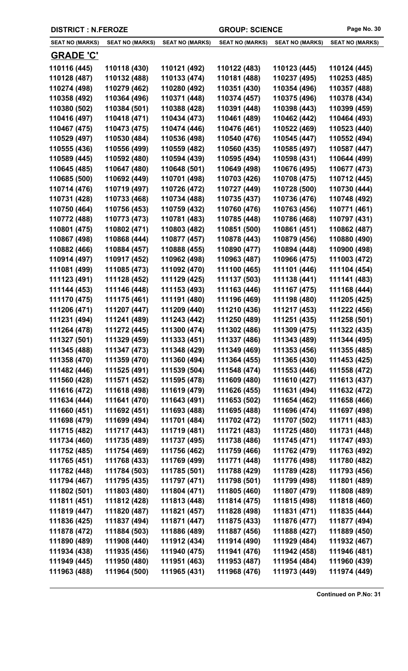|  | <b>DISTRICT : N.FEROZE</b> |
|--|----------------------------|
|--|----------------------------|

 $\overline{\phantom{0}}$ 

| <b>SEAT NO (MARKS)</b> | <b>SEAT NO (MARKS)</b> | <b>SEAT NO (MARKS)</b> | <b>SEAT NO (MARKS)</b> | <b>SEAT NO (MARKS)</b> | <b>SEAT NO (MARKS)</b> |
|------------------------|------------------------|------------------------|------------------------|------------------------|------------------------|
| <b>GRADE 'C'</b>       |                        |                        |                        |                        |                        |
| 110116 (445)           | 110118 (430)           | 110121 (492)           | 110122 (483)           | 110123 (445)           | 110124 (445)           |
| 110128 (487)           | 110132 (488)           | 110133 (474)           | 110181 (488)           | 110237 (495)           | 110253 (485)           |
| 110274 (498)           | 110279 (462)           | 110280 (492)           | 110351 (430)           | 110354 (496)           | 110357 (488)           |
| 110358 (492)           | 110364 (496)           | 110371 (448)           | 110374 (457)           | 110375 (496)           | 110378 (434)           |
| 110380 (502)           | 110384 (501)           | 110388 (428)           | 110391 (448)           | 110398 (443)           | 110399 (459)           |
| 110416 (497)           | 110418 (471)           | 110434 (473)           | 110461 (489)           | 110462 (442)           | 110464 (493)           |
| 110467 (475)           | 110473 (475)           | 110474 (446)           | 110476 (461)           | 110522 (469)           | 110523 (440)           |
| 110529 (497)           | 110530 (484)           | 110536 (498)           | 110540 (476)           | 110545 (447)           | 110552 (494)           |
| 110555 (436)           | 110556 (499)           | 110559 (482)           | 110560 (435)           | 110585 (497)           | 110587 (447)           |
| 110589 (445)           | 110592 (480)           | 110594 (439)           | 110595 (494)           | 110598 (431)           | 110644 (499)           |
| 110645 (485)           | 110647 (480)           | 110648 (501)           | 110649 (498)           | 110676 (495)           | 110677 (473)           |
| 110685 (500)           | 110692 (449)           | 110701 (498)           | 110703 (426)           | 110708 (475)           | 110712 (445)           |
| 110714 (476)           | 110719 (497)           | 110726 (472)           | 110727 (449)           | 110728 (500)           | 110730 (444)           |
| 110731 (428)           | 110733 (468)           | 110734 (488)           | 110735 (437)           | 110736 (476)           | 110748 (492)           |
| 110750 (464)           | 110756 (453)           | 110759 (432)           | 110760 (476)           | 110763 (456)           | 110771 (461)           |
| 110772 (488)           | 110773 (473)           | 110781 (483)           | 110785 (448)           | 110786 (468)           | 110797 (431)           |
| 110801 (475)           | 110802 (471)           | 110803 (482)           | 110851 (500)           | 110861 (451)           | 110862 (487)           |
| 110867 (498)           | 110868 (444)           | 110877 (457)           | 110878 (443)           | 110879 (456)           | 110880 (490)           |
| 110882 (466)           | 110884 (457)           | 110888 (455)           | 110890 (477)           | 110894 (448)           | 110900 (498)           |
| 110914 (497)           | 110917 (452)           | 110962 (498)           | 110963 (487)           | 110966 (475)           | 111003 (472)           |
| 111081 (499)           | 111085 (473)           | 111092 (470)           | 111100 (465)           | 111101 (446)           | 111104 (454)           |
| 111123 (491)           | 111128 (452)           | 111129 (425)           | 111137 (503)           | 111138 (441)           | 111141 (483)           |
| 111144 (453)           | 111146 (448)           | 111153 (493)           | 111163 (446)           | 111167 (475)           | 111168 (444)           |
| 111170 (475)           | 111175 (461)           | 111191 (480)           | 111196 (469)           | 111198 (480)           | 111205 (425)           |
| 111206 (471)           | 111207 (447)           | 111209 (440)           | 111210 (436)           | 111217 (453)           | 111222 (456)           |
| 111231 (494)           | 111241 (489)           | 111243 (442)           | 111250 (489)           | 111251 (435)           | 111258 (501)           |
| 111264 (478)           | 111272 (445)           | 111300 (474)           | 111302 (486)           | 111309 (475)           | 111322 (435)           |
| 111327 (501)           | 111329 (459)           | 111333 (451)           | 111337 (486)           | 111343 (489)           | 111344 (495)           |
| 111345 (488)           | 111347 (473)           | 111348 (429)           | 111349 (469)           | 111353 (456)           | 111355 (485)           |
| 111358 (470)           | 111359 (470)           | 111360 (494)           | 111364 (455)           | 111365 (430)           | 111453 (425)           |
| 111482 (446)           | 111525 (491)           | 111539 (504)           | 111548 (474)           | 111553 (446)           | 111558 (472)           |
| 111560 (428)           | 111571 (452)           | 111595 (478)           | 111609 (480)           | 111610 (427)           | 111613 (437)           |
| 111616 (472)           | 111618 (498)           | 111619 (479)           | 111626 (455)           | 111631 (494)           | 111632 (472)           |
| 111634 (444)           | 111641 (470)           | 111643 (491)           | 111653 (502)           | 111654 (462)           | 111658 (466)           |
| 111660 (451)           | 111692 (451)           | 111693 (488)           | 111695 (488)           | 111696 (474)           | 111697 (498)           |
| 111698 (479)           | 111699 (494)           | 111701 (484)           | 111702 (472)           | 111707 (502)           | 111711 (483)           |
| 111715 (482)           | 111717 (443)           | 111719 (481)           | 111721 (483)           | 111725 (480)           | 111731 (448)           |
| 111734 (460)           | 111735 (489)           | 111737 (495)           | 111738 (486)           | 111745 (471)           | 111747 (493)           |
| 111752 (485)           | 111754 (469)           | 111756 (462)           | 111759 (466)           | 111762 (479)           | 111763 (492)           |
| 111765 (451)           | 111768 (433)           | 111769 (499)           | 111771 (448)           | 111776 (498)           | 111780 (482)           |
| 111782 (448)           | 111784 (503)           | 111785 (501)           | 111788 (429)           | 111789 (428)           | 111793 (456)           |
| 111794 (467)           | 111795 (435)           | 111797 (471)           | 111798 (501)           | 111799 (498)           | 111801 (489)           |
| 111802 (501)           | 111803 (480)           | 111804 (471)           | 111805 (460)           | 111807 (479)           | 111808 (489)           |
| 111811 (451)           | 111812 (428)           | 111813 (448)           | 111814 (475)           | 111815 (498)           | 111818 (460)           |
| 111819 (447)           | 111820 (487)           | 111821 (457)           | 111828 (498)           | 111831 (471)           | 111835 (444)           |
| 111836 (425)           | 111837 (494)           | 111871 (447)           | 111875 (433)           | 111876 (477)           | 111877 (494)           |
| 111878 (472)           | 111884 (503)           | 111886 (489)           | 111887 (456)           | 111888 (427)           | 111889 (450)           |
| 111890 (489)           | 111908 (440)           | 111912 (434)           | 111914 (490)           | 111929 (484)           | 111932 (467)           |
| 111934 (438)           | 111935 (456)           | 111940 (475)           | 111941 (476)           | 111942 (458)           | 111946 (481)           |
| 111949 (445)           | 111950 (480)           | 111951 (463)           | 111953 (487)           | 111954 (484)           | 111960 (439)           |
| 111963 (488)           | 111964 (500)           | 111965 (431)           | 111968 (476)           | 111973 (449)           | 111974 (449)           |
|                        |                        |                        |                        |                        |                        |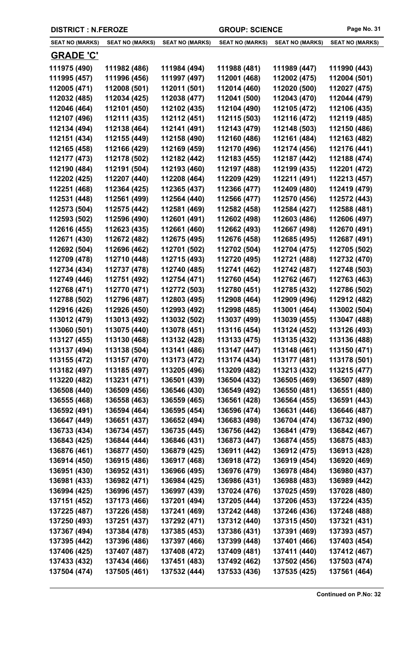|  | <b>DISTRICT : N.FEROZE</b> |
|--|----------------------------|
|--|----------------------------|

| <b>SEAT NO (MARKS)</b> | <b>SEAT NO (MARKS)</b> | <b>SEAT NO (MARKS)</b> | <b>SEAT NO (MARKS)</b> | <b>SEAT NO (MARKS)</b> | <b>SEAT NO (MARKS)</b> |
|------------------------|------------------------|------------------------|------------------------|------------------------|------------------------|
| <b>GRADE 'C'</b>       |                        |                        |                        |                        |                        |
| 111975 (490)           | 111982 (486)           | 111984 (494)           | 111988 (481)           | 111989 (447)           | 111990 (443)           |
| 111995 (457)           | 111996 (456)           | 111997 (497)           | 112001 (468)           | 112002 (475)           | 112004 (501)           |
| 112005 (471)           | 112008 (501)           | 112011 (501)           | 112014 (460)           | 112020 (500)           | 112027 (475)           |
| 112032 (485)           | 112034 (425)           | 112038 (477)           | 112041 (500)           | 112043 (470)           | 112044 (479)           |
| 112046 (464)           | 112101 (450)           | 112102 (435)           | 112104 (490)           | 112105 (472)           | 112106 (435)           |
| 112107 (496)           | 112111 (435)           | 112112 (451)           | 112115 (503)           | 112116 (472)           | 112119 (485)           |
| 112134 (494)           | 112138 (464)           | 112141 (491)           | 112143 (479)           | 112148 (503)           | 112150 (486)           |
| 112151 (434)           | 112155 (449)           | 112158 (490)           | 112160 (486)           | 112161 (484)           | 112163 (482)           |
| 112165 (458)           | 112166 (429)           | 112169 (459)           | 112170 (496)           | 112174 (456)           | 112176 (441)           |
| 112177 (473)           | 112178 (502)           | 112182 (442)           | 112183 (455)           | 112187 (442)           | 112188 (474)           |
| 112190 (484)           | 112191 (504)           | 112193 (460)           | 112197 (488)           | 112199 (435)           | 112201 (472)           |
| 112202 (425)           | 112207 (440)           | 112208 (464)           | 112209 (429)           | 112211 (491)           | 112213 (457)           |
| 112251 (468)           | 112364 (425)           | 112365 (437)           | 112366 (477)           | 112409 (480)           | 112419 (479)           |
| 112531 (448)           | 112561 (499)           | 112564 (440)           | 112566 (477)           | 112570 (456)           | 112572 (443)           |
| 112573 (504)           | 112575 (442)           | 112581 (469)           | 112582 (458)           | 112584 (427)           | 112588 (481)           |
| 112593 (502)           | 112596 (490)           | 112601 (491)           | 112602 (498)           | 112603 (486)           | 112606 (497)           |
| 112616 (455)           | 112623 (435)           | 112661 (460)           | 112662 (493)           | 112667 (498)           | 112670 (491)           |
| 112671 (430)           | 112672 (482)           | 112675 (495)           | 112676 (458)           | 112685 (495)           | 112687 (491)           |
| 112692 (504)           | 112696 (462)           | 112701 (502)           | 112702 (504)           | 112704 (475)           | 112705 (502)           |
| 112709 (478)           | 112710 (448)           | 112715 (493)           | 112720 (495)           | 112721 (488)           | 112732 (470)           |
| 112734 (434)           | 112737 (478)           | 112740 (485)           | 112741 (462)           | 112742 (487)           | 112748 (503)           |
| 112749 (446)           | 112751 (492)           | 112754 (471)           | 112760 (454)           | 112762 (467)           | 112763 (463)           |
| 112768 (471)           | 112770 (471)           | 112772 (503)           | 112780 (451)           | 112785 (432)           | 112786 (502)           |
| 112788 (502)           | 112796 (487)           | 112803 (495)           | 112908 (464)           | 112909 (496)           | 112912 (482)           |
| 112916 (426)           | 112926 (450)           | 112993 (492)           | 112998 (485)           | 113001 (464)           | 113002 (504)           |
| 113012 (479)           | 113013 (492)           | 113032 (502)           | 113037 (499)           | 113039 (455)           | 113047 (488)           |
| 113060 (501)           | 113075 (440)           | 113078 (451)           | 113116 (454)           | 113124 (452)           | 113126 (493)           |
| 113127 (455)           | 113130 (468)           | 113132 (428)           | 113133 (475)           | 113135 (432)           | 113136 (488)           |
| 113137 (494)           | 113138 (504)           | 113141 (486)           | 113147 (447)           | 113148 (461)           | 113150 (471)           |
| 113155 (472)           | 113157 (470)           | 113173 (472)           | 113174 (434)           | 113177 (481)           | 113178 (501)           |
| 113182 (497)           | 113185 (497)           | 113205 (496)           | 113209 (482)           | 113213 (432)           | 113215 (477)           |
| 113220 (482)           | 113231 (471)           | 136501 (439)           | 136504 (432)           | 136505 (469)           | 136507 (489)           |
| 136508 (440)           | 136509 (456)           | 136546 (430)           | 136549 (492)           | 136550 (481)           | 136551 (480)           |
| 136555 (468)           | 136558 (463)           | 136559 (465)           | 136561 (428)           | 136564 (455)           | 136591 (443)           |
| 136592 (491)           | 136594 (464)           | 136595 (454)           | 136596 (474)           | 136631 (446)           | 136646 (487)           |
| 136647 (449)           | 136651 (437)           | 136652 (494)           | 136683 (498)           | 136704 (474)           | 136732 (490)           |
| 136733 (434)           | 136734 (457)           | 136735 (445)           | 136756 (442)           | 136841 (479)           | 136842 (467)           |
| 136843 (425)           | 136844 (444)           | 136846 (431)           | 136873 (447)           | 136874 (455)           | 136875 (483)           |
| 136876 (461)           | 136877 (450)           | 136879 (425)           | 136911 (442)           | 136912 (475)           | 136913 (428)           |
| 136914 (450)           | 136915 (486)           | 136917 (468)           | 136918 (472)           | 136919 (454)           | 136920 (469)           |
| 136951 (430)           | 136952 (431)           | 136966 (495)           | 136976 (479)           | 136978 (484)           | 136980 (437)           |
| 136981 (433)           | 136982 (471)           | 136984 (425)           | 136986 (431)           | 136988 (483)           | 136989 (442)           |
| 136994 (425)           | 136996 (457)           | 136997 (439)           | 137024 (476)           | 137025 (459)           | 137028 (480)           |
| 137151 (452)           | 137173 (466)           | 137201 (494)           | 137205 (444)           | 137206 (453)           | 137224 (435)           |
| 137225 (487)           | 137226 (458)           | 137241 (469)           | 137242 (448)           | 137246 (436)           | 137248 (488)           |
| 137250 (493)           | 137251 (437)           | 137292 (471)           | 137312 (440)           | 137315 (450)           | 137321 (431)           |
| 137367 (494)           | 137384 (478)           | 137385 (453)           | 137386 (431)           | 137391 (469)           | 137393 (457)           |
| 137395 (442)           | 137396 (486)           | 137397 (466)           | 137399 (448)           | 137401 (466)           | 137403 (454)           |
| 137406 (425)           | 137407 (487)           | 137408 (472)           | 137409 (481)           | 137411 (440)           | 137412 (467)           |
| 137433 (432)           | 137434 (466)           | 137451 (483)           | 137492 (462)           | 137502 (456)           | 137503 (474)           |
| 137504 (474)           | 137505 (461)           | 137532 (444)           | 137533 (436)           | 137535 (425)           | 137561 (464)           |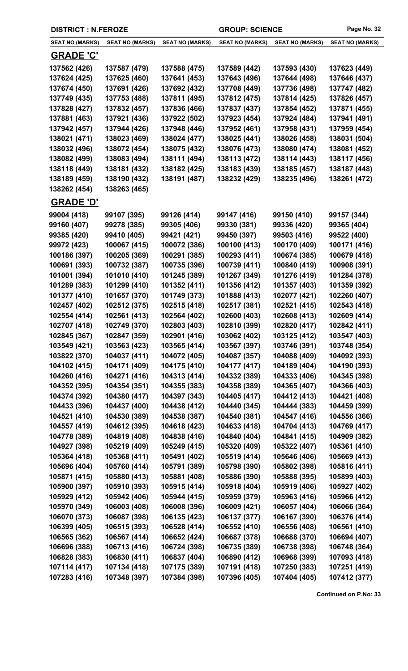| <b>DISTRICT : N.FEROZE</b>   |                              |                              | <b>GROUP: SCIENCE</b>        |                              | Page No. 32                  |
|------------------------------|------------------------------|------------------------------|------------------------------|------------------------------|------------------------------|
| <b>SEAT NO (MARKS)</b>       | <b>SEAT NO (MARKS)</b>       | <b>SEAT NO (MARKS)</b>       | <b>SEAT NO (MARKS)</b>       | <b>SEAT NO (MARKS)</b>       | <b>SEAT NO (MARKS)</b>       |
| <b>GRADE 'C'</b>             |                              |                              |                              |                              |                              |
| 137562 (426)                 | 137587 (479)                 | 137588 (475)                 | 137589 (442)                 | 137593 (430)                 | 137623 (449)                 |
| 137624 (425)                 | 137625 (460)                 | 137641 (453)                 | 137643 (496)                 | 137644 (498)                 | 137646 (437)                 |
| 137674 (450)                 | 137691 (426)                 | 137692 (432)                 | 137708 (449)                 | 137736 (498)                 | 137747 (482)                 |
| 137749 (435)                 | 137753 (488)                 | 137811 (495)                 | 137812 (475)                 | 137814 (425)                 | 137826 (457)                 |
| 137828 (427)                 | 137832 (457)                 | 137836 (466)                 | 137837 (437)                 | 137854 (452)                 | 137871 (455)                 |
| 137881 (463)                 | 137921 (436)                 | 137922 (502)                 | 137923 (454)                 | 137924 (484)                 | 137941 (491)                 |
| 137942 (457)                 | 137944 (426)                 | 137948 (446)                 | 137952 (461)                 | 137958 (431)                 | 137959 (454)                 |
| 138021 (471)                 | 138023 (469)                 | 138024 (477)                 | 138025 (441)                 | 138026 (458)                 | 138031 (504)                 |
| 138032 (496)                 | 138072 (454)                 | 138075 (432)                 | 138076 (473)                 | 138080 (474)                 | 138081 (452)                 |
| 138082 (499)                 | 138083 (494)                 | 138111 (494)                 | 138113 (472)                 | 138114 (443)                 | 138117 (456)                 |
| 138118 (449)                 | 138181 (432)                 | 138182 (425)                 | 138183 (439)                 | 138185 (457)                 | 138187 (448)                 |
| 138189 (459)                 | 138190 (432)                 | 138191 (487)                 | 138232 (429)                 | 138235 (496)                 | 138261 (472)                 |
| 138262 (454)                 | 138263 (465)                 |                              |                              |                              |                              |
| <u>GRADE 'D'</u>             |                              |                              |                              |                              |                              |
| 99004 (418)                  | 99107 (395)                  | 99126 (414)                  | 99147 (416)                  | 99150 (410)                  | 99157 (344)                  |
| 99160 (407)                  | 99278 (385)                  | 99305 (406)                  | 99330 (381)                  | 99336 (420)                  | 99365 (404)                  |
| 99385 (420)                  | 99410 (405)                  | 99421 (421)                  | 99450 (397)                  | 99503 (416)                  | 99522 (400)                  |
| 99972 (423)                  | 100067 (415)                 | 100072 (386)                 | 100100 (413)                 | 100170 (409)                 | 100171 (416)                 |
| 100186 (397)                 | 100205 (369)                 | 100291 (385)                 | 100293 (411)                 | 100674 (385)                 | 100679 (418)                 |
| 100691 (393)                 | 100732 (387)                 | 100735 (396)                 | 100739 (411)                 | 100840 (419)                 | 100908 (391)                 |
| 101001 (394)                 | 101010 (410)                 | 101245 (389)                 | 101267 (349)                 | 101276 (419)                 | 101284 (378)                 |
| 101289 (383)                 | 101299 (410)                 | 101352 (411)                 | 101356 (412)                 | 101357 (403)                 | 101359 (392)                 |
| 101377 (410)                 | 101657 (370)                 | 101749 (373)                 | 101888 (413)                 | 102077 (421)                 | 102260 (407)                 |
| 102457 (402)                 | 102512 (375)                 | 102515 (418)                 | 102517 (381)                 | 102521 (415)                 | 102543 (418)                 |
| 102554 (414)                 | 102561 (413)                 | 102564 (402)                 | 102600 (403)                 | 102608 (413)                 | 102609 (414)                 |
| 102707 (418)                 | 102749 (370)                 | 102803 (403)                 | 102810 (399)                 | 102820 (417)                 | 102842 (411)                 |
| 102845 (367)<br>103549 (421) | 102847 (359)<br>103563 (423) | 102901 (416)<br>103565 (414) | 103062 (402)<br>103567 (397) | 103125 (412)<br>103746 (391) | 103547 (403)<br>103748 (354) |
| 103822 (370)                 | 104037 (411)                 | 104072 (405)                 | 104087 (357)                 | 104088 (409)                 | 104092 (393)                 |
| 104102 (415)                 | 104171 (409)                 | 104175 (410)                 | 104177 (417)                 | 104189 (404)                 | 104190 (393)                 |
| 104260 (416)                 | 104271 (416)                 | 104313 (414)                 | 104332 (389)                 | 104333 (406)                 | 104345 (398)                 |
| 104352 (395)                 | 104354 (351)                 | 104355 (383)                 | 104358 (389)                 | 104365 (407)                 | 104366 (403)                 |
| 104374 (392)                 | 104380 (417)                 | 104397 (343)                 | 104405 (417)                 | 104412 (413)                 | 104421 (408)                 |
| 104433 (396)                 | 104437 (400)                 | 104438 (412)                 | 104440 (345)                 | 104444 (383)                 | 104459 (399)                 |
| 104521 (410)                 | 104530 (389)                 | 104538 (387)                 | 104540 (381)                 | 104547 (416)                 | 104556 (366)                 |
| 104557 (419)                 | 104612 (395)                 | 104618 (423)                 | 104633 (418)                 | 104704 (413)                 | 104769 (417)                 |
| 104778 (389)                 | 104819 (408)                 | 104838 (416)                 | 104840 (404)                 | 104841 (415)                 | 104909 (382)                 |
| 104927 (398)                 | 105219 (409)                 | 105249 (415)                 | 105320 (409)                 | 105322 (407)                 | 105361 (410)                 |
| 105364 (418)                 | 105368 (411)                 | 105491 (402)                 | 105519 (414)                 | 105646 (406)                 | 105669 (413)                 |
| 105696 (404)                 | 105760 (414)                 | 105791 (389)                 | 105798 (390)                 | 105802 (398)                 | 105816 (411)                 |
| 105871 (415)                 | 105880 (413)                 | 105881 (408)                 | 105886 (390)                 | 105888 (395)                 | 105899 (403)                 |
| 105900 (397)                 | 105910 (393)                 | 105915 (414)                 | 105918 (404)                 | 105919 (406)                 | 105927 (402)                 |
| 105929 (412)                 | 105942 (406)                 | 105944 (415)                 | 105959 (379)                 | 105963 (416)                 | 105966 (412)                 |
| 105970 (349)                 | 106003 (408)                 | 106008 (396)                 | 106009 (421)                 | 106057 (404)                 | 106066 (364)                 |
| 106070 (373)                 | 106087 (398)                 | 106135 (423)                 | 106137 (377)                 | 106167 (390)                 | 106376 (414)                 |
| 106399 (405)                 | 106515 (393)                 | 106528 (414)                 | 106552 (410)                 | 106556 (408)                 | 106561 (410)                 |
| 106565 (362)                 | 106567 (414)                 | 106652 (424)                 | 106687 (378)                 | 106688 (370)                 | 106694 (407)                 |
| 106696 (388)                 | 106713 (416)                 | 106724 (398)                 | 106735 (389)                 | 106738 (398)                 | 106748 (364)                 |
| 106828 (383)                 | 106830 (411)                 | 106837 (404)                 | 106890 (412)                 | 106968 (399)                 | 107093 (418)                 |
| 107114 (417)                 | 107134 (418)                 | 107175 (389)                 | 107191 (418)                 | 107250 (383)                 | 107251 (419)                 |
| 107283 (416)                 | 107348 (397)                 | 107384 (398)                 | 107396 (405)                 | 107404 (405)                 | 107412 (377)                 |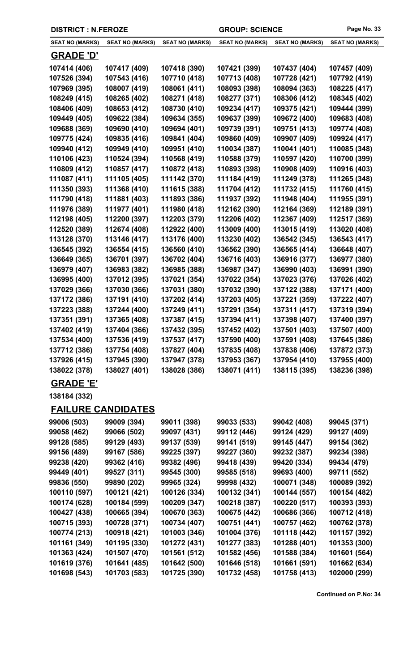| <b>DISTRICT : N.FEROZE</b> |                           |                        |                        | <b>GROUP: SCIENCE</b>  |                        |
|----------------------------|---------------------------|------------------------|------------------------|------------------------|------------------------|
| <b>SEAT NO (MARKS)</b>     | <b>SEAT NO (MARKS)</b>    | <b>SEAT NO (MARKS)</b> | <b>SEAT NO (MARKS)</b> | <b>SEAT NO (MARKS)</b> | <b>SEAT NO (MARKS)</b> |
| <u>GRADE 'D'</u>           |                           |                        |                        |                        |                        |
| 107414 (406)               | 107417 (409)              | 107418 (390)           | 107421 (399)           | 107437 (404)           | 107457 (409)           |
| 107526 (394)               | 107543 (416)              | 107710 (418)           | 107713 (408)           | 107728 (421)           | 107792 (419)           |
| 107969 (395)               | 108007 (419)              | 108061 (411)           | 108093 (398)           | 108094 (363)           | 108225 (417)           |
| 108249 (415)               | 108265 (402)              | 108271 (418)           | 108277 (371)           | 108306 (412)           | 108345 (402)           |
| 108406 (409)               | 108653 (412)              | 108730 (410)           | 109234 (417)           | 109375 (421)           | 109444 (399)           |
| 109449 (405)               | 109622 (384)              | 109634 (355)           | 109637 (399)           | 109672 (400)           | 109683 (408)           |
| 109688 (369)               | 109690 (410)              | 109694 (401)           | 109739 (391)           | 109751 (413)           | 109774 (408)           |
| 109775 (424)               | 109835 (416)              | 109841 (404)           | 109860 (409)           | 109907 (409)           | 109924 (417)           |
| 109940 (412)               | 109949 (410)              | 109951 (410)           | 110034 (387)           | 110041 (401)           | 110085 (348)           |
| 110106 (423)               | 110524 (394)              | 110568 (419)           | 110588 (379)           | 110597 (420)           | 110700 (399)           |
| 110809 (412)               | 110857 (417)              | 110872 (418)           | 110893 (398)           | 110908 (409)           | 110916 (403)           |
| 111087 (411)               | 111105 (405)              | 111142 (370)           | 111184 (419)           | 111249 (378)           | 111265 (348)           |
| 111350 (393)               | 111368 (410)              | 111615 (388)           | 111704 (412)           | 111732 (415)           | 111760 (415)           |
| 111790 (418)               | 111881 (403)              | 111893 (386)           | 111937 (392)           | 111948 (404)           | 111955 (391)           |
| 111976 (389)               | 111977 (401)              | 111980 (418)           | 112162 (390)           | 112164 (369)           | 112189 (391)           |
| 112198 (405)               | 112200 (397)              | 112203 (379)           | 112206 (402)           | 112367 (409)           | 112517 (369)           |
| 112520 (389)               | 112674 (408)              | 112922 (400)           | 113009 (400)           | 113015 (419)           | 113020 (408)           |
| 113128 (370)               | 113146 (417)              | 113176 (400)           | 113230 (402)           | 136542 (345)           | 136543 (417)           |
| 136545 (392)               | 136554 (415)              | 136560 (410)           | 136562 (390)           | 136565 (414)           | 136648 (407)           |
| 136649 (365)               | 136701 (397)              | 136702 (404)           | 136716 (403)           | 136916 (377)           | 136977 (380)           |
| 136979 (407)               | 136983 (382)              | 136985 (388)           | 136987 (347)           | 136990 (403)           | 136991 (390)           |
| 136995 (400)               | 137012 (395)              | 137021 (354)           | 137022 (354)           | 137023 (376)           | 137026 (402)           |
| 137029 (366)               | 137030 (366)              | 137031 (380)           | 137032 (390)           | 137122 (388)           | 137171 (400)           |
| 137172 (386)               | 137191 (410)              | 137202 (414)           | 137203 (405)           | 137221 (359)           | 137222 (407)           |
| 137223 (388)               | 137244 (400)              | 137249 (411)           | 137291 (354)           | 137311 (417)           | 137319 (394)           |
| 137351 (391)               | 137365 (408)              | 137387 (415)           | 137394 (411)           | 137398 (407)           | 137400 (397)           |
| 137402 (419)               | 137404 (366)              | 137432 (395)           | 137452 (402)           | 137501 (403)           | 137507 (400)           |
| 137534 (400)               | 137536 (419)              | 137537 (417)           | 137590 (400)           | 137591 (408)           | 137645 (386)           |
| 137712 (386)               | 137754 (408)              | 137827 (404)           | 137835 (408)           | 137838 (406)           | 137872 (373)           |
| 137926 (415)               | 137945 (390)              | 137947 (378)           | 137953 (367)           | 137954 (410)           | 137955 (400)           |
| 138022 (378)               | 138027 (401)              | 138028 (386)           | 138071 (411)           | 138115 (395)           | 138236 (398)           |
| <b>GRADE 'E'</b>           |                           |                        |                        |                        |                        |
| 138184 (332)               |                           |                        |                        |                        |                        |
|                            | <b>FAILURE CANDIDATES</b> |                        |                        |                        |                        |
| 99006 (503)                | 99009 (394)               | 99011 (398)            | 99033 (533)            | 99042 (408)            | 99045 (371)            |
| 99058 (462)                | 99066 (502)               | 99097 (431)            | 99112 (446)            | 99124 (429)            | 99127 (409)            |
| 99128 (585)                | 99129 (493)               | 99137 (539)            | 99141 (519)            | 99145 (447)            | 99154 (362)            |
| 99156 (489)                | 99167 (586)               | 99225 (397)            | 99227 (360)            | 99232 (387)            | 99234 (398)            |
| 99238 (420)                | 99362 (416)               | 99382 (496)            | 99418 (439)            | 99420 (334)            | 99434 (479)            |
| 99449 (401)                | 99527 (311)               | 99545 (300)            | 99585 (518)            | 99693 (400)            | 99711 (552)            |
| 99836 (550)                | 99890 (202)               | 99965 (324)            | 99998 (432)            | 100071 (348)           | 100089 (392)           |
| 100110 (597)               | 100121 (421)              | 100126 (334)           | 100132 (341)           | 100144 (557)           | 100154 (482)           |
| 100174 (628)               | 100184 (599)              | 100209 (347)           | 100218 (387)           | 100220 (517)           | 100393 (393)           |
| 100427 (438)               | 100665 (394)              | 100670 (363)           | 100675 (442)           | 100686 (366)           | 100712 (418)           |
| 100715 (393)               | 100728 (371)              | 100734 (407)           | 100751 (441)           | 100757 (462)           | 100762 (378)           |
| 100774 (213)               | 100918 (421)              | 101003 (346)           | 101004 (376)           | 101118 (442)           | 101157 (392)           |
| 101161 (349)               | 101195 (330)              | 101272 (431)           | 101277 (383)           | 101288 (401)           | 101353 (300)           |

**101363 (424) 101507 (470) 101561 (512) 101582 (456) 101588 (384) 101601 (564) 101619 (376) 101641 (485) 101642 (500) 101646 (518) 101661 (591) 101662 (634) 101698 (543) 101703 (583) 101725 (390) 101732 (458) 101758 (413) 102000 (299)**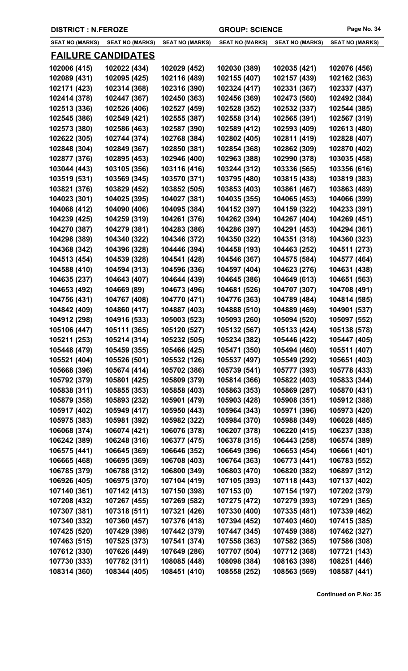| <b>SEAT NO (MARKS)</b> | <b>SEAT NO (MARKS)</b>    | <b>SEAT NO (MARKS)</b> | <b>SEAT NO (MARKS)</b> | <b>SEAT NO (MARKS)</b> | <b>SEAT NO (MARKS)</b> |
|------------------------|---------------------------|------------------------|------------------------|------------------------|------------------------|
|                        | <b>FAILURE CANDIDATES</b> |                        |                        |                        |                        |
| 102006 (415)           | 102022 (434)              | 102029 (452)           | 102030 (389)           | 102035 (421)           | 102076 (456)           |
| 102089 (431)           | 102095 (425)              | 102116 (489)           | 102155 (407)           | 102157 (439)           | 102162 (363)           |
| 102171 (423)           | 102314 (368)              | 102316 (390)           | 102324 (417)           | 102331 (367)           | 102337 (437)           |
| 102414 (378)           | 102447 (367)              | 102450 (363)           | 102456 (369)           | 102473 (560)           | 102492 (384)           |
| 102513 (336)           | 102526 (406)              | 102527 (459)           | 102528 (352)           | 102532 (337)           | 102544 (385)           |
| 102545 (386)           | 102549 (421)              | 102555 (387)           | 102558 (314)           | 102565 (391)           | 102567 (319)           |
| 102573 (380)           | 102586 (463)              | 102587 (390)           | 102589 (412)           | 102593 (409)           | 102613 (480)           |
| 102622 (305)           | 102744 (374)              | 102768 (384)           | 102802 (405)           | 102811 (419)           | 102828 (407)           |
| 102848 (304)           | 102849 (367)              | 102850 (381)           | 102854 (368)           | 102862 (309)           | 102870 (402)           |
| 102877 (376)           | 102895 (453)              | 102946 (400)           | 102963 (388)           | 102990 (378)           | 103035 (458)           |
| 103044 (443)           | 103105 (356)              | 103116 (416)           | 103244 (312)           | 103336 (565)           | 103356 (616)           |
| 103519 (531)           | 103569 (345)              | 103570 (371)           | 103795 (480)           | 103815 (438)           | 103819 (383)           |
| 103821 (376)           | 103829 (452)              | 103852 (505)           | 103853 (403)           | 103861 (467)           | 103863 (489)           |
| 104023 (301)           | 104025 (395)              | 104027 (381)           | 104035 (355)           | 104065 (453)           | 104066 (399)           |
| 104068 (412)           | 104090 (406)              | 104095 (384)           | 104152 (397)           | 104159 (322)           | 104233 (391)           |
| 104239 (425)           | 104259 (319)              | 104261 (376)           | 104262 (394)           | 104267 (404)           | 104269 (451)           |
| 104270 (387)           | 104279 (381)              | 104283 (386)           | 104286 (397)           | 104291 (453)           | 104294 (361)           |
| 104298 (389)           | 104340 (322)              | 104346 (372)           | 104350 (322)           | 104351 (318)           | 104360 (323)           |
| 104368 (342)           | 104396 (328)              | 104446 (394)           | 104458 (193)           | 104463 (252)           | 104511 (273)           |
| 104513 (454)           | 104539 (328)              | 104541 (428)           | 104546 (367)           | 104575 (584)           | 104577 (464)           |
| 104588 (410)           | 104594 (313)              | 104596 (336)           | 104597 (404)           | 104623 (276)           | 104631 (438)           |
| 104635 (237)           | 104643 (407)              | 104644 (439)           | 104645 (386)           | 104649 (613)           | 104651 (563)           |
| 104653 (492)           | 104669 (89)               | 104673 (496)           | 104681 (526)           | 104707 (307)           | 104708 (491)           |
| 104756 (431)           | 104767 (408)              | 104770 (471)           | 104776 (363)           | 104789 (484)           | 104814 (585)           |
| 104842 (409)           | 104860 (417)              | 104887 (403)           | 104888 (510)           | 104889 (469)           | 104901 (537)           |
| 104912 (298)           | 104916 (533)              | 105003 (523)           | 105093 (260)           | 105094 (520)           | 105097 (552)           |
| 105106 (447)           | 105111 (365)              | 105120 (527)           | 105132 (567)           | 105133 (424)           | 105138 (578)           |
| 105211 (253)           | 105214 (314)              | 105232 (505)           | 105234 (382)           | 105446 (422)           | 105447 (405)           |
| 105448 (479)           | 105459 (355)              | 105466 (425)           | 105471 (350)           | 105494 (460)           | 105511 (407)           |
| 105521 (404)           | 105526 (501)              | 105532 (126)           | 105537 (497)           | 105549 (292)           | 105651 (403)           |
| 105668 (396)           | 105674 (414)              | 105702 (386)           | 105739 (541)           | 105777 (393)           | 105778 (433)           |
| 105792 (379)           | 105801 (425)              | 105809 (379)           | 105814 (366)           | 105822 (403)           | 105833 (344)           |
| 105838 (311)           | 105855 (353)              | 105858 (403)           | 105863 (353)           | 105869 (287)           | 105870 (431)           |
| 105879 (358)           | 105893 (232)              | 105901 (479)           | 105903 (428)           | 105908 (351)           | 105912 (388)           |
| 105917 (402)           | 105949 (417)              | 105950 (443)           | 105964 (343)           | 105971 (396)           | 105973 (420)           |
| 105975 (383)           | 105981 (392)              | 105982 (322)           | 105984 (370)           | 105988 (349)           | 106028 (485)           |
| 106068 (374)           | 106074 (421)              | 106076 (378)           | 106207 (378)           | 106220 (415)           | 106237 (338)           |
| 106242 (389)           | 106248 (316)              | 106377 (475)           | 106378 (315)           | 106443 (258)           | 106574 (389)           |
| 106575 (441)           | 106645 (369)              | 106646 (352)           | 106649 (396)           | 106653 (454)           | 106661 (401)           |
| 106665 (468)           | 106695 (369)              | 106708 (403)           | 106764 (363)           | 106773 (441)           | 106783 (552)           |
| 106785 (379)           | 106788 (312)              | 106800 (349)           | 106803 (470)           | 106820 (382)           | 106897 (312)           |
| 106926 (405)           | 106975 (370)              | 107104 (419)           | 107105 (393)           | 107118 (443)           | 107137 (402)           |
| 107140 (361)           | 107142 (413)              | 107150 (398)           | 107153(0)              | 107154 (197)           | 107202 (379)           |
| 107208 (432)           | 107267 (455)              | 107269 (582)           | 107275 (472)           | 107279 (393)           | 107291 (365)           |
| 107307 (381)           | 107318 (511)              | 107321 (426)           | 107330 (400)           | 107335 (481)           | 107339 (462)           |
| 107340 (332)           | 107360 (457)              | 107376 (418)           | 107394 (452)           | 107403 (460)           | 107415 (385)           |
| 107425 (520)           | 107429 (398)              | 107442 (379)           | 107447 (345)           | 107459 (388)           | 107462 (327)           |
| 107463 (515)           | 107525 (373)              | 107541 (374)           | 107558 (363)           | 107582 (365)           | 107586 (308)           |
| 107612 (330)           | 107626 (449)              | 107649 (286)           | 107707 (504)           | 107712 (368)           | 107721 (143)           |
| 107730 (333)           | 107782 (311)              | 108085 (448)           | 108098 (384)           | 108163 (398)           | 108251 (446)           |
| 108314 (360)           | 108344 (405)              | 108451 (410)           | 108558 (252)           | 108563 (569)           | 108587 (441)           |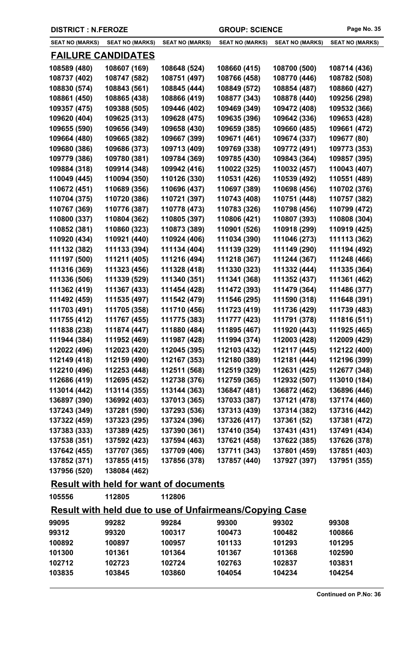L

| <b>SEAT NO (MARKS)</b> | <b>SEAT NO (MARKS)</b>    | <b>SEAT NO (MARKS)</b>                                         | <b>SEAT NO (MARKS)</b> | <b>SEAT NO (MARKS)</b> | <b>SEAT NO (MARKS)</b> |
|------------------------|---------------------------|----------------------------------------------------------------|------------------------|------------------------|------------------------|
|                        | <b>FAILURE CANDIDATES</b> |                                                                |                        |                        |                        |
| 108589 (480)           | 108607 (169)              | 108648 (524)                                                   | 108660 (415)           | 108700 (500)           | 108714 (436)           |
| 108737 (402)           | 108747 (582)              | 108751 (497)                                                   | 108766 (458)           | 108770 (446)           | 108782 (508)           |
| 108830 (574)           | 108843 (561)              | 108845 (444)                                                   | 108849 (572)           | 108854 (487)           | 108860 (427)           |
| 108861 (450)           | 108865 (438)              | 108866 (419)                                                   | 108877 (343)           | 108878 (440)           | 109256 (298)           |
| 109357 (475)           | 109388 (505)              | 109446 (402)                                                   | 109469 (349)           | 109472 (408)           | 109532 (366)           |
| 109620 (404)           | 109625 (313)              | 109628 (475)                                                   | 109635 (396)           | 109642 (336)           | 109653 (428)           |
| 109655 (590)           | 109656 (349)              | 109658 (430)                                                   | 109659 (385)           | 109660 (485)           | 109661 (472)           |
| 109664 (480)           | 109665 (382)              | 109667 (399)                                                   | 109671 (461)           | 109674 (337)           | 109677 (80)            |
| 109680 (386)           | 109686 (373)              | 109713 (409)                                                   | 109769 (338)           | 109772 (491)           | 109773 (353)           |
| 109779 (386)           | 109780 (381)              | 109784 (369)                                                   | 109785 (430)           | 109843 (364)           | 109857 (395)           |
| 109884 (318)           | 109914 (348)              | 109942 (416)                                                   | 110022 (325)           | 110032 (457)           | 110043 (407)           |
| 110049 (445)           | 110094 (350)              | 110126 (330)                                                   | 110531 (426)           | 110539 (492)           | 110551 (489)           |
| 110672 (451)           | 110689 (356)              | 110696 (437)                                                   | 110697 (389)           | 110698 (456)           | 110702 (376)           |
| 110704 (375)           | 110720 (386)              | 110721 (397)                                                   | 110743 (408)           | 110751 (448)           | 110757 (382)           |
| 110767 (369)           | 110776 (387)              | 110778 (473)                                                   | 110783 (326)           | 110798 (456)           | 110799 (472)           |
| 110800 (337)           | 110804 (362)              | 110805 (397)                                                   | 110806 (421)           | 110807 (393)           | 110808 (304)           |
| 110852 (381)           | 110860 (323)              | 110873 (389)                                                   | 110901 (526)           | 110918 (299)           | 110919 (425)           |
| 110920 (434)           | 110921 (440)              | 110924 (406)                                                   | 111034 (390)           | 111046 (273)           | 111113 (362)           |
| 111132 (382)           | 111133 (394)              | 111134 (404)                                                   | 111139 (329)           | 111149 (290)           | 111194 (492)           |
| 111197 (500)           | 111211 (405)              | 111216 (494)                                                   | 111218 (367)           | 111244 (367)           | 111248 (466)           |
| 111316 (369)           | 111323 (456)              | 111328 (418)                                                   | 111330 (323)           | 111332 (444)           | 111335 (364)           |
| 111336 (506)           | 111339 (529)              | 111340 (351)                                                   | 111341 (368)           | 111352 (437)           | 111361 (462)           |
| 111362 (419)           | 111367 (433)              | 111454 (428)                                                   | 111472 (393)           | 111479 (364)           | 111486 (377)           |
| 111492 (459)           | 111535 (497)              | 111542 (479)                                                   | 111546 (295)           | 111590 (318)           | 111648 (391)           |
| 111703 (491)           | 111705 (358)              | 111710 (456)                                                   | 111723 (419)           | 111736 (429)           | 111739 (483)           |
| 111755 (412)           | 111767 (455)              | 111775 (383)                                                   | 111777 (423)           | 111791 (378)           | 111816 (511)           |
| 111838 (238)           | 111874 (447)              | 111880 (484)                                                   | 111895 (467)           | 111920 (443)           | 111925 (465)           |
| 111944 (384)           | 111952 (469)              | 111987 (428)                                                   | 111994 (374)           | 112003 (428)           | 112009 (429)           |
| 112022 (496)           | 112023 (420)              | 112045 (395)                                                   | 112103 (432)           | 112117 (445)           | 112122 (400)           |
| 112149 (418)           | 112159 (490)              | 112167 (353)                                                   | 112180 (389)           | 112181 (444)           | 112196 (399)           |
| 112210 (496)           | 112253 (448)              | 112511 (568)                                                   | 112519 (329)           | 112631 (425)           | 112677 (348)           |
| 112686 (419)           | 112695 (452)              | 112738 (376)                                                   | 112759 (365)           | 112932 (507)           | 113010 (184)           |
| 113014 (442)           | 113114 (355)              | 113144 (363)                                                   | 136847 (481)           | 136872 (462)           | 136896 (446)           |
| 136897 (390)           | 136992 (403)              | 137013 (365)                                                   | 137033 (387)           | 137121 (478)           | 137174 (460)           |
| 137243 (349)           | 137281 (590)              | 137293 (536)                                                   | 137313 (439)           | 137314 (382)           | 137316 (442)           |
| 137322 (459)           | 137323 (295)              | 137324 (396)                                                   | 137326 (417)           | 137361 (52)            | 137381 (472)           |
| 137383 (333)           | 137389 (425)              | 137390 (361)                                                   | 137410 (354)           | 137431 (431)           | 137491 (434)           |
| 137538 (351)           | 137592 (423)              | 137594 (463)                                                   | 137621 (458)           | 137622 (385)           | 137626 (378)           |
| 137642 (455)           | 137707 (365)              | 137709 (406)                                                   | 137711 (343)           | 137801 (459)           | 137851 (403)           |
| 137852 (371)           | 137855 (415)              | 137856 (378)                                                   | 137857 (440)           | 137927 (397)           | 137951 (355)           |
| 137956 (520)           | 138084 (462)              |                                                                |                        |                        |                        |
|                        |                           | <b>Result with held for want of documents</b>                  |                        |                        |                        |
| 105556                 | 112805                    | 112806                                                         |                        |                        |                        |
|                        |                           | <b>Result with held due to use of Unfairmeans/Copying Case</b> |                        |                        |                        |
| 99095                  | 99282                     | 99284                                                          | 99300                  | 99302                  | 99308                  |
| 99312                  | 99320                     | 100317                                                         | 100473                 | 100482                 | 100866                 |
| 100892                 | 100897                    | 100957                                                         | 101133                 | 101293                 | 101295                 |
| 101300                 | 101361                    | 101364                                                         | 101367                 | 101368                 | 102590                 |
| 102712                 | 102723                    | 102724                                                         | 102763                 | 102837                 | 103831                 |
| 103835                 | 103845                    | 103860                                                         | 104054                 | 104234                 | 104254                 |
|                        |                           |                                                                |                        |                        |                        |